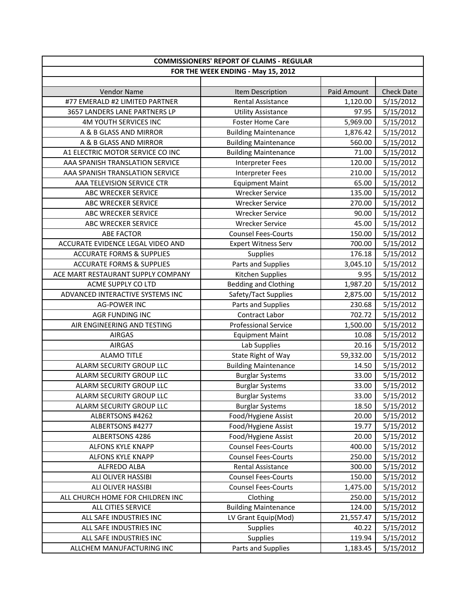| <b>COMMISSIONERS' REPORT OF CLAIMS - REGULAR</b> |                                    |             |                   |
|--------------------------------------------------|------------------------------------|-------------|-------------------|
|                                                  | FOR THE WEEK ENDING - May 15, 2012 |             |                   |
|                                                  |                                    |             |                   |
| <b>Vendor Name</b>                               | Item Description                   | Paid Amount | <b>Check Date</b> |
| #77 EMERALD #2 LIMITED PARTNER                   | Rental Assistance                  | 1,120.00    | 5/15/2012         |
| 3657 LANDERS LANE PARTNERS LP                    | <b>Utility Assistance</b>          | 97.95       | 5/15/2012         |
| 4M YOUTH SERVICES INC                            | <b>Foster Home Care</b>            | 5,969.00    | 5/15/2012         |
| A & B GLASS AND MIRROR                           | <b>Building Maintenance</b>        | 1,876.42    | 5/15/2012         |
| A & B GLASS AND MIRROR                           | <b>Building Maintenance</b>        | 560.00      | 5/15/2012         |
| A1 ELECTRIC MOTOR SERVICE CO INC                 | <b>Building Maintenance</b>        | 71.00       | 5/15/2012         |
| AAA SPANISH TRANSLATION SERVICE                  | <b>Interpreter Fees</b>            | 120.00      | 5/15/2012         |
| AAA SPANISH TRANSLATION SERVICE                  | <b>Interpreter Fees</b>            | 210.00      | 5/15/2012         |
| AAA TELEVISION SERVICE CTR                       | <b>Equipment Maint</b>             | 65.00       | 5/15/2012         |
| ABC WRECKER SERVICE                              | <b>Wrecker Service</b>             | 135.00      | 5/15/2012         |
| ABC WRECKER SERVICE                              | <b>Wrecker Service</b>             | 270.00      | 5/15/2012         |
| ABC WRECKER SERVICE                              | <b>Wrecker Service</b>             | 90.00       | 5/15/2012         |
| ABC WRECKER SERVICE                              | <b>Wrecker Service</b>             | 45.00       | 5/15/2012         |
| <b>ABE FACTOR</b>                                | <b>Counsel Fees-Courts</b>         | 150.00      | 5/15/2012         |
| ACCURATE EVIDENCE LEGAL VIDEO AND                | <b>Expert Witness Serv</b>         | 700.00      | 5/15/2012         |
| <b>ACCURATE FORMS &amp; SUPPLIES</b>             | Supplies                           | 176.18      | 5/15/2012         |
| <b>ACCURATE FORMS &amp; SUPPLIES</b>             | Parts and Supplies                 | 3,045.10    | 5/15/2012         |
| ACE MART RESTAURANT SUPPLY COMPANY               | Kitchen Supplies                   | 9.95        | 5/15/2012         |
| ACME SUPPLY CO LTD                               | <b>Bedding and Clothing</b>        | 1,987.20    | 5/15/2012         |
| ADVANCED INTERACTIVE SYSTEMS INC                 | Safety/Tact Supplies               | 2,875.00    | 5/15/2012         |
| <b>AG-POWER INC</b>                              | Parts and Supplies                 | 230.68      | 5/15/2012         |
| AGR FUNDING INC                                  | Contract Labor                     | 702.72      | 5/15/2012         |
| AIR ENGINEERING AND TESTING                      | <b>Professional Service</b>        | 1,500.00    | 5/15/2012         |
| <b>AIRGAS</b>                                    | <b>Equipment Maint</b>             | 10.08       | 5/15/2012         |
| <b>AIRGAS</b>                                    | Lab Supplies                       | 20.16       | 5/15/2012         |
| <b>ALAMO TITLE</b>                               | State Right of Way                 | 59,332.00   | 5/15/2012         |
| ALARM SECURITY GROUP LLC                         | <b>Building Maintenance</b>        | 14.50       | 5/15/2012         |
| ALARM SECURITY GROUP LLC                         | <b>Burglar Systems</b>             | 33.00       | 5/15/2012         |
| ALARM SECURITY GROUP LLC                         | <b>Burglar Systems</b>             | 33.00       | 5/15/2012         |
| ALARM SECURITY GROUP LLC                         | <b>Burglar Systems</b>             | 33.00       | 5/15/2012         |
| ALARM SECURITY GROUP LLC                         | <b>Burglar Systems</b>             | 18.50       | 5/15/2012         |
| ALBERTSONS #4262                                 | Food/Hygiene Assist                | 20.00       | 5/15/2012         |
| ALBERTSONS #4277                                 | Food/Hygiene Assist                | 19.77       | 5/15/2012         |
| ALBERTSONS 4286                                  | Food/Hygiene Assist                | 20.00       | 5/15/2012         |
| <b>ALFONS KYLE KNAPP</b>                         | <b>Counsel Fees-Courts</b>         | 400.00      | 5/15/2012         |
| ALFONS KYLE KNAPP                                | <b>Counsel Fees-Courts</b>         | 250.00      | 5/15/2012         |
| ALFREDO ALBA                                     | Rental Assistance                  | 300.00      | 5/15/2012         |
| ALI OLIVER HASSIBI                               | <b>Counsel Fees-Courts</b>         | 150.00      | 5/15/2012         |
| ALI OLIVER HASSIBI                               | <b>Counsel Fees-Courts</b>         | 1,475.00    | 5/15/2012         |
| ALL CHURCH HOME FOR CHILDREN INC                 | Clothing                           | 250.00      | 5/15/2012         |
| ALL CITIES SERVICE                               | <b>Building Maintenance</b>        | 124.00      | 5/15/2012         |
| ALL SAFE INDUSTRIES INC                          | LV Grant Equip(Mod)                | 21,557.47   | 5/15/2012         |
| ALL SAFE INDUSTRIES INC                          | Supplies                           | 40.22       | 5/15/2012         |
| ALL SAFE INDUSTRIES INC                          | Supplies                           | 119.94      | 5/15/2012         |
| ALLCHEM MANUFACTURING INC                        | Parts and Supplies                 | 1,183.45    | 5/15/2012         |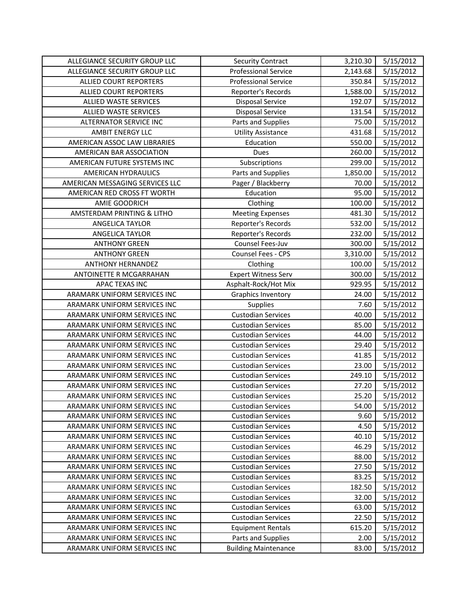| ALLEGIANCE SECURITY GROUP LLC   | <b>Security Contract</b>    | 3,210.30 | 5/15/2012 |
|---------------------------------|-----------------------------|----------|-----------|
| ALLEGIANCE SECURITY GROUP LLC   | <b>Professional Service</b> | 2,143.68 | 5/15/2012 |
| <b>ALLIED COURT REPORTERS</b>   | <b>Professional Service</b> | 350.84   | 5/15/2012 |
| <b>ALLIED COURT REPORTERS</b>   | Reporter's Records          | 1,588.00 | 5/15/2012 |
| <b>ALLIED WASTE SERVICES</b>    | <b>Disposal Service</b>     | 192.07   | 5/15/2012 |
| ALLIED WASTE SERVICES           | <b>Disposal Service</b>     | 131.54   | 5/15/2012 |
| <b>ALTERNATOR SERVICE INC</b>   | Parts and Supplies          | 75.00    | 5/15/2012 |
| AMBIT ENERGY LLC                | <b>Utility Assistance</b>   | 431.68   | 5/15/2012 |
| AMERICAN ASSOC LAW LIBRARIES    | Education                   | 550.00   | 5/15/2012 |
| AMERICAN BAR ASSOCIATION        | Dues                        | 260.00   | 5/15/2012 |
| AMERICAN FUTURE SYSTEMS INC     | Subscriptions               | 299.00   | 5/15/2012 |
| AMERICAN HYDRAULICS             | Parts and Supplies          | 1,850.00 | 5/15/2012 |
| AMERICAN MESSAGING SERVICES LLC | Pager / Blackberry          | 70.00    | 5/15/2012 |
| AMERICAN RED CROSS FT WORTH     | Education                   | 95.00    | 5/15/2012 |
| AMIE GOODRICH                   | Clothing                    | 100.00   | 5/15/2012 |
| AMSTERDAM PRINTING & LITHO      | <b>Meeting Expenses</b>     | 481.30   | 5/15/2012 |
| ANGELICA TAYLOR                 | Reporter's Records          | 532.00   | 5/15/2012 |
| ANGELICA TAYLOR                 | Reporter's Records          | 232.00   | 5/15/2012 |
| <b>ANTHONY GREEN</b>            | Counsel Fees-Juv            | 300.00   | 5/15/2012 |
| <b>ANTHONY GREEN</b>            | Counsel Fees - CPS          | 3,310.00 | 5/15/2012 |
| <b>ANTHONY HERNANDEZ</b>        | Clothing                    | 100.00   | 5/15/2012 |
| ANTOINETTE R MCGARRAHAN         | <b>Expert Witness Serv</b>  | 300.00   | 5/15/2012 |
| APAC TEXAS INC                  | Asphalt-Rock/Hot Mix        | 929.95   | 5/15/2012 |
| ARAMARK UNIFORM SERVICES INC    | Graphics Inventory          | 24.00    | 5/15/2012 |
| ARAMARK UNIFORM SERVICES INC    | Supplies                    | 7.60     | 5/15/2012 |
| ARAMARK UNIFORM SERVICES INC    | <b>Custodian Services</b>   | 40.00    | 5/15/2012 |
| ARAMARK UNIFORM SERVICES INC    | <b>Custodian Services</b>   | 85.00    | 5/15/2012 |
| ARAMARK UNIFORM SERVICES INC    | <b>Custodian Services</b>   | 44.00    | 5/15/2012 |
| ARAMARK UNIFORM SERVICES INC    | <b>Custodian Services</b>   | 29.40    | 5/15/2012 |
| ARAMARK UNIFORM SERVICES INC    | <b>Custodian Services</b>   | 41.85    | 5/15/2012 |
| ARAMARK UNIFORM SERVICES INC    | <b>Custodian Services</b>   | 23.00    | 5/15/2012 |
| ARAMARK UNIFORM SERVICES INC    | <b>Custodian Services</b>   | 249.10   | 5/15/2012 |
| ARAMARK UNIFORM SERVICES INC    | <b>Custodian Services</b>   | 27.20    | 5/15/2012 |
| ARAMARK UNIFORM SERVICES INC    | <b>Custodian Services</b>   | 25.20    | 5/15/2012 |
| ARAMARK UNIFORM SERVICES INC    | Custodian Services          | 54.00    | 5/15/2012 |
| ARAMARK UNIFORM SERVICES INC    | <b>Custodian Services</b>   | 9.60     | 5/15/2012 |
| ARAMARK UNIFORM SERVICES INC    | <b>Custodian Services</b>   | 4.50     | 5/15/2012 |
| ARAMARK UNIFORM SERVICES INC    | <b>Custodian Services</b>   | 40.10    | 5/15/2012 |
| ARAMARK UNIFORM SERVICES INC    | <b>Custodian Services</b>   | 46.29    | 5/15/2012 |
| ARAMARK UNIFORM SERVICES INC    | <b>Custodian Services</b>   | 88.00    | 5/15/2012 |
| ARAMARK UNIFORM SERVICES INC    | <b>Custodian Services</b>   | 27.50    | 5/15/2012 |
| ARAMARK UNIFORM SERVICES INC    | <b>Custodian Services</b>   | 83.25    | 5/15/2012 |
| ARAMARK UNIFORM SERVICES INC    | <b>Custodian Services</b>   | 182.50   | 5/15/2012 |
| ARAMARK UNIFORM SERVICES INC    | <b>Custodian Services</b>   | 32.00    | 5/15/2012 |
| ARAMARK UNIFORM SERVICES INC    | <b>Custodian Services</b>   | 63.00    | 5/15/2012 |
| ARAMARK UNIFORM SERVICES INC    | <b>Custodian Services</b>   | 22.50    | 5/15/2012 |
| ARAMARK UNIFORM SERVICES INC    | <b>Equipment Rentals</b>    | 615.20   | 5/15/2012 |
| ARAMARK UNIFORM SERVICES INC    | Parts and Supplies          | 2.00     | 5/15/2012 |
| ARAMARK UNIFORM SERVICES INC    | <b>Building Maintenance</b> | 83.00    | 5/15/2012 |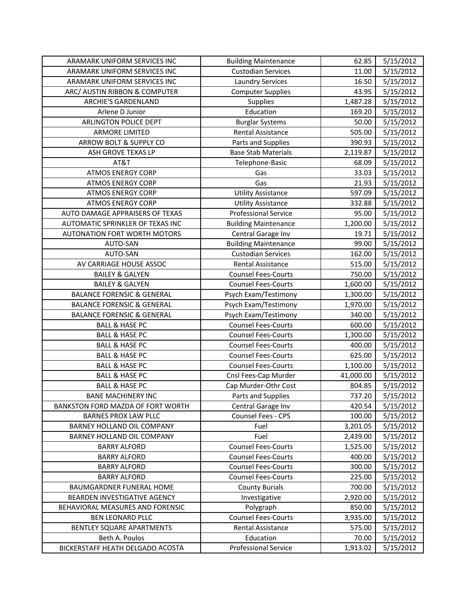| ARAMARK UNIFORM SERVICES INC          | <b>Building Maintenance</b> | 62.85     | 5/15/2012 |
|---------------------------------------|-----------------------------|-----------|-----------|
| ARAMARK UNIFORM SERVICES INC          | <b>Custodian Services</b>   | 11.00     | 5/15/2012 |
| ARAMARK UNIFORM SERVICES INC          | <b>Laundry Services</b>     | 16.50     | 5/15/2012 |
| ARC/ AUSTIN RIBBON & COMPUTER         | <b>Computer Supplies</b>    | 43.95     | 5/15/2012 |
| ARCHIE'S GARDENLAND                   | Supplies                    | 1,487.28  | 5/15/2012 |
| Arlene D Junior                       | Education                   | 169.20    | 5/15/2012 |
| ARLINGTON POLICE DEPT                 | <b>Burglar Systems</b>      | 50.00     | 5/15/2012 |
| <b>ARMORE LIMITED</b>                 | Rental Assistance           | 505.00    | 5/15/2012 |
| ARROW BOLT & SUPPLY CO                | Parts and Supplies          | 390.93    | 5/15/2012 |
| ASH GROVE TEXAS LP                    | <b>Base Stab Materials</b>  | 2,119.87  | 5/15/2012 |
| AT&T                                  | Telephone-Basic             | 68.09     | 5/15/2012 |
| <b>ATMOS ENERGY CORP</b>              | Gas                         | 33.03     | 5/15/2012 |
| <b>ATMOS ENERGY CORP</b>              | Gas                         | 21.93     | 5/15/2012 |
| <b>ATMOS ENERGY CORP</b>              | <b>Utility Assistance</b>   | 597.09    | 5/15/2012 |
| <b>ATMOS ENERGY CORP</b>              | <b>Utility Assistance</b>   | 332.88    | 5/15/2012 |
| AUTO DAMAGE APPRAISERS OF TEXAS       | <b>Professional Service</b> | 95.00     | 5/15/2012 |
| AUTOMATIC SPRINKLER OF TEXAS INC      | <b>Building Maintenance</b> | 1,200.00  | 5/15/2012 |
| <b>AUTONATION FORT WORTH MOTORS</b>   | Central Garage Inv          | 19.71     | 5/15/2012 |
| AUTO-SAN                              | <b>Building Maintenance</b> | 99.00     | 5/15/2012 |
| AUTO-SAN                              | <b>Custodian Services</b>   | 162.00    | 5/15/2012 |
| AV CARRIAGE HOUSE ASSOC               | Rental Assistance           | 515.00    | 5/15/2012 |
| <b>BAILEY &amp; GALYEN</b>            | <b>Counsel Fees-Courts</b>  | 750.00    | 5/15/2012 |
| <b>BAILEY &amp; GALYEN</b>            | <b>Counsel Fees-Courts</b>  | 1,600.00  | 5/15/2012 |
| <b>BALANCE FORENSIC &amp; GENERAL</b> | Psych Exam/Testimony        | 1,300.00  | 5/15/2012 |
| <b>BALANCE FORENSIC &amp; GENERAL</b> | Psych Exam/Testimony        | 1,970.00  | 5/15/2012 |
| <b>BALANCE FORENSIC &amp; GENERAL</b> | Psych Exam/Testimony        | 340.00    | 5/15/2012 |
| <b>BALL &amp; HASE PC</b>             | <b>Counsel Fees-Courts</b>  | 600.00    | 5/15/2012 |
| <b>BALL &amp; HASE PC</b>             | <b>Counsel Fees-Courts</b>  | 1,300.00  | 5/15/2012 |
| <b>BALL &amp; HASE PC</b>             | <b>Counsel Fees-Courts</b>  | 400.00    | 5/15/2012 |
| <b>BALL &amp; HASE PC</b>             | <b>Counsel Fees-Courts</b>  | 625.00    | 5/15/2012 |
| <b>BALL &amp; HASE PC</b>             | <b>Counsel Fees-Courts</b>  | 1,100.00  | 5/15/2012 |
| <b>BALL &amp; HASE PC</b>             | Cnsl Fees-Cap Murder        | 41,000.00 | 5/15/2012 |
| <b>BALL &amp; HASE PC</b>             | Cap Murder-Othr Cost        | 804.85    | 5/15/2012 |
| <b>BANE MACHINERY INC</b>             | Parts and Supplies          | 737.20    | 5/15/2012 |
| BANKSTON FORD MAZDA OF FORT WORTH     | Central Garage Inv          | 420.54    | 5/15/2012 |
| <b>BARNES PROX LAW PLLC</b>           | <b>Counsel Fees - CPS</b>   | 100.00    | 5/15/2012 |
| BARNEY HOLLAND OIL COMPANY            | Fuel                        | 3,201.05  | 5/15/2012 |
| BARNEY HOLLAND OIL COMPANY            | Fuel                        | 2,439.00  | 5/15/2012 |
| <b>BARRY ALFORD</b>                   | <b>Counsel Fees-Courts</b>  | 1,525.00  | 5/15/2012 |
| <b>BARRY ALFORD</b>                   | <b>Counsel Fees-Courts</b>  | 400.00    | 5/15/2012 |
| <b>BARRY ALFORD</b>                   | <b>Counsel Fees-Courts</b>  | 300.00    | 5/15/2012 |
| <b>BARRY ALFORD</b>                   | <b>Counsel Fees-Courts</b>  | 225.00    | 5/15/2012 |
| BAUMGARDNER FUNERAL HOME              | <b>County Burials</b>       | 700.00    | 5/15/2012 |
| BEARDEN INVESTIGATIVE AGENCY          | Investigative               | 2,920.00  | 5/15/2012 |
| BEHAVIORAL MEASURES AND FORENSIC      | Polygraph                   | 850.00    | 5/15/2012 |
| <b>BEN LEONARD PLLC</b>               | <b>Counsel Fees-Courts</b>  | 3,935.00  | 5/15/2012 |
| BENTLEY SQUARE APARTMENTS             | Rental Assistance           | 575.00    | 5/15/2012 |
| Beth A. Poulos                        | Education                   | 70.00     | 5/15/2012 |
| BICKERSTAFF HEATH DELGADO ACOSTA      | <b>Professional Service</b> | 1,913.02  | 5/15/2012 |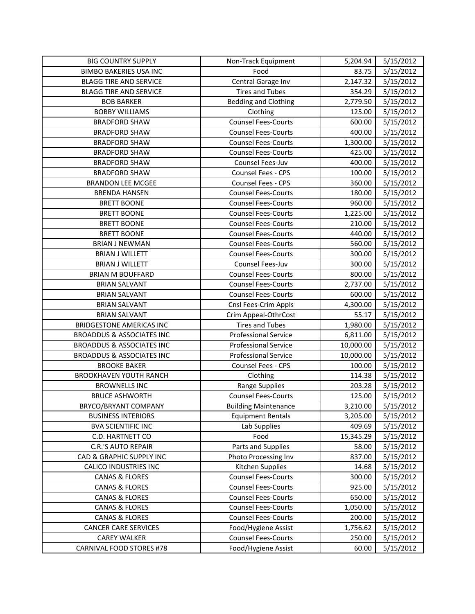| <b>BIG COUNTRY SUPPLY</b>            | Non-Track Equipment         | 5,204.94  | 5/15/2012 |
|--------------------------------------|-----------------------------|-----------|-----------|
| <b>BIMBO BAKERIES USA INC</b>        | Food                        | 83.75     | 5/15/2012 |
| <b>BLAGG TIRE AND SERVICE</b>        | Central Garage Inv          | 2,147.32  | 5/15/2012 |
| <b>BLAGG TIRE AND SERVICE</b>        | <b>Tires and Tubes</b>      | 354.29    | 5/15/2012 |
| <b>BOB BARKER</b>                    | <b>Bedding and Clothing</b> | 2,779.50  | 5/15/2012 |
| <b>BOBBY WILLIAMS</b>                | Clothing                    | 125.00    | 5/15/2012 |
| <b>BRADFORD SHAW</b>                 | <b>Counsel Fees-Courts</b>  | 600.00    | 5/15/2012 |
| <b>BRADFORD SHAW</b>                 | <b>Counsel Fees-Courts</b>  | 400.00    | 5/15/2012 |
| <b>BRADFORD SHAW</b>                 | <b>Counsel Fees-Courts</b>  | 1,300.00  | 5/15/2012 |
| <b>BRADFORD SHAW</b>                 | <b>Counsel Fees-Courts</b>  | 425.00    | 5/15/2012 |
| <b>BRADFORD SHAW</b>                 | Counsel Fees-Juv            | 400.00    | 5/15/2012 |
| <b>BRADFORD SHAW</b>                 | Counsel Fees - CPS          | 100.00    | 5/15/2012 |
| <b>BRANDON LEE MCGEE</b>             | Counsel Fees - CPS          | 360.00    | 5/15/2012 |
| <b>BRENDA HANSEN</b>                 | <b>Counsel Fees-Courts</b>  | 180.00    | 5/15/2012 |
| <b>BRETT BOONE</b>                   | <b>Counsel Fees-Courts</b>  | 960.00    | 5/15/2012 |
| <b>BRETT BOONE</b>                   | <b>Counsel Fees-Courts</b>  | 1,225.00  | 5/15/2012 |
| <b>BRETT BOONE</b>                   | <b>Counsel Fees-Courts</b>  | 210.00    | 5/15/2012 |
| <b>BRETT BOONE</b>                   | <b>Counsel Fees-Courts</b>  | 440.00    | 5/15/2012 |
| <b>BRIAN J NEWMAN</b>                | <b>Counsel Fees-Courts</b>  | 560.00    | 5/15/2012 |
| <b>BRIAN J WILLETT</b>               | <b>Counsel Fees-Courts</b>  | 300.00    | 5/15/2012 |
| <b>BRIAN J WILLETT</b>               | Counsel Fees-Juv            | 300.00    | 5/15/2012 |
| <b>BRIAN M BOUFFARD</b>              | <b>Counsel Fees-Courts</b>  | 800.00    | 5/15/2012 |
| <b>BRIAN SALVANT</b>                 | <b>Counsel Fees-Courts</b>  | 2,737.00  | 5/15/2012 |
| <b>BRIAN SALVANT</b>                 | <b>Counsel Fees-Courts</b>  | 600.00    | 5/15/2012 |
| <b>BRIAN SALVANT</b>                 | Cnsl Fees-Crim Appls        | 4,300.00  | 5/15/2012 |
| <b>BRIAN SALVANT</b>                 | Crim Appeal-OthrCost        | 55.17     | 5/15/2012 |
| <b>BRIDGESTONE AMERICAS INC</b>      | <b>Tires and Tubes</b>      | 1,980.00  | 5/15/2012 |
| <b>BROADDUS &amp; ASSOCIATES INC</b> | <b>Professional Service</b> | 6,811.00  | 5/15/2012 |
| <b>BROADDUS &amp; ASSOCIATES INC</b> | <b>Professional Service</b> | 10,000.00 | 5/15/2012 |
| <b>BROADDUS &amp; ASSOCIATES INC</b> | <b>Professional Service</b> | 10,000.00 | 5/15/2012 |
| <b>BROOKE BAKER</b>                  | Counsel Fees - CPS          | 100.00    | 5/15/2012 |
| <b>BROOKHAVEN YOUTH RANCH</b>        | Clothing                    | 114.38    | 5/15/2012 |
| <b>BROWNELLS INC</b>                 | Range Supplies              | 203.28    | 5/15/2012 |
| <b>BRUCE ASHWORTH</b>                | <b>Counsel Fees-Courts</b>  | 125.00    | 5/15/2012 |
| BRYCO/BRYANT COMPANY                 | <b>Building Maintenance</b> | 3,210.00  | 5/15/2012 |
| <b>BUSINESS INTERIORS</b>            | <b>Equipment Rentals</b>    | 3,205.00  | 5/15/2012 |
| <b>BVA SCIENTIFIC INC</b>            | Lab Supplies                | 409.69    | 5/15/2012 |
| C.D. HARTNETT CO                     | Food                        | 15,345.29 | 5/15/2012 |
| <b>C.R.'S AUTO REPAIR</b>            | Parts and Supplies          | 58.00     | 5/15/2012 |
| CAD & GRAPHIC SUPPLY INC             | Photo Processing Inv        | 837.00    | 5/15/2012 |
| <b>CALICO INDUSTRIES INC</b>         | Kitchen Supplies            | 14.68     | 5/15/2012 |
| <b>CANAS &amp; FLORES</b>            | <b>Counsel Fees-Courts</b>  | 300.00    | 5/15/2012 |
| <b>CANAS &amp; FLORES</b>            | <b>Counsel Fees-Courts</b>  | 925.00    | 5/15/2012 |
| <b>CANAS &amp; FLORES</b>            | <b>Counsel Fees-Courts</b>  | 650.00    | 5/15/2012 |
| <b>CANAS &amp; FLORES</b>            | <b>Counsel Fees-Courts</b>  | 1,050.00  | 5/15/2012 |
| <b>CANAS &amp; FLORES</b>            | <b>Counsel Fees-Courts</b>  | 200.00    | 5/15/2012 |
| <b>CANCER CARE SERVICES</b>          | Food/Hygiene Assist         | 1,756.62  | 5/15/2012 |
| <b>CAREY WALKER</b>                  | <b>Counsel Fees-Courts</b>  | 250.00    | 5/15/2012 |
| CARNIVAL FOOD STORES #78             | Food/Hygiene Assist         | 60.00     | 5/15/2012 |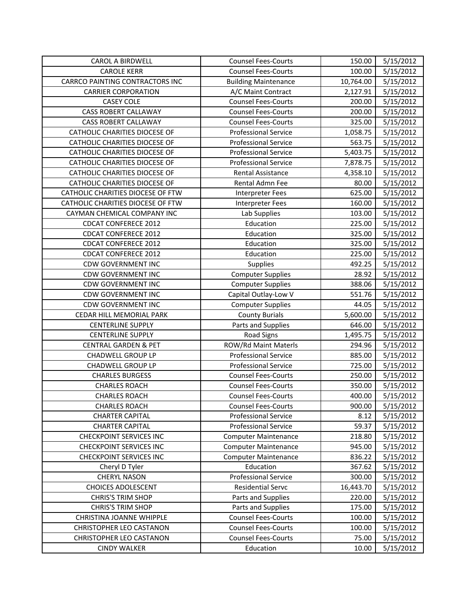| <b>CAROL A BIRDWELL</b>           | <b>Counsel Fees-Courts</b>  | 150.00    | 5/15/2012 |
|-----------------------------------|-----------------------------|-----------|-----------|
| <b>CAROLE KERR</b>                | <b>Counsel Fees-Courts</b>  | 100.00    | 5/15/2012 |
| CARRCO PAINTING CONTRACTORS INC   | <b>Building Maintenance</b> | 10,764.00 | 5/15/2012 |
| <b>CARRIER CORPORATION</b>        | A/C Maint Contract          | 2,127.91  | 5/15/2012 |
| <b>CASEY COLE</b>                 | <b>Counsel Fees-Courts</b>  | 200.00    | 5/15/2012 |
| <b>CASS ROBERT CALLAWAY</b>       | <b>Counsel Fees-Courts</b>  | 200.00    | 5/15/2012 |
| <b>CASS ROBERT CALLAWAY</b>       | <b>Counsel Fees-Courts</b>  | 325.00    | 5/15/2012 |
| CATHOLIC CHARITIES DIOCESE OF     | <b>Professional Service</b> | 1,058.75  | 5/15/2012 |
| CATHOLIC CHARITIES DIOCESE OF     | <b>Professional Service</b> | 563.75    | 5/15/2012 |
| CATHOLIC CHARITIES DIOCESE OF     | <b>Professional Service</b> | 5,403.75  | 5/15/2012 |
| CATHOLIC CHARITIES DIOCESE OF     | <b>Professional Service</b> | 7,878.75  | 5/15/2012 |
| CATHOLIC CHARITIES DIOCESE OF     | Rental Assistance           | 4,358.10  | 5/15/2012 |
| CATHOLIC CHARITIES DIOCESE OF     | Rental Admn Fee             | 80.00     | 5/15/2012 |
| CATHOLIC CHARITIES DIOCESE OF FTW | <b>Interpreter Fees</b>     | 625.00    | 5/15/2012 |
| CATHOLIC CHARITIES DIOCESE OF FTW | <b>Interpreter Fees</b>     | 160.00    | 5/15/2012 |
| CAYMAN CHEMICAL COMPANY INC       | Lab Supplies                | 103.00    | 5/15/2012 |
| <b>CDCAT CONFERECE 2012</b>       | Education                   | 225.00    | 5/15/2012 |
| <b>CDCAT CONFERECE 2012</b>       | Education                   | 325.00    | 5/15/2012 |
| <b>CDCAT CONFERECE 2012</b>       | Education                   | 325.00    | 5/15/2012 |
| <b>CDCAT CONFERECE 2012</b>       | Education                   | 225.00    | 5/15/2012 |
| <b>CDW GOVERNMENT INC</b>         | <b>Supplies</b>             | 492.25    | 5/15/2012 |
| <b>CDW GOVERNMENT INC</b>         | <b>Computer Supplies</b>    | 28.92     | 5/15/2012 |
| <b>CDW GOVERNMENT INC</b>         | <b>Computer Supplies</b>    | 388.06    | 5/15/2012 |
| <b>CDW GOVERNMENT INC</b>         | Capital Outlay-Low V        | 551.76    | 5/15/2012 |
| <b>CDW GOVERNMENT INC</b>         | <b>Computer Supplies</b>    | 44.05     | 5/15/2012 |
| CEDAR HILL MEMORIAL PARK          | <b>County Burials</b>       | 5,600.00  | 5/15/2012 |
| <b>CENTERLINE SUPPLY</b>          | Parts and Supplies          | 646.00    | 5/15/2012 |
| <b>CENTERLINE SUPPLY</b>          | <b>Road Signs</b>           | 1,495.75  | 5/15/2012 |
| <b>CENTRAL GARDEN &amp; PET</b>   | ROW/Rd Maint Materls        | 294.96    | 5/15/2012 |
| <b>CHADWELL GROUP LP</b>          | <b>Professional Service</b> | 885.00    | 5/15/2012 |
| CHADWELL GROUP LP                 | <b>Professional Service</b> | 725.00    | 5/15/2012 |
| <b>CHARLES BURGESS</b>            | <b>Counsel Fees-Courts</b>  | 250.00    | 5/15/2012 |
| <b>CHARLES ROACH</b>              | <b>Counsel Fees-Courts</b>  | 350.00    | 5/15/2012 |
| <b>CHARLES ROACH</b>              | <b>Counsel Fees-Courts</b>  | 400.00    | 5/15/2012 |
| <b>CHARLES ROACH</b>              | <b>Counsel Fees-Courts</b>  | 900.00    | 5/15/2012 |
| <b>CHARTER CAPITAL</b>            | <b>Professional Service</b> | 8.12      | 5/15/2012 |
| <b>CHARTER CAPITAL</b>            | <b>Professional Service</b> | 59.37     | 5/15/2012 |
| <b>CHECKPOINT SERVICES INC</b>    | <b>Computer Maintenance</b> | 218.80    | 5/15/2012 |
| <b>CHECKPOINT SERVICES INC</b>    | <b>Computer Maintenance</b> | 945.00    | 5/15/2012 |
| <b>CHECKPOINT SERVICES INC</b>    | <b>Computer Maintenance</b> | 836.22    | 5/15/2012 |
| Cheryl D Tyler                    | Education                   | 367.62    | 5/15/2012 |
| <b>CHERYL NASON</b>               | <b>Professional Service</b> | 300.00    | 5/15/2012 |
| <b>CHOICES ADOLESCENT</b>         | <b>Residential Servc</b>    | 16,443.70 | 5/15/2012 |
| <b>CHRIS'S TRIM SHOP</b>          | Parts and Supplies          | 220.00    | 5/15/2012 |
| <b>CHRIS'S TRIM SHOP</b>          | Parts and Supplies          | 175.00    | 5/15/2012 |
| CHRISTINA JOANNE WHIPPLE          | <b>Counsel Fees-Courts</b>  | 100.00    | 5/15/2012 |
| CHRISTOPHER LEO CASTANON          | <b>Counsel Fees-Courts</b>  | 100.00    | 5/15/2012 |
| <b>CHRISTOPHER LEO CASTANON</b>   | <b>Counsel Fees-Courts</b>  | 75.00     | 5/15/2012 |
| <b>CINDY WALKER</b>               | Education                   | 10.00     | 5/15/2012 |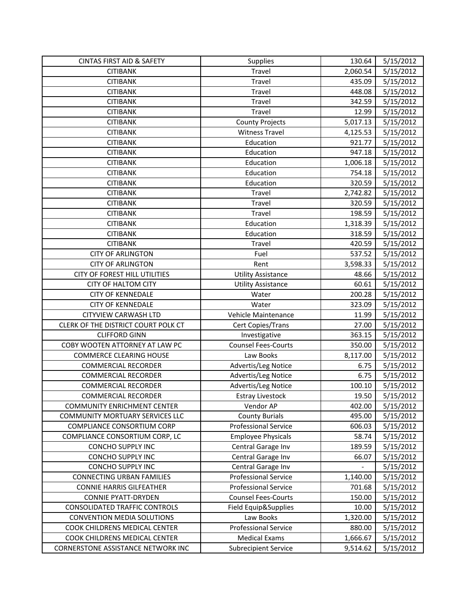| <b>CINTAS FIRST AID &amp; SAFETY</b> | <b>Supplies</b>             | 130.64   | 5/15/2012 |
|--------------------------------------|-----------------------------|----------|-----------|
| <b>CITIBANK</b>                      | Travel                      | 2,060.54 | 5/15/2012 |
| <b>CITIBANK</b>                      | Travel                      | 435.09   | 5/15/2012 |
| <b>CITIBANK</b>                      | Travel                      | 448.08   | 5/15/2012 |
| <b>CITIBANK</b>                      | Travel                      | 342.59   | 5/15/2012 |
| <b>CITIBANK</b>                      | Travel                      | 12.99    | 5/15/2012 |
| <b>CITIBANK</b>                      | <b>County Projects</b>      | 5,017.13 | 5/15/2012 |
| <b>CITIBANK</b>                      | <b>Witness Travel</b>       | 4,125.53 | 5/15/2012 |
| <b>CITIBANK</b>                      | Education                   | 921.77   | 5/15/2012 |
| <b>CITIBANK</b>                      | Education                   | 947.18   | 5/15/2012 |
| <b>CITIBANK</b>                      | Education                   | 1,006.18 | 5/15/2012 |
| <b>CITIBANK</b>                      | Education                   | 754.18   | 5/15/2012 |
| <b>CITIBANK</b>                      | Education                   | 320.59   | 5/15/2012 |
| <b>CITIBANK</b>                      | Travel                      | 2,742.82 | 5/15/2012 |
| <b>CITIBANK</b>                      | Travel                      | 320.59   | 5/15/2012 |
| <b>CITIBANK</b>                      | Travel                      | 198.59   | 5/15/2012 |
| <b>CITIBANK</b>                      | Education                   | 1,318.39 | 5/15/2012 |
| <b>CITIBANK</b>                      | Education                   | 318.59   | 5/15/2012 |
| <b>CITIBANK</b>                      | Travel                      | 420.59   | 5/15/2012 |
| <b>CITY OF ARLINGTON</b>             | Fuel                        | 537.52   | 5/15/2012 |
| <b>CITY OF ARLINGTON</b>             | Rent                        | 3,598.33 | 5/15/2012 |
| CITY OF FOREST HILL UTILITIES        | <b>Utility Assistance</b>   | 48.66    | 5/15/2012 |
| <b>CITY OF HALTOM CITY</b>           | <b>Utility Assistance</b>   | 60.61    | 5/15/2012 |
| <b>CITY OF KENNEDALE</b>             | Water                       | 200.28   | 5/15/2012 |
| <b>CITY OF KENNEDALE</b>             | Water                       | 323.09   | 5/15/2012 |
| CITYVIEW CARWASH LTD                 | Vehicle Maintenance         | 11.99    | 5/15/2012 |
| CLERK OF THE DISTRICT COURT POLK CT  | Cert Copies/Trans           | 27.00    | 5/15/2012 |
| <b>CLIFFORD GINN</b>                 | Investigative               | 363.15   | 5/15/2012 |
| COBY WOOTEN ATTORNEY AT LAW PC       | <b>Counsel Fees-Courts</b>  | 350.00   | 5/15/2012 |
| <b>COMMERCE CLEARING HOUSE</b>       | Law Books                   | 8,117.00 | 5/15/2012 |
| <b>COMMERCIAL RECORDER</b>           | Advertis/Leg Notice         | 6.75     | 5/15/2012 |
| <b>COMMERCIAL RECORDER</b>           | Advertis/Leg Notice         | 6.75     | 5/15/2012 |
| <b>COMMERCIAL RECORDER</b>           | Advertis/Leg Notice         | 100.10   | 5/15/2012 |
| <b>COMMERCIAL RECORDER</b>           | <b>Estray Livestock</b>     | 19.50    | 5/15/2012 |
| <b>COMMUNITY ENRICHMENT CENTER</b>   | Vendor AP                   | 402.00   | 5/15/2012 |
| COMMUNITY MORTUARY SERVICES LLC      | <b>County Burials</b>       | 495.00   | 5/15/2012 |
| COMPLIANCE CONSORTIUM CORP           | <b>Professional Service</b> | 606.03   | 5/15/2012 |
| COMPLIANCE CONSORTIUM CORP, LC       | <b>Employee Physicals</b>   | 58.74    | 5/15/2012 |
| CONCHO SUPPLY INC                    | Central Garage Inv          | 189.59   | 5/15/2012 |
| <b>CONCHO SUPPLY INC</b>             | Central Garage Inv          | 66.07    | 5/15/2012 |
| CONCHO SUPPLY INC                    | Central Garage Inv          |          | 5/15/2012 |
| <b>CONNECTING URBAN FAMILIES</b>     | <b>Professional Service</b> | 1,140.00 | 5/15/2012 |
| <b>CONNIE HARRIS GILFEATHER</b>      | <b>Professional Service</b> | 701.68   | 5/15/2012 |
| <b>CONNIE PYATT-DRYDEN</b>           | <b>Counsel Fees-Courts</b>  | 150.00   | 5/15/2012 |
| <b>CONSOLIDATED TRAFFIC CONTROLS</b> | Field Equip&Supplies        | 10.00    | 5/15/2012 |
| <b>CONVENTION MEDIA SOLUTIONS</b>    | Law Books                   | 1,320.00 | 5/15/2012 |
| COOK CHILDRENS MEDICAL CENTER        | <b>Professional Service</b> | 880.00   | 5/15/2012 |
| COOK CHILDRENS MEDICAL CENTER        | <b>Medical Exams</b>        | 1,666.67 | 5/15/2012 |
| CORNERSTONE ASSISTANCE NETWORK INC   | <b>Subrecipient Service</b> | 9,514.62 | 5/15/2012 |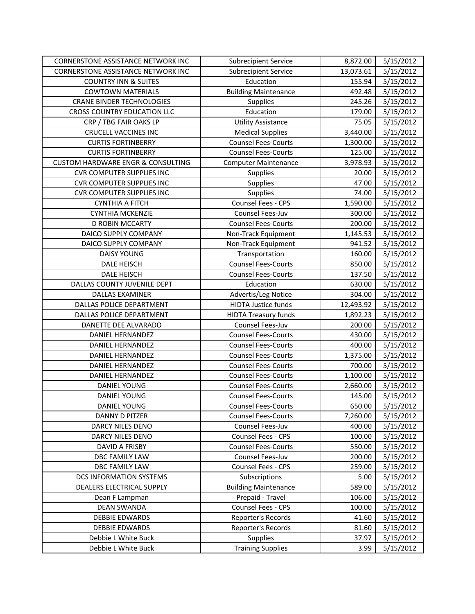| CORNERSTONE ASSISTANCE NETWORK INC           | <b>Subrecipient Service</b> | 8,872.00  | 5/15/2012 |
|----------------------------------------------|-----------------------------|-----------|-----------|
| CORNERSTONE ASSISTANCE NETWORK INC           | <b>Subrecipient Service</b> | 13,073.61 | 5/15/2012 |
| <b>COUNTRY INN &amp; SUITES</b>              | Education                   | 155.94    | 5/15/2012 |
| <b>COWTOWN MATERIALS</b>                     | <b>Building Maintenance</b> | 492.48    | 5/15/2012 |
| <b>CRANE BINDER TECHNOLOGIES</b>             | Supplies                    | 245.26    | 5/15/2012 |
| <b>CROSS COUNTRY EDUCATION LLC</b>           | Education                   | 179.00    | 5/15/2012 |
| CRP / TBG FAIR OAKS LP                       | <b>Utility Assistance</b>   | 75.05     | 5/15/2012 |
| <b>CRUCELL VACCINES INC</b>                  | <b>Medical Supplies</b>     | 3,440.00  | 5/15/2012 |
| <b>CURTIS FORTINBERRY</b>                    | <b>Counsel Fees-Courts</b>  | 1,300.00  | 5/15/2012 |
| <b>CURTIS FORTINBERRY</b>                    | <b>Counsel Fees-Courts</b>  | 125.00    | 5/15/2012 |
| <b>CUSTOM HARDWARE ENGR &amp; CONSULTING</b> | <b>Computer Maintenance</b> | 3,978.93  | 5/15/2012 |
| <b>CVR COMPUTER SUPPLIES INC</b>             | <b>Supplies</b>             | 20.00     | 5/15/2012 |
| <b>CVR COMPUTER SUPPLIES INC</b>             | Supplies                    | 47.00     | 5/15/2012 |
| <b>CVR COMPUTER SUPPLIES INC</b>             | Supplies                    | 74.00     | 5/15/2012 |
| <b>CYNTHIA A FITCH</b>                       | Counsel Fees - CPS          | 1,590.00  | 5/15/2012 |
| <b>CYNTHIA MCKENZIE</b>                      | Counsel Fees-Juv            | 300.00    | 5/15/2012 |
| D ROBIN MCCARTY                              | <b>Counsel Fees-Courts</b>  | 200.00    | 5/15/2012 |
| DAICO SUPPLY COMPANY                         | Non-Track Equipment         | 1,145.53  | 5/15/2012 |
| DAICO SUPPLY COMPANY                         | Non-Track Equipment         | 941.52    | 5/15/2012 |
| <b>DAISY YOUNG</b>                           | Transportation              | 160.00    | 5/15/2012 |
| DALE HEISCH                                  | <b>Counsel Fees-Courts</b>  | 850.00    | 5/15/2012 |
| <b>DALE HEISCH</b>                           | <b>Counsel Fees-Courts</b>  | 137.50    | 5/15/2012 |
| DALLAS COUNTY JUVENILE DEPT                  | Education                   | 630.00    | 5/15/2012 |
| DALLAS EXAMINER                              | Advertis/Leg Notice         | 304.00    | 5/15/2012 |
| DALLAS POLICE DEPARTMENT                     | <b>HIDTA Justice funds</b>  | 12,493.92 | 5/15/2012 |
| DALLAS POLICE DEPARTMENT                     | <b>HIDTA Treasury funds</b> | 1,892.23  | 5/15/2012 |
| DANETTE DEE ALVARADO                         | Counsel Fees-Juv            | 200.00    | 5/15/2012 |
| DANIEL HERNANDEZ                             | <b>Counsel Fees-Courts</b>  | 430.00    | 5/15/2012 |
| DANIEL HERNANDEZ                             | <b>Counsel Fees-Courts</b>  | 400.00    | 5/15/2012 |
| DANIEL HERNANDEZ                             | <b>Counsel Fees-Courts</b>  | 1,375.00  | 5/15/2012 |
| DANIEL HERNANDEZ                             | <b>Counsel Fees-Courts</b>  | 700.00    | 5/15/2012 |
| <b>DANIEL HERNANDEZ</b>                      | <b>Counsel Fees-Courts</b>  | 1,100.00  | 5/15/2012 |
| DANIEL YOUNG                                 | <b>Counsel Fees-Courts</b>  | 2,660.00  | 5/15/2012 |
| <b>DANIEL YOUNG</b>                          | <b>Counsel Fees-Courts</b>  | 145.00    | 5/15/2012 |
| DANIEL YOUNG                                 | <b>Counsel Fees-Courts</b>  | 650.00    | 5/15/2012 |
| DANNY D PITZER                               | <b>Counsel Fees-Courts</b>  | 7,260.00  | 5/15/2012 |
| DARCY NILES DENO                             | Counsel Fees-Juv            | 400.00    | 5/15/2012 |
| DARCY NILES DENO                             | Counsel Fees - CPS          | 100.00    | 5/15/2012 |
| DAVID A FRISBY                               | <b>Counsel Fees-Courts</b>  | 550.00    | 5/15/2012 |
| DBC FAMILY LAW                               | Counsel Fees-Juv            | 200.00    | 5/15/2012 |
| DBC FAMILY LAW                               | Counsel Fees - CPS          | 259.00    | 5/15/2012 |
| <b>DCS INFORMATION SYSTEMS</b>               | Subscriptions               | 5.00      | 5/15/2012 |
| DEALERS ELECTRICAL SUPPLY                    | <b>Building Maintenance</b> | 589.00    | 5/15/2012 |
| Dean F Lampman                               | Prepaid - Travel            | 106.00    | 5/15/2012 |
| <b>DEAN SWANDA</b>                           | Counsel Fees - CPS          | 100.00    | 5/15/2012 |
| <b>DEBBIE EDWARDS</b>                        | Reporter's Records          | 41.60     | 5/15/2012 |
| <b>DEBBIE EDWARDS</b>                        | Reporter's Records          | 81.60     | 5/15/2012 |
| Debbie L White Buck                          | Supplies                    | 37.97     | 5/15/2012 |
| Debbie L White Buck                          | <b>Training Supplies</b>    | 3.99      | 5/15/2012 |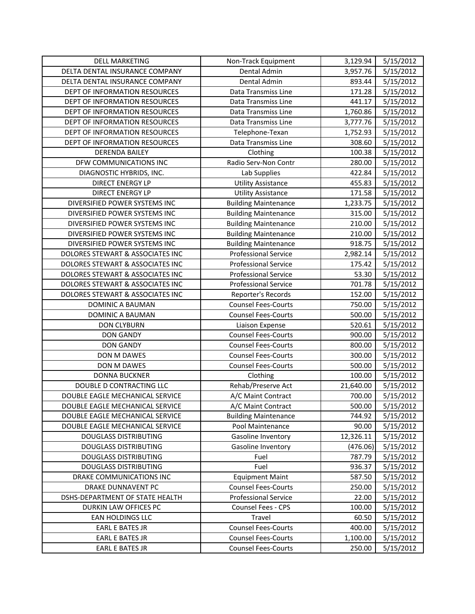| <b>DELL MARKETING</b>            | Non-Track Equipment         | 3,129.94  | 5/15/2012              |
|----------------------------------|-----------------------------|-----------|------------------------|
| DELTA DENTAL INSURANCE COMPANY   | Dental Admin                | 3,957.76  | 5/15/2012              |
| DELTA DENTAL INSURANCE COMPANY   | Dental Admin                | 893.44    | 5/15/2012              |
| DEPT OF INFORMATION RESOURCES    | Data Transmiss Line         | 171.28    | 5/15/2012              |
| DEPT OF INFORMATION RESOURCES    | Data Transmiss Line         | 441.17    | 5/15/2012              |
| DEPT OF INFORMATION RESOURCES    | Data Transmiss Line         | 1,760.86  | 5/15/2012              |
| DEPT OF INFORMATION RESOURCES    | Data Transmiss Line         | 3,777.76  | 5/15/2012              |
| DEPT OF INFORMATION RESOURCES    | Telephone-Texan             | 1,752.93  | 5/15/2012              |
| DEPT OF INFORMATION RESOURCES    | Data Transmiss Line         | 308.60    | 5/15/2012              |
| <b>DERENDA BAILEY</b>            | Clothing                    | 100.38    | 5/15/2012              |
| DFW COMMUNICATIONS INC           | Radio Serv-Non Contr        | 280.00    | 5/15/2012              |
| DIAGNOSTIC HYBRIDS, INC.         | Lab Supplies                | 422.84    | 5/15/2012              |
| <b>DIRECT ENERGY LP</b>          | <b>Utility Assistance</b>   | 455.83    | 5/15/2012              |
| <b>DIRECT ENERGY LP</b>          | <b>Utility Assistance</b>   | 171.58    | 5/15/2012              |
| DIVERSIFIED POWER SYSTEMS INC    | <b>Building Maintenance</b> | 1,233.75  | 5/15/2012              |
| DIVERSIFIED POWER SYSTEMS INC    | <b>Building Maintenance</b> | 315.00    | 5/15/2012              |
| DIVERSIFIED POWER SYSTEMS INC    | <b>Building Maintenance</b> | 210.00    | 5/15/2012              |
| DIVERSIFIED POWER SYSTEMS INC    | <b>Building Maintenance</b> | 210.00    | 5/15/2012              |
| DIVERSIFIED POWER SYSTEMS INC    | <b>Building Maintenance</b> | 918.75    | 5/15/2012              |
| DOLORES STEWART & ASSOCIATES INC | <b>Professional Service</b> | 2,982.14  | 5/15/2012              |
| DOLORES STEWART & ASSOCIATES INC | <b>Professional Service</b> | 175.42    | 5/15/2012              |
| DOLORES STEWART & ASSOCIATES INC | <b>Professional Service</b> | 53.30     | 5/15/2012              |
| DOLORES STEWART & ASSOCIATES INC | <b>Professional Service</b> | 701.78    | 5/15/2012              |
| DOLORES STEWART & ASSOCIATES INC | Reporter's Records          | 152.00    | 5/15/2012              |
| DOMINIC A BAUMAN                 | <b>Counsel Fees-Courts</b>  | 750.00    | 5/15/2012              |
| DOMINIC A BAUMAN                 | <b>Counsel Fees-Courts</b>  | 500.00    | 5/15/2012              |
| <b>DON CLYBURN</b>               | Liaison Expense             | 520.61    | 5/15/2012              |
| <b>DON GANDY</b>                 | <b>Counsel Fees-Courts</b>  | 900.00    | 5/15/2012              |
| <b>DON GANDY</b>                 | <b>Counsel Fees-Courts</b>  | 800.00    | 5/15/2012              |
| DON M DAWES                      | <b>Counsel Fees-Courts</b>  | 300.00    | 5/15/2012              |
| DON M DAWES                      | <b>Counsel Fees-Courts</b>  | 500.00    | 5/15/2012              |
| <b>DONNA BUCKNER</b>             | Clothing                    | 100.00    | 5/15/2012              |
| DOUBLE D CONTRACTING LLC         | Rehab/Preserve Act          | 21,640.00 | 5/15/2012              |
| DOUBLE EAGLE MECHANICAL SERVICE  | A/C Maint Contract          | 700.00    | 5/15/2012              |
| DOUBLE EAGLE MECHANICAL SERVICE  | A/C Maint Contract          | 500.00    | $\frac{1}{5}$ /15/2012 |
| DOUBLE EAGLE MECHANICAL SERVICE  | <b>Building Maintenance</b> | 744.92    | 5/15/2012              |
| DOUBLE EAGLE MECHANICAL SERVICE  | Pool Maintenance            | 90.00     | 5/15/2012              |
| <b>DOUGLASS DISTRIBUTING</b>     | Gasoline Inventory          | 12,326.11 | 5/15/2012              |
| <b>DOUGLASS DISTRIBUTING</b>     | Gasoline Inventory          | (476.06)  | 5/15/2012              |
| <b>DOUGLASS DISTRIBUTING</b>     | Fuel                        | 787.79    | 5/15/2012              |
| <b>DOUGLASS DISTRIBUTING</b>     | Fuel                        | 936.37    | 5/15/2012              |
| DRAKE COMMUNICATIONS INC         | <b>Equipment Maint</b>      | 587.50    | 5/15/2012              |
| <b>DRAKE DUNNAVENT PC</b>        | <b>Counsel Fees-Courts</b>  | 250.00    | 5/15/2012              |
| DSHS-DEPARTMENT OF STATE HEALTH  | <b>Professional Service</b> | 22.00     | 5/15/2012              |
| DURKIN LAW OFFICES PC            | Counsel Fees - CPS          | 100.00    | 5/15/2012              |
| EAN HOLDINGS LLC                 | Travel                      | 60.50     | 5/15/2012              |
| <b>EARL E BATES JR</b>           | <b>Counsel Fees-Courts</b>  | 400.00    | 5/15/2012              |
| <b>EARL E BATES JR</b>           | <b>Counsel Fees-Courts</b>  | 1,100.00  | 5/15/2012              |
| <b>EARL E BATES JR</b>           | <b>Counsel Fees-Courts</b>  | 250.00    | 5/15/2012              |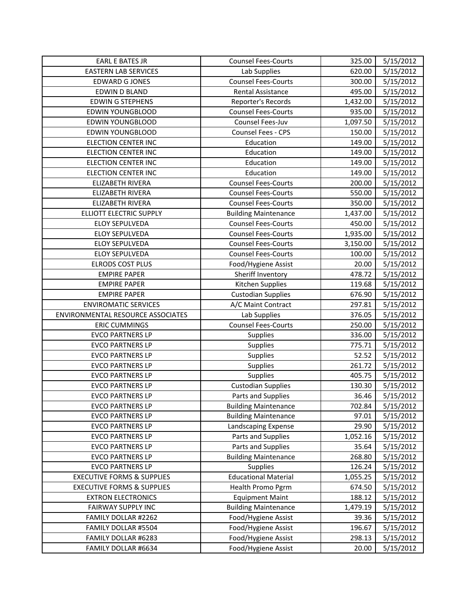| <b>EARL E BATES JR</b>                | <b>Counsel Fees-Courts</b>  | 325.00   | 5/15/2012 |
|---------------------------------------|-----------------------------|----------|-----------|
| <b>EASTERN LAB SERVICES</b>           | Lab Supplies                | 620.00   | 5/15/2012 |
| <b>EDWARD G JONES</b>                 | <b>Counsel Fees-Courts</b>  | 300.00   | 5/15/2012 |
| EDWIN D BLAND                         | Rental Assistance           | 495.00   | 5/15/2012 |
| <b>EDWIN G STEPHENS</b>               | Reporter's Records          | 1,432.00 | 5/15/2012 |
| EDWIN YOUNGBLOOD                      | <b>Counsel Fees-Courts</b>  | 935.00   | 5/15/2012 |
| EDWIN YOUNGBLOOD                      | Counsel Fees-Juv            | 1,097.50 | 5/15/2012 |
| EDWIN YOUNGBLOOD                      | Counsel Fees - CPS          | 150.00   | 5/15/2012 |
| <b>ELECTION CENTER INC</b>            | Education                   | 149.00   | 5/15/2012 |
| <b>ELECTION CENTER INC</b>            | Education                   | 149.00   | 5/15/2012 |
| <b>ELECTION CENTER INC</b>            | Education                   | 149.00   | 5/15/2012 |
| <b>ELECTION CENTER INC</b>            | Education                   | 149.00   | 5/15/2012 |
| ELIZABETH RIVERA                      | <b>Counsel Fees-Courts</b>  | 200.00   | 5/15/2012 |
| ELIZABETH RIVERA                      | <b>Counsel Fees-Courts</b>  | 550.00   | 5/15/2012 |
| ELIZABETH RIVERA                      | <b>Counsel Fees-Courts</b>  | 350.00   | 5/15/2012 |
| ELLIOTT ELECTRIC SUPPLY               | <b>Building Maintenance</b> | 1,437.00 | 5/15/2012 |
| ELOY SEPULVEDA                        | <b>Counsel Fees-Courts</b>  | 450.00   | 5/15/2012 |
| ELOY SEPULVEDA                        | <b>Counsel Fees-Courts</b>  | 1,935.00 | 5/15/2012 |
| <b>ELOY SEPULVEDA</b>                 | <b>Counsel Fees-Courts</b>  | 3,150.00 | 5/15/2012 |
| ELOY SEPULVEDA                        | <b>Counsel Fees-Courts</b>  | 100.00   | 5/15/2012 |
| <b>ELRODS COST PLUS</b>               | Food/Hygiene Assist         | 20.00    | 5/15/2012 |
| <b>EMPIRE PAPER</b>                   | Sheriff Inventory           | 478.72   | 5/15/2012 |
| <b>EMPIRE PAPER</b>                   | Kitchen Supplies            | 119.68   | 5/15/2012 |
| <b>EMPIRE PAPER</b>                   | <b>Custodian Supplies</b>   | 676.90   | 5/15/2012 |
| <b>ENVIROMATIC SERVICES</b>           | A/C Maint Contract          | 297.81   | 5/15/2012 |
| ENVIRONMENTAL RESOURCE ASSOCIATES     | Lab Supplies                | 376.05   | 5/15/2012 |
| <b>ERIC CUMMINGS</b>                  | <b>Counsel Fees-Courts</b>  | 250.00   | 5/15/2012 |
| <b>EVCO PARTNERS LP</b>               | Supplies                    | 336.00   | 5/15/2012 |
| <b>EVCO PARTNERS LP</b>               | Supplies                    | 775.71   | 5/15/2012 |
| <b>EVCO PARTNERS LP</b>               | <b>Supplies</b>             | 52.52    | 5/15/2012 |
| <b>EVCO PARTNERS LP</b>               | Supplies                    | 261.72   | 5/15/2012 |
| <b>EVCO PARTNERS LP</b>               | Supplies                    | 405.75   | 5/15/2012 |
| <b>EVCO PARTNERS LP</b>               | <b>Custodian Supplies</b>   | 130.30   | 5/15/2012 |
| <b>EVCO PARTNERS LP</b>               | Parts and Supplies          | 36.46    | 5/15/2012 |
| EVCO PARTNERS LP                      | <b>Building Maintenance</b> | 702.84   | 5/15/2012 |
| <b>EVCO PARTNERS LP</b>               | <b>Building Maintenance</b> | 97.01    | 5/15/2012 |
| <b>EVCO PARTNERS LP</b>               | Landscaping Expense         | 29.90    | 5/15/2012 |
| <b>EVCO PARTNERS LP</b>               | Parts and Supplies          | 1,052.16 | 5/15/2012 |
| <b>EVCO PARTNERS LP</b>               | Parts and Supplies          | 35.64    | 5/15/2012 |
| <b>EVCO PARTNERS LP</b>               | <b>Building Maintenance</b> | 268.80   | 5/15/2012 |
| <b>EVCO PARTNERS LP</b>               | Supplies                    | 126.24   | 5/15/2012 |
| <b>EXECUTIVE FORMS &amp; SUPPLIES</b> | <b>Educational Material</b> | 1,055.25 | 5/15/2012 |
| <b>EXECUTIVE FORMS &amp; SUPPLIES</b> | Health Promo Pgrm           | 674.50   | 5/15/2012 |
| <b>EXTRON ELECTRONICS</b>             | <b>Equipment Maint</b>      | 188.12   | 5/15/2012 |
| <b>FAIRWAY SUPPLY INC</b>             | <b>Building Maintenance</b> | 1,479.19 | 5/15/2012 |
| FAMILY DOLLAR #2262                   | Food/Hygiene Assist         | 39.36    | 5/15/2012 |
| FAMILY DOLLAR #5504                   | Food/Hygiene Assist         | 196.67   | 5/15/2012 |
| FAMILY DOLLAR #6283                   | Food/Hygiene Assist         | 298.13   | 5/15/2012 |
| FAMILY DOLLAR #6634                   | Food/Hygiene Assist         | 20.00    | 5/15/2012 |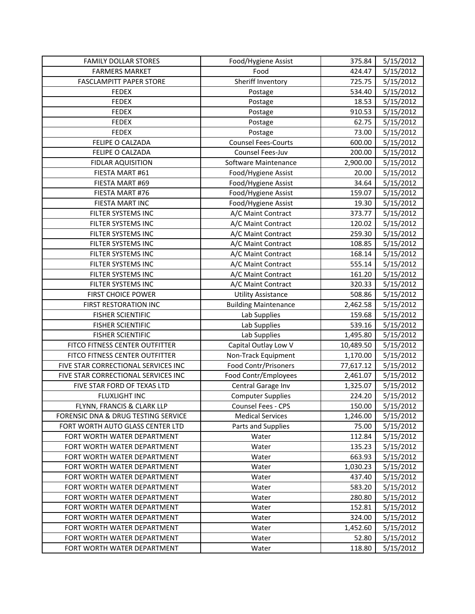| <b>FAMILY DOLLAR STORES</b>         | Food/Hygiene Assist         | 375.84    | 5/15/2012 |
|-------------------------------------|-----------------------------|-----------|-----------|
| <b>FARMERS MARKET</b>               | Food                        | 424.47    | 5/15/2012 |
| <b>FASCLAMPITT PAPER STORE</b>      | Sheriff Inventory           | 725.75    | 5/15/2012 |
| <b>FEDEX</b>                        | Postage                     | 534.40    | 5/15/2012 |
| <b>FEDEX</b>                        | Postage                     | 18.53     | 5/15/2012 |
| <b>FEDEX</b>                        | Postage                     | 910.53    | 5/15/2012 |
| <b>FEDEX</b>                        | Postage                     | 62.75     | 5/15/2012 |
| <b>FEDEX</b>                        | Postage                     | 73.00     | 5/15/2012 |
| FELIPE O CALZADA                    | <b>Counsel Fees-Courts</b>  | 600.00    | 5/15/2012 |
| FELIPE O CALZADA                    | Counsel Fees-Juv            | 200.00    | 5/15/2012 |
| <b>FIDLAR AQUISITION</b>            | Software Maintenance        | 2,900.00  | 5/15/2012 |
| FIESTA MART #61                     | Food/Hygiene Assist         | 20.00     | 5/15/2012 |
| FIESTA MART #69                     | Food/Hygiene Assist         | 34.64     | 5/15/2012 |
| FIESTA MART #76                     | Food/Hygiene Assist         | 159.07    | 5/15/2012 |
| FIESTA MART INC                     | Food/Hygiene Assist         | 19.30     | 5/15/2012 |
| FILTER SYSTEMS INC                  | A/C Maint Contract          | 373.77    | 5/15/2012 |
| FILTER SYSTEMS INC                  | A/C Maint Contract          | 120.02    | 5/15/2012 |
| FILTER SYSTEMS INC                  | A/C Maint Contract          | 259.30    | 5/15/2012 |
| FILTER SYSTEMS INC                  | A/C Maint Contract          | 108.85    | 5/15/2012 |
| FILTER SYSTEMS INC                  | A/C Maint Contract          | 168.14    | 5/15/2012 |
| FILTER SYSTEMS INC                  | A/C Maint Contract          | 555.14    | 5/15/2012 |
| FILTER SYSTEMS INC                  | A/C Maint Contract          | 161.20    | 5/15/2012 |
| FILTER SYSTEMS INC                  | A/C Maint Contract          | 320.33    | 5/15/2012 |
| FIRST CHOICE POWER                  | <b>Utility Assistance</b>   | 508.86    | 5/15/2012 |
| FIRST RESTORATION INC               | <b>Building Maintenance</b> | 2,462.58  | 5/15/2012 |
| <b>FISHER SCIENTIFIC</b>            | Lab Supplies                | 159.68    | 5/15/2012 |
| <b>FISHER SCIENTIFIC</b>            | Lab Supplies                | 539.16    | 5/15/2012 |
| <b>FISHER SCIENTIFIC</b>            | Lab Supplies                | 1,495.80  | 5/15/2012 |
| FITCO FITNESS CENTER OUTFITTER      | Capital Outlay Low V        | 10,489.50 | 5/15/2012 |
| FITCO FITNESS CENTER OUTFITTER      | Non-Track Equipment         | 1,170.00  | 5/15/2012 |
| FIVE STAR CORRECTIONAL SERVICES INC | Food Contr/Prisoners        | 77,617.12 | 5/15/2012 |
| FIVE STAR CORRECTIONAL SERVICES INC | Food Contr/Employees        | 2,461.07  | 5/15/2012 |
| FIVE STAR FORD OF TEXAS LTD         | Central Garage Inv          | 1,325.07  | 5/15/2012 |
| <b>FLUXLIGHT INC</b>                | <b>Computer Supplies</b>    | 224.20    | 5/15/2012 |
| FLYNN, FRANCIS & CLARK LLP          | Counsel Fees - CPS          | 150.00    | 5/15/2012 |
| FORENSIC DNA & DRUG TESTING SERVICE | <b>Medical Services</b>     | 1,246.00  | 5/15/2012 |
| FORT WORTH AUTO GLASS CENTER LTD    | Parts and Supplies          | 75.00     | 5/15/2012 |
| FORT WORTH WATER DEPARTMENT         | Water                       | 112.84    | 5/15/2012 |
| FORT WORTH WATER DEPARTMENT         | Water                       | 135.23    | 5/15/2012 |
| FORT WORTH WATER DEPARTMENT         | Water                       | 663.93    | 5/15/2012 |
| FORT WORTH WATER DEPARTMENT         | Water                       | 1,030.23  | 5/15/2012 |
| FORT WORTH WATER DEPARTMENT         | Water                       | 437.40    | 5/15/2012 |
| FORT WORTH WATER DEPARTMENT         | Water                       | 583.20    | 5/15/2012 |
| FORT WORTH WATER DEPARTMENT         | Water                       | 280.80    | 5/15/2012 |
| FORT WORTH WATER DEPARTMENT         | Water                       | 152.81    | 5/15/2012 |
| FORT WORTH WATER DEPARTMENT         | Water                       | 324.00    | 5/15/2012 |
| FORT WORTH WATER DEPARTMENT         | Water                       | 1,452.60  | 5/15/2012 |
| FORT WORTH WATER DEPARTMENT         | Water                       | 52.80     | 5/15/2012 |
| FORT WORTH WATER DEPARTMENT         | Water                       | 118.80    | 5/15/2012 |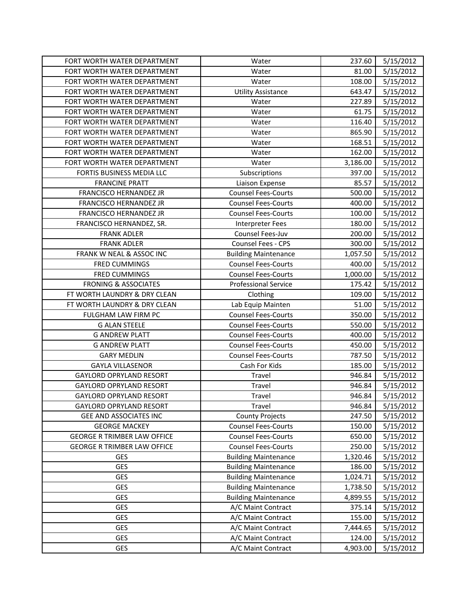| FORT WORTH WATER DEPARTMENT        | Water                       | 237.60   | 5/15/2012 |
|------------------------------------|-----------------------------|----------|-----------|
| FORT WORTH WATER DEPARTMENT        | Water                       | 81.00    | 5/15/2012 |
| FORT WORTH WATER DEPARTMENT        | Water                       | 108.00   | 5/15/2012 |
| FORT WORTH WATER DEPARTMENT        | <b>Utility Assistance</b>   | 643.47   | 5/15/2012 |
| FORT WORTH WATER DEPARTMENT        | Water                       | 227.89   | 5/15/2012 |
| FORT WORTH WATER DEPARTMENT        | Water                       | 61.75    | 5/15/2012 |
| FORT WORTH WATER DEPARTMENT        | Water                       | 116.40   | 5/15/2012 |
| FORT WORTH WATER DEPARTMENT        | Water                       | 865.90   | 5/15/2012 |
| FORT WORTH WATER DEPARTMENT        | Water                       | 168.51   | 5/15/2012 |
| FORT WORTH WATER DEPARTMENT        | Water                       | 162.00   | 5/15/2012 |
| FORT WORTH WATER DEPARTMENT        | Water                       | 3,186.00 | 5/15/2012 |
| FORTIS BUSINESS MEDIA LLC          | Subscriptions               | 397.00   | 5/15/2012 |
| <b>FRANCINE PRATT</b>              | Liaison Expense             | 85.57    | 5/15/2012 |
| FRANCISCO HERNANDEZ JR             | <b>Counsel Fees-Courts</b>  | 500.00   | 5/15/2012 |
| FRANCISCO HERNANDEZ JR             | <b>Counsel Fees-Courts</b>  | 400.00   | 5/15/2012 |
| FRANCISCO HERNANDEZ JR             | <b>Counsel Fees-Courts</b>  | 100.00   | 5/15/2012 |
| FRANCISCO HERNANDEZ, SR.           | <b>Interpreter Fees</b>     | 180.00   | 5/15/2012 |
| <b>FRANK ADLER</b>                 | Counsel Fees-Juv            | 200.00   | 5/15/2012 |
| <b>FRANK ADLER</b>                 | Counsel Fees - CPS          | 300.00   | 5/15/2012 |
| FRANK W NEAL & ASSOC INC           | <b>Building Maintenance</b> | 1,057.50 | 5/15/2012 |
| <b>FRED CUMMINGS</b>               | <b>Counsel Fees-Courts</b>  | 400.00   | 5/15/2012 |
| <b>FRED CUMMINGS</b>               | <b>Counsel Fees-Courts</b>  | 1,000.00 | 5/15/2012 |
| <b>FRONING &amp; ASSOCIATES</b>    | <b>Professional Service</b> | 175.42   | 5/15/2012 |
| FT WORTH LAUNDRY & DRY CLEAN       | Clothing                    | 109.00   | 5/15/2012 |
| FT WORTH LAUNDRY & DRY CLEAN       | Lab Equip Mainten           | 51.00    | 5/15/2012 |
| FULGHAM LAW FIRM PC                | <b>Counsel Fees-Courts</b>  | 350.00   | 5/15/2012 |
| <b>G ALAN STEELE</b>               | <b>Counsel Fees-Courts</b>  | 550.00   | 5/15/2012 |
| <b>G ANDREW PLATT</b>              | <b>Counsel Fees-Courts</b>  | 400.00   | 5/15/2012 |
| <b>G ANDREW PLATT</b>              | <b>Counsel Fees-Courts</b>  | 450.00   | 5/15/2012 |
| <b>GARY MEDLIN</b>                 | <b>Counsel Fees-Courts</b>  | 787.50   | 5/15/2012 |
| <b>GAYLA VILLASENOR</b>            | Cash For Kids               | 185.00   | 5/15/2012 |
| <b>GAYLORD OPRYLAND RESORT</b>     | Travel                      | 946.84   | 5/15/2012 |
| <b>GAYLORD OPRYLAND RESORT</b>     | Travel                      | 946.84   | 5/15/2012 |
| <b>GAYLORD OPRYLAND RESORT</b>     | Travel                      | 946.84   | 5/15/2012 |
| <b>GAYLORD OPRYLAND RESORT</b>     | Travel                      | 946.84   | 5/15/2012 |
| GEE AND ASSOCIATES INC             | <b>County Projects</b>      | 247.50   | 5/15/2012 |
| <b>GEORGE MACKEY</b>               | <b>Counsel Fees-Courts</b>  | 150.00   | 5/15/2012 |
| <b>GEORGE R TRIMBER LAW OFFICE</b> | <b>Counsel Fees-Courts</b>  | 650.00   | 5/15/2012 |
| <b>GEORGE R TRIMBER LAW OFFICE</b> | <b>Counsel Fees-Courts</b>  | 250.00   | 5/15/2012 |
| GES                                | <b>Building Maintenance</b> | 1,320.46 | 5/15/2012 |
| GES                                | <b>Building Maintenance</b> | 186.00   | 5/15/2012 |
| <b>GES</b>                         | <b>Building Maintenance</b> | 1,024.71 | 5/15/2012 |
| GES                                | <b>Building Maintenance</b> | 1,738.50 | 5/15/2012 |
| GES                                | <b>Building Maintenance</b> | 4,899.55 | 5/15/2012 |
| GES                                | A/C Maint Contract          | 375.14   | 5/15/2012 |
| GES                                | A/C Maint Contract          | 155.00   | 5/15/2012 |
| GES                                | A/C Maint Contract          | 7,444.65 | 5/15/2012 |
| <b>GES</b>                         | A/C Maint Contract          | 124.00   | 5/15/2012 |
| GES                                | A/C Maint Contract          | 4,903.00 | 5/15/2012 |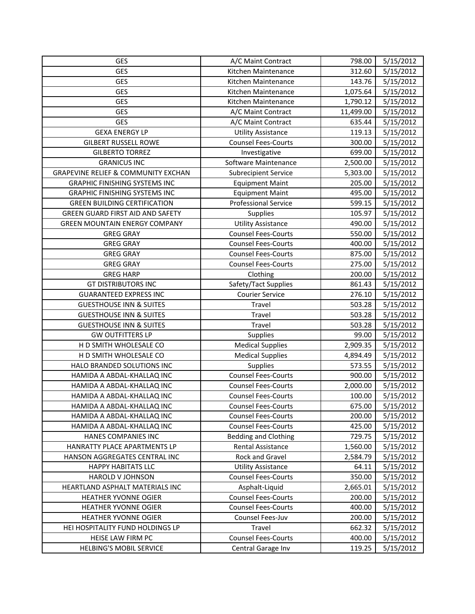| GES                                            | A/C Maint Contract          | 798.00    | 5/15/2012 |
|------------------------------------------------|-----------------------------|-----------|-----------|
| <b>GES</b>                                     | Kitchen Maintenance         | 312.60    | 5/15/2012 |
| <b>GES</b>                                     | Kitchen Maintenance         | 143.76    | 5/15/2012 |
| <b>GES</b>                                     | Kitchen Maintenance         | 1,075.64  | 5/15/2012 |
| GES                                            | Kitchen Maintenance         | 1,790.12  | 5/15/2012 |
| GES                                            | A/C Maint Contract          | 11,499.00 | 5/15/2012 |
| <b>GES</b>                                     | A/C Maint Contract          | 635.44    | 5/15/2012 |
| <b>GEXA ENERGY LP</b>                          | <b>Utility Assistance</b>   | 119.13    | 5/15/2012 |
| <b>GILBERT RUSSELL ROWE</b>                    | <b>Counsel Fees-Courts</b>  | 300.00    | 5/15/2012 |
| <b>GILBERTO TORREZ</b>                         | Investigative               | 699.00    | 5/15/2012 |
| <b>GRANICUS INC</b>                            | Software Maintenance        | 2,500.00  | 5/15/2012 |
| <b>GRAPEVINE RELIEF &amp; COMMUNITY EXCHAN</b> | <b>Subrecipient Service</b> | 5,303.00  | 5/15/2012 |
| <b>GRAPHIC FINISHING SYSTEMS INC</b>           | <b>Equipment Maint</b>      | 205.00    | 5/15/2012 |
| <b>GRAPHIC FINISHING SYSTEMS INC</b>           | <b>Equipment Maint</b>      | 495.00    | 5/15/2012 |
| <b>GREEN BUILDING CERTIFICATION</b>            | <b>Professional Service</b> | 599.15    | 5/15/2012 |
| GREEN GUARD FIRST AID AND SAFETY               | <b>Supplies</b>             | 105.97    | 5/15/2012 |
| <b>GREEN MOUNTAIN ENERGY COMPANY</b>           | <b>Utility Assistance</b>   | 490.00    | 5/15/2012 |
| <b>GREG GRAY</b>                               | <b>Counsel Fees-Courts</b>  | 550.00    | 5/15/2012 |
| <b>GREG GRAY</b>                               | <b>Counsel Fees-Courts</b>  | 400.00    | 5/15/2012 |
| <b>GREG GRAY</b>                               | <b>Counsel Fees-Courts</b>  | 875.00    | 5/15/2012 |
| <b>GREG GRAY</b>                               | <b>Counsel Fees-Courts</b>  | 275.00    | 5/15/2012 |
| <b>GREG HARP</b>                               | Clothing                    | 200.00    | 5/15/2012 |
| <b>GT DISTRIBUTORS INC</b>                     | Safety/Tact Supplies        | 861.43    | 5/15/2012 |
| <b>GUARANTEED EXPRESS INC</b>                  | <b>Courier Service</b>      | 276.10    | 5/15/2012 |
| <b>GUESTHOUSE INN &amp; SUITES</b>             | Travel                      | 503.28    | 5/15/2012 |
| <b>GUESTHOUSE INN &amp; SUITES</b>             | Travel                      | 503.28    | 5/15/2012 |
| <b>GUESTHOUSE INN &amp; SUITES</b>             | Travel                      | 503.28    | 5/15/2012 |
| <b>GW OUTFITTERS LP</b>                        | Supplies                    | 99.00     | 5/15/2012 |
| H D SMITH WHOLESALE CO                         | <b>Medical Supplies</b>     | 2,909.35  | 5/15/2012 |
| H D SMITH WHOLESALE CO                         | <b>Medical Supplies</b>     | 4,894.49  | 5/15/2012 |
| HALO BRANDED SOLUTIONS INC                     | Supplies                    | 573.55    | 5/15/2012 |
| HAMIDA A ABDAL-KHALLAQ INC                     | <b>Counsel Fees-Courts</b>  | 900.00    | 5/15/2012 |
| HAMIDA A ABDAL-KHALLAQ INC                     | <b>Counsel Fees-Courts</b>  | 2,000.00  | 5/15/2012 |
| HAMIDA A ABDAL-KHALLAQ INC                     | <b>Counsel Fees-Courts</b>  | 100.00    | 5/15/2012 |
| HAMIDA A ABDAL-KHALLAQ INC                     | <b>Counsel Fees-Courts</b>  | 675.00    | 5/15/2012 |
| HAMIDA A ABDAL-KHALLAQ INC                     | <b>Counsel Fees-Courts</b>  | 200.00    | 5/15/2012 |
| HAMIDA A ABDAL-KHALLAQ INC                     | <b>Counsel Fees-Courts</b>  | 425.00    | 5/15/2012 |
| HANES COMPANIES INC                            | <b>Bedding and Clothing</b> | 729.75    | 5/15/2012 |
| HANRATTY PLACE APARTMENTS LP                   | <b>Rental Assistance</b>    | 1,560.00  | 5/15/2012 |
| HANSON AGGREGATES CENTRAL INC                  | Rock and Gravel             | 2,584.79  | 5/15/2012 |
| <b>HAPPY HABITATS LLC</b>                      | <b>Utility Assistance</b>   | 64.11     | 5/15/2012 |
| HAROLD V JOHNSON                               | <b>Counsel Fees-Courts</b>  | 350.00    | 5/15/2012 |
| HEARTLAND ASPHALT MATERIALS INC                | Asphalt-Liquid              | 2,665.01  | 5/15/2012 |
| <b>HEATHER YVONNE OGIER</b>                    | <b>Counsel Fees-Courts</b>  | 200.00    | 5/15/2012 |
| HEATHER YVONNE OGIER                           | <b>Counsel Fees-Courts</b>  | 400.00    | 5/15/2012 |
| HEATHER YVONNE OGIER                           | Counsel Fees-Juv            | 200.00    | 5/15/2012 |
| HEI HOSPITALITY FUND HOLDINGS LP               | Travel                      | 662.32    | 5/15/2012 |
| HEISE LAW FIRM PC                              | <b>Counsel Fees-Courts</b>  | 400.00    | 5/15/2012 |
| <b>HELBING'S MOBIL SERVICE</b>                 | Central Garage Inv          | 119.25    | 5/15/2012 |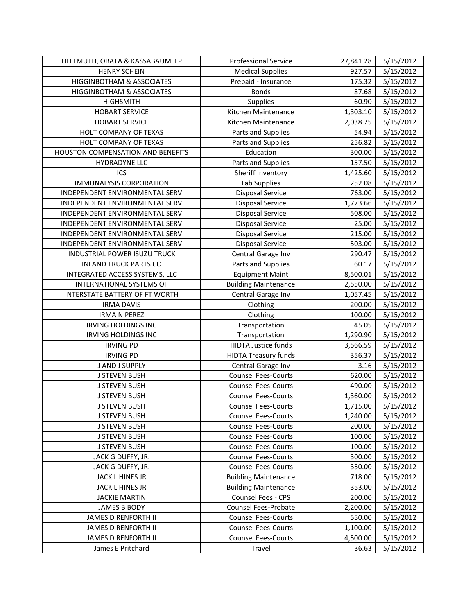| HELLMUTH, OBATA & KASSABAUM LP    | <b>Professional Service</b> | 27,841.28 | 5/15/2012 |
|-----------------------------------|-----------------------------|-----------|-----------|
| <b>HENRY SCHEIN</b>               | <b>Medical Supplies</b>     | 927.57    | 5/15/2012 |
| HIGGINBOTHAM & ASSOCIATES         | Prepaid - Insurance         | 175.32    | 5/15/2012 |
| HIGGINBOTHAM & ASSOCIATES         | <b>Bonds</b>                | 87.68     | 5/15/2012 |
| <b>HIGHSMITH</b>                  | <b>Supplies</b>             | 60.90     | 5/15/2012 |
| <b>HOBART SERVICE</b>             | Kitchen Maintenance         | 1,303.10  | 5/15/2012 |
| <b>HOBART SERVICE</b>             | Kitchen Maintenance         | 2,038.75  | 5/15/2012 |
| HOLT COMPANY OF TEXAS             | Parts and Supplies          | 54.94     | 5/15/2012 |
| HOLT COMPANY OF TEXAS             | Parts and Supplies          | 256.82    | 5/15/2012 |
| HOUSTON COMPENSATION AND BENEFITS | Education                   | 300.00    | 5/15/2012 |
| <b>HYDRADYNE LLC</b>              | Parts and Supplies          | 157.50    | 5/15/2012 |
| ICS                               | Sheriff Inventory           | 1,425.60  | 5/15/2012 |
| <b>IMMUNALYSIS CORPORATION</b>    | Lab Supplies                | 252.08    | 5/15/2012 |
| INDEPENDENT ENVIRONMENTAL SERV    | <b>Disposal Service</b>     | 763.00    | 5/15/2012 |
| INDEPENDENT ENVIRONMENTAL SERV    | <b>Disposal Service</b>     | 1,773.66  | 5/15/2012 |
| INDEPENDENT ENVIRONMENTAL SERV    | Disposal Service            | 508.00    | 5/15/2012 |
| INDEPENDENT ENVIRONMENTAL SERV    | <b>Disposal Service</b>     | 25.00     | 5/15/2012 |
| INDEPENDENT ENVIRONMENTAL SERV    | <b>Disposal Service</b>     | 215.00    | 5/15/2012 |
| INDEPENDENT ENVIRONMENTAL SERV    | <b>Disposal Service</b>     | 503.00    | 5/15/2012 |
| INDUSTRIAL POWER ISUZU TRUCK      | Central Garage Inv          | 290.47    | 5/15/2012 |
| <b>INLAND TRUCK PARTS CO</b>      | Parts and Supplies          | 60.17     | 5/15/2012 |
| INTEGRATED ACCESS SYSTEMS, LLC    | <b>Equipment Maint</b>      | 8,500.01  | 5/15/2012 |
| <b>INTERNATIONAL SYSTEMS OF</b>   | <b>Building Maintenance</b> | 2,550.00  | 5/15/2012 |
| INTERSTATE BATTERY OF FT WORTH    | Central Garage Inv          | 1,057.45  | 5/15/2012 |
| <b>IRMA DAVIS</b>                 | Clothing                    | 200.00    | 5/15/2012 |
| <b>IRMA N PEREZ</b>               | Clothing                    | 100.00    | 5/15/2012 |
| <b>IRVING HOLDINGS INC</b>        | Transportation              | 45.05     | 5/15/2012 |
| <b>IRVING HOLDINGS INC</b>        | Transportation              | 1,290.90  | 5/15/2012 |
| <b>IRVING PD</b>                  | <b>HIDTA Justice funds</b>  | 3,566.59  | 5/15/2012 |
| <b>IRVING PD</b>                  | <b>HIDTA Treasury funds</b> | 356.37    | 5/15/2012 |
| J AND J SUPPLY                    | Central Garage Inv          | 3.16      | 5/15/2012 |
| <b>J STEVEN BUSH</b>              | <b>Counsel Fees-Courts</b>  | 620.00    | 5/15/2012 |
| <b>J STEVEN BUSH</b>              | <b>Counsel Fees-Courts</b>  | 490.00    | 5/15/2012 |
| <b>J STEVEN BUSH</b>              | <b>Counsel Fees-Courts</b>  | 1,360.00  | 5/15/2012 |
| <b>J STEVEN BUSH</b>              | <b>Counsel Fees-Courts</b>  | 1,715.00  | 5/15/2012 |
| <b>J STEVEN BUSH</b>              | <b>Counsel Fees-Courts</b>  | 1,240.00  | 5/15/2012 |
| J STEVEN BUSH                     | <b>Counsel Fees-Courts</b>  | 200.00    | 5/15/2012 |
| <b>J STEVEN BUSH</b>              | <b>Counsel Fees-Courts</b>  | 100.00    | 5/15/2012 |
| <b>J STEVEN BUSH</b>              | <b>Counsel Fees-Courts</b>  | 100.00    | 5/15/2012 |
| JACK G DUFFY, JR.                 | <b>Counsel Fees-Courts</b>  | 300.00    | 5/15/2012 |
| JACK G DUFFY, JR.                 | <b>Counsel Fees-Courts</b>  | 350.00    | 5/15/2012 |
| JACK L HINES JR                   | <b>Building Maintenance</b> | 718.00    | 5/15/2012 |
| JACK L HINES JR                   | <b>Building Maintenance</b> | 353.00    | 5/15/2012 |
| <b>JACKIE MARTIN</b>              | Counsel Fees - CPS          | 200.00    | 5/15/2012 |
| <b>JAMES B BODY</b>               | Counsel Fees-Probate        | 2,200.00  | 5/15/2012 |
| <b>JAMES D RENFORTH II</b>        | <b>Counsel Fees-Courts</b>  | 550.00    | 5/15/2012 |
| <b>JAMES D RENFORTH II</b>        | <b>Counsel Fees-Courts</b>  | 1,100.00  | 5/15/2012 |
| <b>JAMES D RENFORTH II</b>        | <b>Counsel Fees-Courts</b>  | 4,500.00  | 5/15/2012 |
| James E Pritchard                 | Travel                      | 36.63     | 5/15/2012 |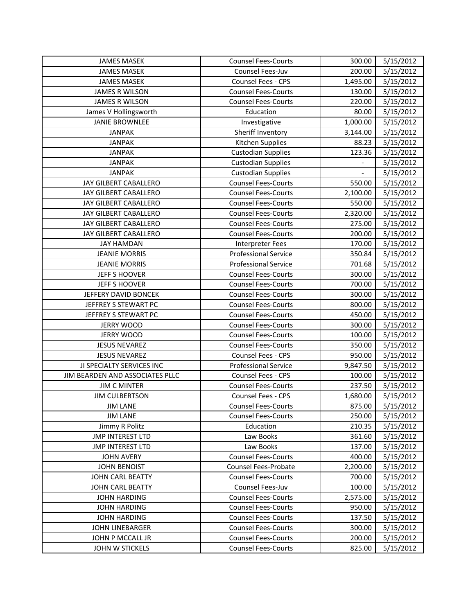| <b>JAMES MASEK</b>              | <b>Counsel Fees-Courts</b>  | 300.00   | 5/15/2012 |
|---------------------------------|-----------------------------|----------|-----------|
| <b>JAMES MASEK</b>              | Counsel Fees-Juv            | 200.00   | 5/15/2012 |
| <b>JAMES MASEK</b>              | Counsel Fees - CPS          | 1,495.00 | 5/15/2012 |
| <b>JAMES R WILSON</b>           | <b>Counsel Fees-Courts</b>  | 130.00   | 5/15/2012 |
| <b>JAMES R WILSON</b>           | <b>Counsel Fees-Courts</b>  | 220.00   | 5/15/2012 |
| James V Hollingsworth           | Education                   | 80.00    | 5/15/2012 |
| <b>JANIE BROWNLEE</b>           | Investigative               | 1,000.00 | 5/15/2012 |
| <b>JANPAK</b>                   | Sheriff Inventory           | 3,144.00 | 5/15/2012 |
| <b>JANPAK</b>                   | Kitchen Supplies            | 88.23    | 5/15/2012 |
| <b>JANPAK</b>                   | <b>Custodian Supplies</b>   | 123.36   | 5/15/2012 |
| <b>JANPAK</b>                   | <b>Custodian Supplies</b>   |          | 5/15/2012 |
| <b>JANPAK</b>                   | <b>Custodian Supplies</b>   |          | 5/15/2012 |
| JAY GILBERT CABALLERO           | <b>Counsel Fees-Courts</b>  | 550.00   | 5/15/2012 |
| JAY GILBERT CABALLERO           | <b>Counsel Fees-Courts</b>  | 2,100.00 | 5/15/2012 |
| JAY GILBERT CABALLERO           | <b>Counsel Fees-Courts</b>  | 550.00   | 5/15/2012 |
| JAY GILBERT CABALLERO           | <b>Counsel Fees-Courts</b>  | 2,320.00 | 5/15/2012 |
| JAY GILBERT CABALLERO           | <b>Counsel Fees-Courts</b>  | 275.00   | 5/15/2012 |
| JAY GILBERT CABALLERO           | <b>Counsel Fees-Courts</b>  | 200.00   | 5/15/2012 |
| <b>JAY HAMDAN</b>               | <b>Interpreter Fees</b>     | 170.00   | 5/15/2012 |
| <b>JEANIE MORRIS</b>            | <b>Professional Service</b> | 350.84   | 5/15/2012 |
| <b>JEANIE MORRIS</b>            | <b>Professional Service</b> | 701.68   | 5/15/2012 |
| JEFF S HOOVER                   | <b>Counsel Fees-Courts</b>  | 300.00   | 5/15/2012 |
| JEFF S HOOVER                   | <b>Counsel Fees-Courts</b>  | 700.00   | 5/15/2012 |
| JEFFERY DAVID BONCEK            | <b>Counsel Fees-Courts</b>  | 300.00   | 5/15/2012 |
| JEFFREY S STEWART PC            | <b>Counsel Fees-Courts</b>  | 800.00   | 5/15/2012 |
| JEFFREY S STEWART PC            | <b>Counsel Fees-Courts</b>  | 450.00   | 5/15/2012 |
| <b>JERRY WOOD</b>               | <b>Counsel Fees-Courts</b>  | 300.00   | 5/15/2012 |
| <b>JERRY WOOD</b>               | <b>Counsel Fees-Courts</b>  | 100.00   | 5/15/2012 |
| <b>JESUS NEVAREZ</b>            | <b>Counsel Fees-Courts</b>  | 350.00   | 5/15/2012 |
| <b>JESUS NEVAREZ</b>            | Counsel Fees - CPS          | 950.00   | 5/15/2012 |
| JI SPECIALTY SERVICES INC       | <b>Professional Service</b> | 9,847.50 | 5/15/2012 |
| JIM BEARDEN AND ASSOCIATES PLLC | Counsel Fees - CPS          | 100.00   | 5/15/2012 |
| <b>JIM C MINTER</b>             | <b>Counsel Fees-Courts</b>  | 237.50   | 5/15/2012 |
| <b>JIM CULBERTSON</b>           | Counsel Fees - CPS          | 1,680.00 | 5/15/2012 |
| <b>JIM LANE</b>                 | <b>Counsel Fees-Courts</b>  | 875.00   | 5/15/2012 |
| <b>JIM LANE</b>                 | <b>Counsel Fees-Courts</b>  | 250.00   | 5/15/2012 |
| Jimmy R Politz                  | Education                   | 210.35   | 5/15/2012 |
| <b>JMP INTEREST LTD</b>         | Law Books                   | 361.60   | 5/15/2012 |
| <b>JMP INTEREST LTD</b>         | Law Books                   | 137.00   | 5/15/2012 |
| <b>JOHN AVERY</b>               | <b>Counsel Fees-Courts</b>  | 400.00   | 5/15/2012 |
| <b>JOHN BENOIST</b>             | Counsel Fees-Probate        | 2,200.00 | 5/15/2012 |
| JOHN CARL BEATTY                | <b>Counsel Fees-Courts</b>  | 700.00   | 5/15/2012 |
| JOHN CARL BEATTY                | Counsel Fees-Juv            | 100.00   | 5/15/2012 |
| <b>JOHN HARDING</b>             | <b>Counsel Fees-Courts</b>  | 2,575.00 | 5/15/2012 |
| <b>JOHN HARDING</b>             | <b>Counsel Fees-Courts</b>  | 950.00   | 5/15/2012 |
| <b>JOHN HARDING</b>             | <b>Counsel Fees-Courts</b>  | 137.50   | 5/15/2012 |
| JOHN LINEBARGER                 | <b>Counsel Fees-Courts</b>  | 300.00   | 5/15/2012 |
| JOHN P MCCALL JR                | <b>Counsel Fees-Courts</b>  | 200.00   | 5/15/2012 |
| JOHN W STICKELS                 | <b>Counsel Fees-Courts</b>  | 825.00   | 5/15/2012 |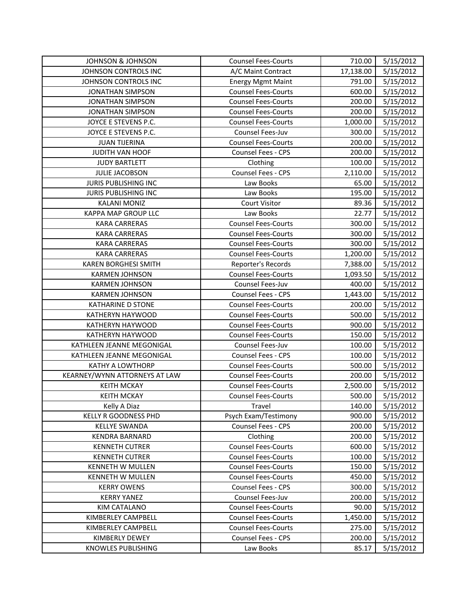| <b>JOHNSON &amp; JOHNSON</b>  | <b>Counsel Fees-Courts</b> | 710.00    | 5/15/2012 |
|-------------------------------|----------------------------|-----------|-----------|
| JOHNSON CONTROLS INC          | A/C Maint Contract         | 17,138.00 | 5/15/2012 |
| JOHNSON CONTROLS INC          | <b>Energy Mgmt Maint</b>   | 791.00    | 5/15/2012 |
| <b>JONATHAN SIMPSON</b>       | <b>Counsel Fees-Courts</b> | 600.00    | 5/15/2012 |
| <b>JONATHAN SIMPSON</b>       | <b>Counsel Fees-Courts</b> | 200.00    | 5/15/2012 |
| <b>JONATHAN SIMPSON</b>       | <b>Counsel Fees-Courts</b> | 200.00    | 5/15/2012 |
| JOYCE E STEVENS P.C.          | <b>Counsel Fees-Courts</b> | 1,000.00  | 5/15/2012 |
| JOYCE E STEVENS P.C.          | Counsel Fees-Juv           | 300.00    | 5/15/2012 |
| <b>JUAN TIJERINA</b>          | <b>Counsel Fees-Courts</b> | 200.00    | 5/15/2012 |
| JUDITH VAN HOOF               | Counsel Fees - CPS         | 200.00    | 5/15/2012 |
| <b>JUDY BARTLETT</b>          | Clothing                   | 100.00    | 5/15/2012 |
| <b>JULIE JACOBSON</b>         | Counsel Fees - CPS         | 2,110.00  | 5/15/2012 |
| <b>JURIS PUBLISHING INC</b>   | Law Books                  | 65.00     | 5/15/2012 |
| JURIS PUBLISHING INC          | Law Books                  | 195.00    | 5/15/2012 |
| <b>KALANI MONIZ</b>           | <b>Court Visitor</b>       | 89.36     | 5/15/2012 |
| <b>KAPPA MAP GROUP LLC</b>    | Law Books                  | 22.77     | 5/15/2012 |
| <b>KARA CARRERAS</b>          | <b>Counsel Fees-Courts</b> | 300.00    | 5/15/2012 |
| <b>KARA CARRERAS</b>          | <b>Counsel Fees-Courts</b> | 300.00    | 5/15/2012 |
| <b>KARA CARRERAS</b>          | <b>Counsel Fees-Courts</b> | 300.00    | 5/15/2012 |
| <b>KARA CARRERAS</b>          | <b>Counsel Fees-Courts</b> | 1,200.00  | 5/15/2012 |
| <b>KAREN BORGHESI SMITH</b>   | Reporter's Records         | 7,388.00  | 5/15/2012 |
| <b>KARMEN JOHNSON</b>         | <b>Counsel Fees-Courts</b> | 1,093.50  | 5/15/2012 |
| <b>KARMEN JOHNSON</b>         | Counsel Fees-Juv           | 400.00    | 5/15/2012 |
| <b>KARMEN JOHNSON</b>         | Counsel Fees - CPS         | 1,443.00  | 5/15/2012 |
| <b>KATHARINE D STONE</b>      | <b>Counsel Fees-Courts</b> | 200.00    | 5/15/2012 |
| KATHERYN HAYWOOD              | <b>Counsel Fees-Courts</b> | 500.00    | 5/15/2012 |
| KATHERYN HAYWOOD              | <b>Counsel Fees-Courts</b> | 900.00    | 5/15/2012 |
| KATHERYN HAYWOOD              | <b>Counsel Fees-Courts</b> | 150.00    | 5/15/2012 |
| KATHLEEN JEANNE MEGONIGAL     | Counsel Fees-Juv           | 100.00    | 5/15/2012 |
| KATHLEEN JEANNE MEGONIGAL     | Counsel Fees - CPS         | 100.00    | 5/15/2012 |
| KATHY A LOWTHORP              | <b>Counsel Fees-Courts</b> | 500.00    | 5/15/2012 |
| KEARNEY/WYNN ATTORNEYS AT LAW | <b>Counsel Fees-Courts</b> | 200.00    | 5/15/2012 |
| <b>KEITH MCKAY</b>            | <b>Counsel Fees-Courts</b> | 2,500.00  | 5/15/2012 |
| <b>KEITH MCKAY</b>            | <b>Counsel Fees-Courts</b> | 500.00    | 5/15/2012 |
| Kelly A Diaz                  | Travel                     | 140.00    | 5/15/2012 |
| KELLY R GOODNESS PHD          | Psych Exam/Testimony       | 900.00    | 5/15/2012 |
| <b>KELLYE SWANDA</b>          | Counsel Fees - CPS         | 200.00    | 5/15/2012 |
| <b>KENDRA BARNARD</b>         | Clothing                   | 200.00    | 5/15/2012 |
| <b>KENNETH CUTRER</b>         | <b>Counsel Fees-Courts</b> | 600.00    | 5/15/2012 |
| <b>KENNETH CUTRER</b>         | <b>Counsel Fees-Courts</b> | 100.00    | 5/15/2012 |
| <b>KENNETH W MULLEN</b>       | <b>Counsel Fees-Courts</b> | 150.00    | 5/15/2012 |
| KENNETH W MULLEN              | <b>Counsel Fees-Courts</b> | 450.00    | 5/15/2012 |
| <b>KERRY OWENS</b>            | Counsel Fees - CPS         | 300.00    | 5/15/2012 |
| <b>KERRY YANEZ</b>            | Counsel Fees-Juv           | 200.00    | 5/15/2012 |
| KIM CATALANO                  | <b>Counsel Fees-Courts</b> | 90.00     | 5/15/2012 |
| KIMBERLEY CAMPBELL            | <b>Counsel Fees-Courts</b> | 1,450.00  | 5/15/2012 |
| KIMBERLEY CAMPBELL            | <b>Counsel Fees-Courts</b> | 275.00    | 5/15/2012 |
| KIMBERLY DEWEY                | Counsel Fees - CPS         | 200.00    | 5/15/2012 |
| KNOWLES PUBLISHING            | Law Books                  | 85.17     | 5/15/2012 |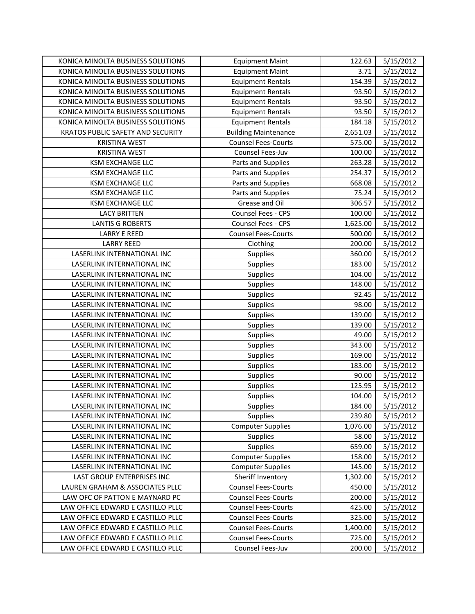| KONICA MINOLTA BUSINESS SOLUTIONS                                      | <b>Equipment Maint</b>                         | 122.63           | 5/15/2012              |
|------------------------------------------------------------------------|------------------------------------------------|------------------|------------------------|
| KONICA MINOLTA BUSINESS SOLUTIONS                                      | <b>Equipment Maint</b>                         | 3.71             | 5/15/2012              |
| KONICA MINOLTA BUSINESS SOLUTIONS                                      | <b>Equipment Rentals</b>                       | 154.39           | 5/15/2012              |
| KONICA MINOLTA BUSINESS SOLUTIONS                                      | <b>Equipment Rentals</b>                       | 93.50            | 5/15/2012              |
| KONICA MINOLTA BUSINESS SOLUTIONS                                      | <b>Equipment Rentals</b>                       | 93.50            | 5/15/2012              |
| KONICA MINOLTA BUSINESS SOLUTIONS                                      | <b>Equipment Rentals</b>                       | 93.50            | 5/15/2012              |
| KONICA MINOLTA BUSINESS SOLUTIONS                                      | <b>Equipment Rentals</b>                       | 184.18           | 5/15/2012              |
| KRATOS PUBLIC SAFETY AND SECURITY                                      | <b>Building Maintenance</b>                    | 2,651.03         | 5/15/2012              |
| <b>KRISTINA WEST</b>                                                   | <b>Counsel Fees-Courts</b>                     | 575.00           | 5/15/2012              |
| <b>KRISTINA WEST</b>                                                   | Counsel Fees-Juv                               | 100.00           | 5/15/2012              |
| <b>KSM EXCHANGE LLC</b>                                                | Parts and Supplies                             | 263.28           | 5/15/2012              |
| <b>KSM EXCHANGE LLC</b>                                                | Parts and Supplies                             | 254.37           | 5/15/2012              |
| <b>KSM EXCHANGE LLC</b>                                                | Parts and Supplies                             | 668.08           | 5/15/2012              |
| <b>KSM EXCHANGE LLC</b>                                                | Parts and Supplies                             | 75.24            | 5/15/2012              |
| <b>KSM EXCHANGE LLC</b>                                                | Grease and Oil                                 | 306.57           | 5/15/2012              |
| <b>LACY BRITTEN</b>                                                    | Counsel Fees - CPS                             | 100.00           | 5/15/2012              |
| <b>LANTIS G ROBERTS</b>                                                | Counsel Fees - CPS                             | 1,625.00         | 5/15/2012              |
| <b>LARRY E REED</b>                                                    | <b>Counsel Fees-Courts</b>                     | 500.00           | 5/15/2012              |
| <b>LARRY REED</b>                                                      | Clothing                                       | 200.00           | 5/15/2012              |
| LASERLINK INTERNATIONAL INC                                            | Supplies                                       | 360.00           | 5/15/2012              |
| LASERLINK INTERNATIONAL INC                                            | <b>Supplies</b>                                | 183.00           | 5/15/2012              |
| LASERLINK INTERNATIONAL INC                                            | <b>Supplies</b>                                | 104.00           | 5/15/2012              |
| LASERLINK INTERNATIONAL INC                                            | <b>Supplies</b>                                | 148.00           | 5/15/2012              |
| LASERLINK INTERNATIONAL INC                                            | <b>Supplies</b>                                | 92.45            | 5/15/2012              |
| LASERLINK INTERNATIONAL INC                                            | <b>Supplies</b>                                | 98.00            | 5/15/2012              |
|                                                                        |                                                |                  |                        |
| LASERLINK INTERNATIONAL INC                                            | <b>Supplies</b>                                | 139.00           | 5/15/2012              |
| LASERLINK INTERNATIONAL INC                                            | <b>Supplies</b>                                | 139.00           | 5/15/2012              |
| LASERLINK INTERNATIONAL INC                                            | <b>Supplies</b>                                | 49.00            | 5/15/2012              |
| LASERLINK INTERNATIONAL INC                                            | <b>Supplies</b>                                | 343.00           | 5/15/2012              |
| LASERLINK INTERNATIONAL INC                                            | <b>Supplies</b>                                | 169.00           | 5/15/2012              |
| LASERLINK INTERNATIONAL INC                                            | <b>Supplies</b>                                | 183.00           | 5/15/2012              |
| LASERLINK INTERNATIONAL INC                                            | <b>Supplies</b>                                | 90.00            | 5/15/2012              |
| LASERLINK INTERNATIONAL INC                                            | <b>Supplies</b>                                | 125.95           | 5/15/2012              |
| LASERLINK INTERNATIONAL INC                                            | <b>Supplies</b>                                | 104.00           | 5/15/2012              |
| LASERLINK INTERNATIONAL INC                                            | <b>Supplies</b>                                | 184.00           | 5/15/2012              |
| LASERLINK INTERNATIONAL INC                                            | <b>Supplies</b>                                | 239.80           | 5/15/2012              |
| LASERLINK INTERNATIONAL INC                                            | <b>Computer Supplies</b>                       | 1,076.00         | 5/15/2012              |
| LASERLINK INTERNATIONAL INC                                            | <b>Supplies</b>                                | 58.00            | 5/15/2012              |
| LASERLINK INTERNATIONAL INC                                            | <b>Supplies</b>                                | 659.00           | 5/15/2012              |
| LASERLINK INTERNATIONAL INC                                            | <b>Computer Supplies</b>                       | 158.00           | 5/15/2012              |
| LASERLINK INTERNATIONAL INC                                            | <b>Computer Supplies</b>                       | 145.00           | 5/15/2012              |
| LAST GROUP ENTERPRISES INC                                             | Sheriff Inventory                              | 1,302.00         | 5/15/2012              |
| LAUREN GRAHAM & ASSOCIATES PLLC                                        | <b>Counsel Fees-Courts</b>                     | 450.00           | 5/15/2012              |
| LAW OFC OF PATTON E MAYNARD PC                                         | <b>Counsel Fees-Courts</b>                     | 200.00           | 5/15/2012              |
| LAW OFFICE EDWARD E CASTILLO PLLC                                      | <b>Counsel Fees-Courts</b>                     | 425.00           | 5/15/2012              |
| LAW OFFICE EDWARD E CASTILLO PLLC                                      | <b>Counsel Fees-Courts</b>                     | 325.00           | 5/15/2012              |
| LAW OFFICE EDWARD E CASTILLO PLLC                                      | <b>Counsel Fees-Courts</b>                     | 1,400.00         | 5/15/2012              |
| LAW OFFICE EDWARD E CASTILLO PLLC<br>LAW OFFICE EDWARD E CASTILLO PLLC | <b>Counsel Fees-Courts</b><br>Counsel Fees-Juv | 725.00<br>200.00 | 5/15/2012<br>5/15/2012 |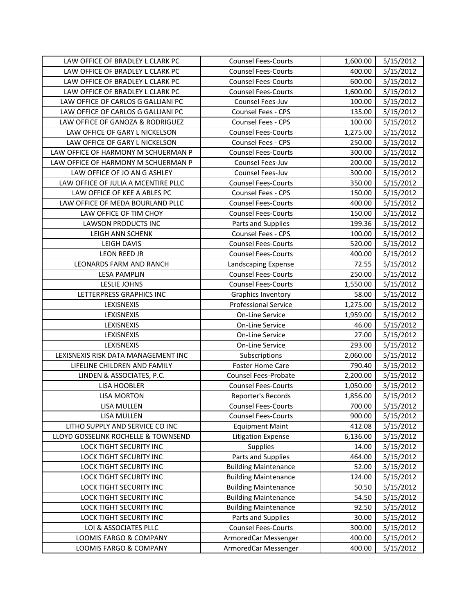| LAW OFFICE OF BRADLEY L CLARK PC                 | <b>Counsel Fees-Courts</b>                   | 1,600.00         | 5/15/2012              |
|--------------------------------------------------|----------------------------------------------|------------------|------------------------|
| LAW OFFICE OF BRADLEY L CLARK PC                 | <b>Counsel Fees-Courts</b>                   | 400.00           | 5/15/2012              |
| LAW OFFICE OF BRADLEY L CLARK PC                 | <b>Counsel Fees-Courts</b>                   | 600.00           | 5/15/2012              |
| LAW OFFICE OF BRADLEY L CLARK PC                 | <b>Counsel Fees-Courts</b>                   | 1,600.00         | 5/15/2012              |
| LAW OFFICE OF CARLOS G GALLIANI PC               | Counsel Fees-Juv                             | 100.00           | 5/15/2012              |
| LAW OFFICE OF CARLOS G GALLIANI PC               | Counsel Fees - CPS                           | 135.00           | 5/15/2012              |
| LAW OFFICE OF GANOZA & RODRIGUEZ                 | Counsel Fees - CPS                           | 100.00           | 5/15/2012              |
| LAW OFFICE OF GARY L NICKELSON                   | <b>Counsel Fees-Courts</b>                   | 1,275.00         | 5/15/2012              |
| LAW OFFICE OF GARY L NICKELSON                   | Counsel Fees - CPS                           | 250.00           | 5/15/2012              |
| LAW OFFICE OF HARMONY M SCHUERMAN P              | <b>Counsel Fees-Courts</b>                   | 300.00           | 5/15/2012              |
| LAW OFFICE OF HARMONY M SCHUERMAN P              | Counsel Fees-Juv                             | 200.00           | 5/15/2012              |
| LAW OFFICE OF JO AN G ASHLEY                     | Counsel Fees-Juv                             | 300.00           | 5/15/2012              |
| LAW OFFICE OF JULIA A MCENTIRE PLLC              | <b>Counsel Fees-Courts</b>                   | 350.00           | 5/15/2012              |
| LAW OFFICE OF KEE A ABLES PC                     | <b>Counsel Fees - CPS</b>                    | 150.00           | 5/15/2012              |
| LAW OFFICE OF MEDA BOURLAND PLLC                 | <b>Counsel Fees-Courts</b>                   | 400.00           | 5/15/2012              |
| LAW OFFICE OF TIM CHOY                           | <b>Counsel Fees-Courts</b>                   | 150.00           | 5/15/2012              |
| <b>LAWSON PRODUCTS INC</b>                       | Parts and Supplies                           | 199.36           | 5/15/2012              |
| LEIGH ANN SCHENK                                 | Counsel Fees - CPS                           | 100.00           | 5/15/2012              |
| LEIGH DAVIS                                      | <b>Counsel Fees-Courts</b>                   | 520.00           | 5/15/2012              |
| LEON REED JR                                     | <b>Counsel Fees-Courts</b>                   | 400.00           | 5/15/2012              |
| LEONARDS FARM AND RANCH                          | Landscaping Expense                          | 72.55            | 5/15/2012              |
| <b>LESA PAMPLIN</b>                              | <b>Counsel Fees-Courts</b>                   | 250.00           | 5/15/2012              |
| <b>LESLIE JOHNS</b>                              | <b>Counsel Fees-Courts</b>                   | 1,550.00         | 5/15/2012              |
| LETTERPRESS GRAPHICS INC                         | Graphics Inventory                           | 58.00            | 5/15/2012              |
|                                                  |                                              |                  |                        |
| LEXISNEXIS                                       | <b>Professional Service</b>                  | 1,275.00         | 5/15/2012              |
| LEXISNEXIS                                       | On-Line Service                              | 1,959.00         | 5/15/2012              |
| LEXISNEXIS                                       | On-Line Service                              | 46.00            | 5/15/2012              |
| LEXISNEXIS                                       | <b>On-Line Service</b>                       | 27.00            | 5/15/2012              |
| LEXISNEXIS                                       | On-Line Service                              | 293.00           | 5/15/2012              |
| LEXISNEXIS RISK DATA MANAGEMENT INC              | Subscriptions                                | 2,060.00         | 5/15/2012              |
| LIFELINE CHILDREN AND FAMILY                     | <b>Foster Home Care</b>                      | 790.40           | 5/15/2012              |
| LINDEN & ASSOCIATES, P.C.                        | Counsel Fees-Probate                         | 2,200.00         | 5/15/2012              |
| LISA HOOBLER                                     | <b>Counsel Fees-Courts</b>                   | 1,050.00         | 5/15/2012              |
| <b>LISA MORTON</b>                               | Reporter's Records                           | 1,856.00         | 5/15/2012              |
| LISA MULLEN                                      | <b>Counsel Fees-Courts</b>                   | 700.00           | 5/15/2012              |
| LISA MULLEN                                      | <b>Counsel Fees-Courts</b>                   | 900.00           | 5/15/2012              |
| LITHO SUPPLY AND SERVICE CO INC                  | <b>Equipment Maint</b>                       | 412.08           | 5/15/2012              |
| LLOYD GOSSELINK ROCHELLE & TOWNSEND              | <b>Litigation Expense</b>                    | 6,136.00         | 5/15/2012              |
| LOCK TIGHT SECURITY INC                          | <b>Supplies</b>                              | 14.00            | 5/15/2012              |
| LOCK TIGHT SECURITY INC                          | Parts and Supplies                           | 464.00           | 5/15/2012              |
| LOCK TIGHT SECURITY INC                          | <b>Building Maintenance</b>                  | 52.00            | 5/15/2012              |
| LOCK TIGHT SECURITY INC                          | <b>Building Maintenance</b>                  | 124.00           | 5/15/2012              |
| LOCK TIGHT SECURITY INC                          | <b>Building Maintenance</b>                  | 50.50            | 5/15/2012              |
| LOCK TIGHT SECURITY INC                          | <b>Building Maintenance</b>                  | 54.50            | 5/15/2012              |
| LOCK TIGHT SECURITY INC                          | <b>Building Maintenance</b>                  | 92.50            | 5/15/2012              |
| LOCK TIGHT SECURITY INC                          | Parts and Supplies                           | 30.00            | 5/15/2012              |
| LOI & ASSOCIATES PLLC                            | <b>Counsel Fees-Courts</b>                   | 300.00           | 5/15/2012              |
| LOOMIS FARGO & COMPANY<br>LOOMIS FARGO & COMPANY | ArmoredCar Messenger<br>ArmoredCar Messenger | 400.00<br>400.00 | 5/15/2012<br>5/15/2012 |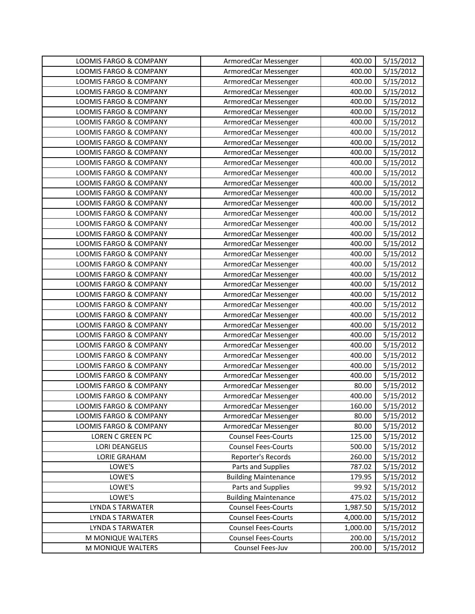| LOOMIS FARGO & COMPANY            | ArmoredCar Messenger        | 400.00   | 5/15/2012 |
|-----------------------------------|-----------------------------|----------|-----------|
| LOOMIS FARGO & COMPANY            | ArmoredCar Messenger        | 400.00   | 5/15/2012 |
| LOOMIS FARGO & COMPANY            | ArmoredCar Messenger        | 400.00   | 5/15/2012 |
| LOOMIS FARGO & COMPANY            | ArmoredCar Messenger        | 400.00   | 5/15/2012 |
| LOOMIS FARGO & COMPANY            | ArmoredCar Messenger        | 400.00   | 5/15/2012 |
| LOOMIS FARGO & COMPANY            | ArmoredCar Messenger        | 400.00   | 5/15/2012 |
| LOOMIS FARGO & COMPANY            | ArmoredCar Messenger        | 400.00   | 5/15/2012 |
| LOOMIS FARGO & COMPANY            | ArmoredCar Messenger        | 400.00   | 5/15/2012 |
| LOOMIS FARGO & COMPANY            | ArmoredCar Messenger        | 400.00   | 5/15/2012 |
| LOOMIS FARGO & COMPANY            | ArmoredCar Messenger        | 400.00   | 5/15/2012 |
| LOOMIS FARGO & COMPANY            | ArmoredCar Messenger        | 400.00   | 5/15/2012 |
| LOOMIS FARGO & COMPANY            | ArmoredCar Messenger        | 400.00   | 5/15/2012 |
| LOOMIS FARGO & COMPANY            | ArmoredCar Messenger        | 400.00   | 5/15/2012 |
| LOOMIS FARGO & COMPANY            | ArmoredCar Messenger        | 400.00   | 5/15/2012 |
| LOOMIS FARGO & COMPANY            | ArmoredCar Messenger        | 400.00   | 5/15/2012 |
| LOOMIS FARGO & COMPANY            | ArmoredCar Messenger        | 400.00   | 5/15/2012 |
| LOOMIS FARGO & COMPANY            | ArmoredCar Messenger        | 400.00   | 5/15/2012 |
| LOOMIS FARGO & COMPANY            | ArmoredCar Messenger        | 400.00   | 5/15/2012 |
| LOOMIS FARGO & COMPANY            | ArmoredCar Messenger        | 400.00   | 5/15/2012 |
| LOOMIS FARGO & COMPANY            | ArmoredCar Messenger        | 400.00   | 5/15/2012 |
| <b>LOOMIS FARGO &amp; COMPANY</b> | ArmoredCar Messenger        | 400.00   | 5/15/2012 |
| LOOMIS FARGO & COMPANY            | ArmoredCar Messenger        | 400.00   | 5/15/2012 |
| LOOMIS FARGO & COMPANY            | ArmoredCar Messenger        | 400.00   | 5/15/2012 |
| LOOMIS FARGO & COMPANY            | ArmoredCar Messenger        | 400.00   | 5/15/2012 |
| LOOMIS FARGO & COMPANY            | ArmoredCar Messenger        | 400.00   | 5/15/2012 |
| LOOMIS FARGO & COMPANY            | ArmoredCar Messenger        | 400.00   | 5/15/2012 |
| LOOMIS FARGO & COMPANY            | ArmoredCar Messenger        | 400.00   | 5/15/2012 |
| LOOMIS FARGO & COMPANY            | ArmoredCar Messenger        | 400.00   | 5/15/2012 |
| LOOMIS FARGO & COMPANY            | ArmoredCar Messenger        | 400.00   | 5/15/2012 |
| LOOMIS FARGO & COMPANY            | ArmoredCar Messenger        | 400.00   | 5/15/2012 |
| LOOMIS FARGO & COMPANY            | ArmoredCar Messenger        | 400.00   | 5/15/2012 |
| LOOMIS FARGO & COMPANY            | ArmoredCar Messenger        | 400.00   | 5/15/2012 |
| LOOMIS FARGO & COMPANY            | ArmoredCar Messenger        | 80.00    | 5/15/2012 |
| LOOMIS FARGO & COMPANY            | ArmoredCar Messenger        | 400.00   | 5/15/2012 |
| LOOMIS FARGO & COMPANY            | ArmoredCar Messenger        | 160.00   | 5/15/2012 |
| LOOMIS FARGO & COMPANY            | ArmoredCar Messenger        | 80.00    | 5/15/2012 |
| LOOMIS FARGO & COMPANY            | ArmoredCar Messenger        | 80.00    | 5/15/2012 |
| LOREN C GREEN PC                  | <b>Counsel Fees-Courts</b>  | 125.00   | 5/15/2012 |
| <b>LORI DEANGELIS</b>             | <b>Counsel Fees-Courts</b>  | 500.00   | 5/15/2012 |
| LORIE GRAHAM                      | Reporter's Records          | 260.00   | 5/15/2012 |
| LOWE'S                            | Parts and Supplies          | 787.02   | 5/15/2012 |
| LOWE'S                            | <b>Building Maintenance</b> | 179.95   | 5/15/2012 |
| LOWE'S                            | Parts and Supplies          | 99.92    | 5/15/2012 |
| LOWE'S                            | <b>Building Maintenance</b> | 475.02   | 5/15/2012 |
| LYNDA S TARWATER                  | <b>Counsel Fees-Courts</b>  | 1,987.50 | 5/15/2012 |
| LYNDA S TARWATER                  | <b>Counsel Fees-Courts</b>  | 4,000.00 | 5/15/2012 |
| LYNDA S TARWATER                  | <b>Counsel Fees-Courts</b>  | 1,000.00 | 5/15/2012 |
| M MONIQUE WALTERS                 | <b>Counsel Fees-Courts</b>  | 200.00   | 5/15/2012 |
| M MONIQUE WALTERS                 | Counsel Fees-Juv            | 200.00   | 5/15/2012 |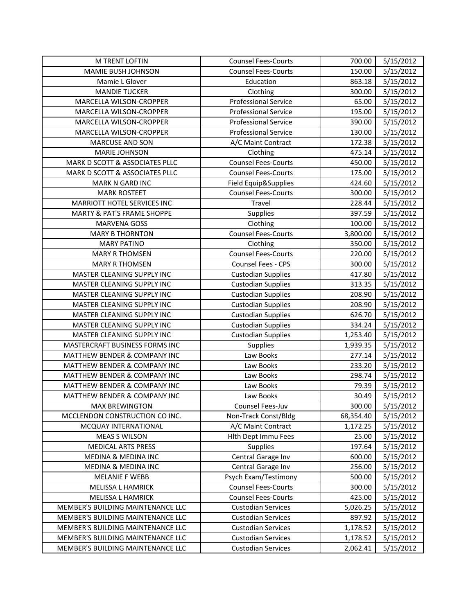| <b>M TRENT LOFTIN</b>                   | <b>Counsel Fees-Courts</b>  | 700.00    | 5/15/2012 |
|-----------------------------------------|-----------------------------|-----------|-----------|
| MAMIE BUSH JOHNSON                      | <b>Counsel Fees-Courts</b>  | 150.00    | 5/15/2012 |
| Mamie L Glover                          | Education                   | 863.18    | 5/15/2012 |
| <b>MANDIE TUCKER</b>                    | Clothing                    | 300.00    | 5/15/2012 |
| MARCELLA WILSON-CROPPER                 | <b>Professional Service</b> | 65.00     | 5/15/2012 |
| MARCELLA WILSON-CROPPER                 | <b>Professional Service</b> | 195.00    | 5/15/2012 |
| MARCELLA WILSON-CROPPER                 | <b>Professional Service</b> | 390.00    | 5/15/2012 |
| MARCELLA WILSON-CROPPER                 | <b>Professional Service</b> | 130.00    | 5/15/2012 |
| <b>MARCUSE AND SON</b>                  | A/C Maint Contract          | 172.38    | 5/15/2012 |
| <b>MARIE JOHNSON</b>                    | Clothing                    | 475.14    | 5/15/2012 |
| MARK D SCOTT & ASSOCIATES PLLC          | <b>Counsel Fees-Courts</b>  | 450.00    | 5/15/2012 |
| MARK D SCOTT & ASSOCIATES PLLC          | <b>Counsel Fees-Courts</b>  | 175.00    | 5/15/2012 |
| <b>MARK N GARD INC</b>                  | Field Equip&Supplies        | 424.60    | 5/15/2012 |
| <b>MARK ROSTEET</b>                     | <b>Counsel Fees-Courts</b>  | 300.00    | 5/15/2012 |
| MARRIOTT HOTEL SERVICES INC             | Travel                      | 228.44    | 5/15/2012 |
| <b>MARTY &amp; PAT'S FRAME SHOPPE</b>   | <b>Supplies</b>             | 397.59    | 5/15/2012 |
| <b>MARVENA GOSS</b>                     | Clothing                    | 100.00    | 5/15/2012 |
| <b>MARY B THORNTON</b>                  | <b>Counsel Fees-Courts</b>  | 3,800.00  | 5/15/2012 |
| <b>MARY PATINO</b>                      | Clothing                    | 350.00    | 5/15/2012 |
| <b>MARY R THOMSEN</b>                   | <b>Counsel Fees-Courts</b>  | 220.00    | 5/15/2012 |
| <b>MARY R THOMSEN</b>                   | Counsel Fees - CPS          | 300.00    | 5/15/2012 |
| MASTER CLEANING SUPPLY INC              | <b>Custodian Supplies</b>   | 417.80    | 5/15/2012 |
| MASTER CLEANING SUPPLY INC              | <b>Custodian Supplies</b>   | 313.35    | 5/15/2012 |
| MASTER CLEANING SUPPLY INC              | <b>Custodian Supplies</b>   | 208.90    | 5/15/2012 |
| MASTER CLEANING SUPPLY INC              | <b>Custodian Supplies</b>   | 208.90    | 5/15/2012 |
| MASTER CLEANING SUPPLY INC              | <b>Custodian Supplies</b>   | 626.70    | 5/15/2012 |
| MASTER CLEANING SUPPLY INC              | <b>Custodian Supplies</b>   | 334.24    | 5/15/2012 |
| MASTER CLEANING SUPPLY INC              | <b>Custodian Supplies</b>   | 1,253.40  | 5/15/2012 |
| MASTERCRAFT BUSINESS FORMS INC          | <b>Supplies</b>             | 1,939.35  | 5/15/2012 |
| <b>MATTHEW BENDER &amp; COMPANY INC</b> | Law Books                   | 277.14    | 5/15/2012 |
| MATTHEW BENDER & COMPANY INC            | Law Books                   | 233.20    | 5/15/2012 |
| MATTHEW BENDER & COMPANY INC            | Law Books                   | 298.74    | 5/15/2012 |
| MATTHEW BENDER & COMPANY INC            | Law Books                   | 79.39     | 5/15/2012 |
| MATTHEW BENDER & COMPANY INC            | Law Books                   | 30.49     | 5/15/2012 |
| <b>MAX BREWINGTON</b>                   | Counsel Fees-Juv            | 300.00    | 5/15/2012 |
| MCCLENDON CONSTRUCTION CO INC.          | Non-Track Const/Bldg        | 68,354.40 | 5/15/2012 |
| MCQUAY INTERNATIONAL                    | A/C Maint Contract          | 1,172.25  | 5/15/2012 |
| <b>MEAS S WILSON</b>                    | Hith Dept Immu Fees         | 25.00     | 5/15/2012 |
| <b>MEDICAL ARTS PRESS</b>               | <b>Supplies</b>             | 197.64    | 5/15/2012 |
| <b>MEDINA &amp; MEDINA INC</b>          | Central Garage Inv          | 600.00    | 5/15/2012 |
| MEDINA & MEDINA INC                     | Central Garage Inv          | 256.00    | 5/15/2012 |
| <b>MELANIE F WEBB</b>                   | Psych Exam/Testimony        | 500.00    | 5/15/2012 |
| <b>MELISSA L HAMRICK</b>                | <b>Counsel Fees-Courts</b>  | 300.00    | 5/15/2012 |
| MELISSA L HAMRICK                       | <b>Counsel Fees-Courts</b>  | 425.00    | 5/15/2012 |
| MEMBER'S BUILDING MAINTENANCE LLC       | <b>Custodian Services</b>   | 5,026.25  | 5/15/2012 |
| MEMBER'S BUILDING MAINTENANCE LLC       | <b>Custodian Services</b>   | 897.92    | 5/15/2012 |
| MEMBER'S BUILDING MAINTENANCE LLC       | <b>Custodian Services</b>   | 1,178.52  | 5/15/2012 |
| MEMBER'S BUILDING MAINTENANCE LLC       | <b>Custodian Services</b>   | 1,178.52  | 5/15/2012 |
| MEMBER'S BUILDING MAINTENANCE LLC       | <b>Custodian Services</b>   | 2,062.41  | 5/15/2012 |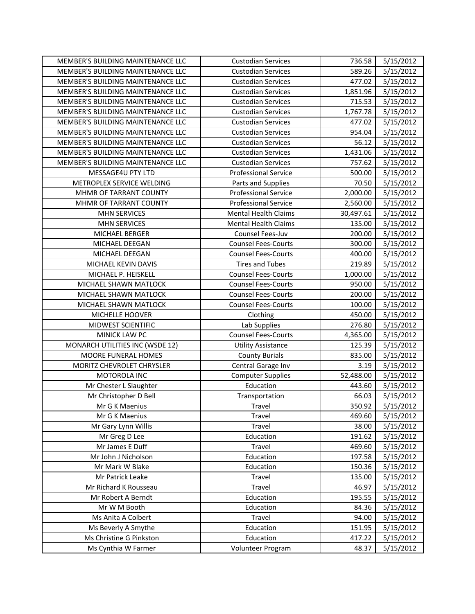| MEMBER'S BUILDING MAINTENANCE LLC | <b>Custodian Services</b>   | 736.58    | 5/15/2012 |
|-----------------------------------|-----------------------------|-----------|-----------|
| MEMBER'S BUILDING MAINTENANCE LLC | <b>Custodian Services</b>   | 589.26    | 5/15/2012 |
| MEMBER'S BUILDING MAINTENANCE LLC | <b>Custodian Services</b>   | 477.02    | 5/15/2012 |
| MEMBER'S BUILDING MAINTENANCE LLC | <b>Custodian Services</b>   | 1,851.96  | 5/15/2012 |
| MEMBER'S BUILDING MAINTENANCE LLC | <b>Custodian Services</b>   | 715.53    | 5/15/2012 |
| MEMBER'S BUILDING MAINTENANCE LLC | <b>Custodian Services</b>   | 1,767.78  | 5/15/2012 |
| MEMBER'S BUILDING MAINTENANCE LLC | <b>Custodian Services</b>   | 477.02    | 5/15/2012 |
| MEMBER'S BUILDING MAINTENANCE LLC | <b>Custodian Services</b>   | 954.04    | 5/15/2012 |
| MEMBER'S BUILDING MAINTENANCE LLC | <b>Custodian Services</b>   | 56.12     | 5/15/2012 |
| MEMBER'S BUILDING MAINTENANCE LLC | <b>Custodian Services</b>   | 1,431.06  | 5/15/2012 |
| MEMBER'S BUILDING MAINTENANCE LLC | <b>Custodian Services</b>   | 757.62    | 5/15/2012 |
| MESSAGE4U PTY LTD                 | <b>Professional Service</b> | 500.00    | 5/15/2012 |
| METROPLEX SERVICE WELDING         | Parts and Supplies          | 70.50     | 5/15/2012 |
| MHMR OF TARRANT COUNTY            | <b>Professional Service</b> | 2,000.00  | 5/15/2012 |
| MHMR OF TARRANT COUNTY            | <b>Professional Service</b> | 2,560.00  | 5/15/2012 |
| <b>MHN SERVICES</b>               | <b>Mental Health Claims</b> | 30,497.61 | 5/15/2012 |
| <b>MHN SERVICES</b>               | <b>Mental Health Claims</b> | 135.00    | 5/15/2012 |
| MICHAEL BERGER                    | Counsel Fees-Juv            | 200.00    | 5/15/2012 |
| MICHAEL DEEGAN                    | <b>Counsel Fees-Courts</b>  | 300.00    | 5/15/2012 |
| MICHAEL DEEGAN                    | <b>Counsel Fees-Courts</b>  | 400.00    | 5/15/2012 |
| MICHAEL KEVIN DAVIS               | <b>Tires and Tubes</b>      | 219.89    | 5/15/2012 |
| MICHAEL P. HEISKELL               | <b>Counsel Fees-Courts</b>  | 1,000.00  | 5/15/2012 |
| MICHAEL SHAWN MATLOCK             | <b>Counsel Fees-Courts</b>  | 950.00    | 5/15/2012 |
| MICHAEL SHAWN MATLOCK             | <b>Counsel Fees-Courts</b>  | 200.00    | 5/15/2012 |
| MICHAEL SHAWN MATLOCK             | <b>Counsel Fees-Courts</b>  | 100.00    | 5/15/2012 |
| MICHELLE HOOVER                   | Clothing                    | 450.00    | 5/15/2012 |
| MIDWEST SCIENTIFIC                | Lab Supplies                | 276.80    | 5/15/2012 |
| MINICK LAW PC                     | <b>Counsel Fees-Courts</b>  | 4,365.00  | 5/15/2012 |
| MONARCH UTILITIES INC (WSDE 12)   | <b>Utility Assistance</b>   | 125.39    | 5/15/2012 |
| MOORE FUNERAL HOMES               | <b>County Burials</b>       | 835.00    | 5/15/2012 |
| MORITZ CHEVROLET CHRYSLER         | Central Garage Inv          | 3.19      | 5/15/2012 |
| MOTOROLA INC                      | <b>Computer Supplies</b>    | 52,488.00 | 5/15/2012 |
| Mr Chester L Slaughter            | Education                   | 443.60    | 5/15/2012 |
| Mr Christopher D Bell             | Transportation              | 66.03     | 5/15/2012 |
| Mr G K Maenius                    | Travel                      | 350.92    | 5/15/2012 |
| Mr G K Maenius                    | Travel                      | 469.60    | 5/15/2012 |
| Mr Gary Lynn Willis               | Travel                      | 38.00     | 5/15/2012 |
| Mr Greg D Lee                     | Education                   | 191.62    | 5/15/2012 |
| Mr James E Duff                   | Travel                      | 469.60    | 5/15/2012 |
| Mr John J Nicholson               | Education                   | 197.58    | 5/15/2012 |
| Mr Mark W Blake                   | Education                   | 150.36    | 5/15/2012 |
| Mr Patrick Leake                  | Travel                      | 135.00    | 5/15/2012 |
| Mr Richard K Rousseau             | Travel                      | 46.97     | 5/15/2012 |
| Mr Robert A Berndt                | Education                   | 195.55    | 5/15/2012 |
| Mr W M Booth                      | Education                   | 84.36     | 5/15/2012 |
| Ms Anita A Colbert                | Travel                      | 94.00     | 5/15/2012 |
| Ms Beverly A Smythe               | Education                   | 151.95    | 5/15/2012 |
| Ms Christine G Pinkston           | Education                   | 417.22    | 5/15/2012 |
| Ms Cynthia W Farmer               | Volunteer Program           | 48.37     | 5/15/2012 |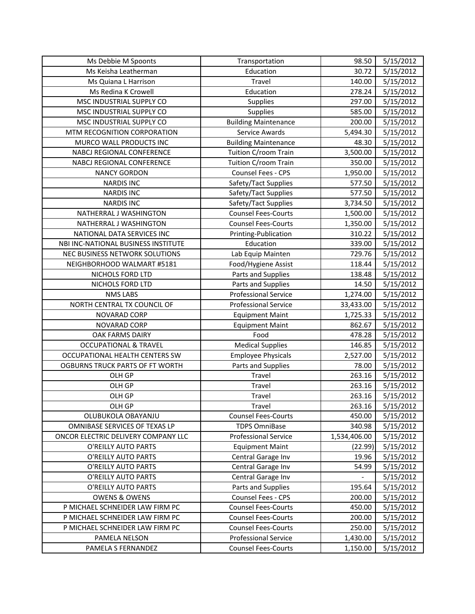| Ms Debbie M Spoonts                 | Transportation              | 98.50        | 5/15/2012 |
|-------------------------------------|-----------------------------|--------------|-----------|
| Ms Keisha Leatherman                | Education                   | 30.72        | 5/15/2012 |
| Ms Quiana L Harrison                | Travel                      | 140.00       | 5/15/2012 |
| Ms Redina K Crowell                 | Education                   | 278.24       | 5/15/2012 |
| MSC INDUSTRIAL SUPPLY CO            | <b>Supplies</b>             | 297.00       | 5/15/2012 |
| MSC INDUSTRIAL SUPPLY CO            | <b>Supplies</b>             | 585.00       | 5/15/2012 |
| MSC INDUSTRIAL SUPPLY CO            | <b>Building Maintenance</b> | 200.00       | 5/15/2012 |
| MTM RECOGNITION CORPORATION         | Service Awards              | 5,494.30     | 5/15/2012 |
| MURCO WALL PRODUCTS INC             | <b>Building Maintenance</b> | 48.30        | 5/15/2012 |
| NABCJ REGIONAL CONFERENCE           | Tuition C/room Train        | 3,500.00     | 5/15/2012 |
| NABCJ REGIONAL CONFERENCE           | Tuition C/room Train        | 350.00       | 5/15/2012 |
| <b>NANCY GORDON</b>                 | Counsel Fees - CPS          | 1,950.00     | 5/15/2012 |
| <b>NARDIS INC</b>                   | Safety/Tact Supplies        | 577.50       | 5/15/2012 |
| <b>NARDIS INC</b>                   | Safety/Tact Supplies        | 577.50       | 5/15/2012 |
| <b>NARDIS INC</b>                   | Safety/Tact Supplies        | 3,734.50     | 5/15/2012 |
| NATHERRAL J WASHINGTON              | <b>Counsel Fees-Courts</b>  | 1,500.00     | 5/15/2012 |
| NATHERRAL J WASHINGTON              | <b>Counsel Fees-Courts</b>  | 1,350.00     | 5/15/2012 |
| NATIONAL DATA SERVICES INC          | Printing-Publication        | 310.22       | 5/15/2012 |
| NBI INC-NATIONAL BUSINESS INSTITUTE | Education                   | 339.00       | 5/15/2012 |
| NEC BUSINESS NETWORK SOLUTIONS      | Lab Equip Mainten           | 729.76       | 5/15/2012 |
| NEIGHBORHOOD WALMART #5181          | Food/Hygiene Assist         | 118.44       | 5/15/2012 |
| NICHOLS FORD LTD                    | Parts and Supplies          | 138.48       | 5/15/2012 |
| NICHOLS FORD LTD                    | Parts and Supplies          | 14.50        | 5/15/2012 |
| <b>NMS LABS</b>                     | <b>Professional Service</b> | 1,274.00     | 5/15/2012 |
| NORTH CENTRAL TX COUNCIL OF         | <b>Professional Service</b> | 33,433.00    | 5/15/2012 |
| NOVARAD CORP                        | <b>Equipment Maint</b>      | 1,725.33     | 5/15/2012 |
| NOVARAD CORP                        | <b>Equipment Maint</b>      | 862.67       | 5/15/2012 |
| OAK FARMS DAIRY                     | Food                        | 478.28       | 5/15/2012 |
| <b>OCCUPATIONAL &amp; TRAVEL</b>    | <b>Medical Supplies</b>     | 146.85       | 5/15/2012 |
| OCCUPATIONAL HEALTH CENTERS SW      | <b>Employee Physicals</b>   | 2,527.00     | 5/15/2012 |
| OGBURNS TRUCK PARTS OF FT WORTH     | Parts and Supplies          | 78.00        | 5/15/2012 |
| OLH GP                              | Travel                      | 263.16       | 5/15/2012 |
| OLH GP                              | Travel                      | 263.16       | 5/15/2012 |
| OLH GP                              | Travel                      | 263.16       | 5/15/2012 |
| OLH GP                              | Travel                      | 263.16       | 5/15/2012 |
| OLUBUKOLA OBAYANJU                  | <b>Counsel Fees-Courts</b>  | 450.00       | 5/15/2012 |
| OMNIBASE SERVICES OF TEXAS LP       | <b>TDPS OmniBase</b>        | 340.98       | 5/15/2012 |
| ONCOR ELECTRIC DELIVERY COMPANY LLC | <b>Professional Service</b> | 1,534,406.00 | 5/15/2012 |
| O'REILLY AUTO PARTS                 | <b>Equipment Maint</b>      | (22.99)      | 5/15/2012 |
| O'REILLY AUTO PARTS                 | Central Garage Inv          | 19.96        | 5/15/2012 |
| O'REILLY AUTO PARTS                 | Central Garage Inv          | 54.99        | 5/15/2012 |
| O'REILLY AUTO PARTS                 | Central Garage Inv          |              | 5/15/2012 |
| O'REILLY AUTO PARTS                 | Parts and Supplies          | 195.64       | 5/15/2012 |
| <b>OWENS &amp; OWENS</b>            | Counsel Fees - CPS          | 200.00       | 5/15/2012 |
| P MICHAEL SCHNEIDER LAW FIRM PC     | <b>Counsel Fees-Courts</b>  | 450.00       | 5/15/2012 |
| P MICHAEL SCHNEIDER LAW FIRM PC     | <b>Counsel Fees-Courts</b>  | 200.00       | 5/15/2012 |
| P MICHAEL SCHNEIDER LAW FIRM PC     | <b>Counsel Fees-Courts</b>  | 250.00       | 5/15/2012 |
| PAMELA NELSON                       | <b>Professional Service</b> | 1,430.00     | 5/15/2012 |
| PAMELA S FERNANDEZ                  | <b>Counsel Fees-Courts</b>  | 1,150.00     | 5/15/2012 |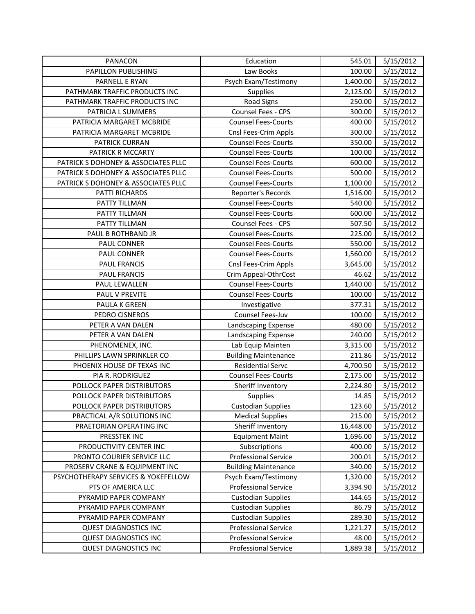| PANACON                             | Education                   | 545.01    | 5/15/2012 |
|-------------------------------------|-----------------------------|-----------|-----------|
| PAPILLON PUBLISHING                 | Law Books                   | 100.00    | 5/15/2012 |
| PARNELL E RYAN                      | Psych Exam/Testimony        | 1,400.00  | 5/15/2012 |
| PATHMARK TRAFFIC PRODUCTS INC       | Supplies                    | 2,125.00  | 5/15/2012 |
| PATHMARK TRAFFIC PRODUCTS INC       | Road Signs                  | 250.00    | 5/15/2012 |
| PATRICIA L SUMMERS                  | Counsel Fees - CPS          | 300.00    | 5/15/2012 |
| PATRICIA MARGARET MCBRIDE           | <b>Counsel Fees-Courts</b>  | 400.00    | 5/15/2012 |
| PATRICIA MARGARET MCBRIDE           | Cnsl Fees-Crim Appls        | 300.00    | 5/15/2012 |
| PATRICK CURRAN                      | <b>Counsel Fees-Courts</b>  | 350.00    | 5/15/2012 |
| PATRICK R MCCARTY                   | <b>Counsel Fees-Courts</b>  | 100.00    | 5/15/2012 |
| PATRICK S DOHONEY & ASSOCIATES PLLC | <b>Counsel Fees-Courts</b>  | 600.00    | 5/15/2012 |
| PATRICK S DOHONEY & ASSOCIATES PLLC | <b>Counsel Fees-Courts</b>  | 500.00    | 5/15/2012 |
| PATRICK S DOHONEY & ASSOCIATES PLLC | <b>Counsel Fees-Courts</b>  | 1,100.00  | 5/15/2012 |
| PATTI RICHARDS                      | Reporter's Records          | 1,516.00  | 5/15/2012 |
| PATTY TILLMAN                       | <b>Counsel Fees-Courts</b>  | 540.00    | 5/15/2012 |
| PATTY TILLMAN                       | <b>Counsel Fees-Courts</b>  | 600.00    | 5/15/2012 |
| PATTY TILLMAN                       | Counsel Fees - CPS          | 507.50    | 5/15/2012 |
| PAUL B ROTHBAND JR                  | <b>Counsel Fees-Courts</b>  | 225.00    | 5/15/2012 |
| PAUL CONNER                         | <b>Counsel Fees-Courts</b>  | 550.00    | 5/15/2012 |
| PAUL CONNER                         | <b>Counsel Fees-Courts</b>  | 1,560.00  | 5/15/2012 |
| <b>PAUL FRANCIS</b>                 | Cnsl Fees-Crim Appls        | 3,645.00  | 5/15/2012 |
| <b>PAUL FRANCIS</b>                 | Crim Appeal-OthrCost        | 46.62     | 5/15/2012 |
| PAUL LEWALLEN                       | <b>Counsel Fees-Courts</b>  | 1,440.00  | 5/15/2012 |
| PAUL V PREVITE                      | <b>Counsel Fees-Courts</b>  | 100.00    | 5/15/2012 |
| PAULA K GREEN                       | Investigative               | 377.31    | 5/15/2012 |
| PEDRO CISNEROS                      | Counsel Fees-Juv            | 100.00    | 5/15/2012 |
| PETER A VAN DALEN                   | Landscaping Expense         | 480.00    | 5/15/2012 |
| PETER A VAN DALEN                   | Landscaping Expense         | 240.00    | 5/15/2012 |
| PHENOMENEX, INC.                    | Lab Equip Mainten           | 3,315.00  | 5/15/2012 |
| PHILLIPS LAWN SPRINKLER CO          | <b>Building Maintenance</b> | 211.86    | 5/15/2012 |
| PHOENIX HOUSE OF TEXAS INC          | <b>Residential Servc</b>    | 4,700.50  | 5/15/2012 |
| PIA R. RODRIGUEZ                    | <b>Counsel Fees-Courts</b>  | 2,175.00  | 5/15/2012 |
| POLLOCK PAPER DISTRIBUTORS          | Sheriff Inventory           | 2,224.80  | 5/15/2012 |
| POLLOCK PAPER DISTRIBUTORS          | <b>Supplies</b>             | 14.85     | 5/15/2012 |
| POLLOCK PAPER DISTRIBUTORS          | <b>Custodian Supplies</b>   | 123.60    | 5/15/2012 |
| PRACTICAL A/R SOLUTIONS INC         | <b>Medical Supplies</b>     | 215.00    | 5/15/2012 |
| PRAETORIAN OPERATING INC            | Sheriff Inventory           | 16,448.00 | 5/15/2012 |
| PRESSTEK INC                        | <b>Equipment Maint</b>      | 1,696.00  | 5/15/2012 |
| PRODUCTIVITY CENTER INC             | Subscriptions               | 400.00    | 5/15/2012 |
| PRONTO COURIER SERVICE LLC          | <b>Professional Service</b> | 200.01    | 5/15/2012 |
| PROSERV CRANE & EQUIPMENT INC       | <b>Building Maintenance</b> | 340.00    | 5/15/2012 |
| PSYCHOTHERAPY SERVICES & YOKEFELLOW | Psych Exam/Testimony        | 1,320.00  | 5/15/2012 |
| PTS OF AMERICA LLC                  | <b>Professional Service</b> | 3,394.90  | 5/15/2012 |
| PYRAMID PAPER COMPANY               | <b>Custodian Supplies</b>   | 144.65    | 5/15/2012 |
| PYRAMID PAPER COMPANY               | <b>Custodian Supplies</b>   | 86.79     | 5/15/2012 |
| PYRAMID PAPER COMPANY               | <b>Custodian Supplies</b>   | 289.30    | 5/15/2012 |
| <b>QUEST DIAGNOSTICS INC</b>        | <b>Professional Service</b> | 1,221.27  | 5/15/2012 |
| <b>QUEST DIAGNOSTICS INC</b>        | <b>Professional Service</b> | 48.00     | 5/15/2012 |
| <b>QUEST DIAGNOSTICS INC</b>        | <b>Professional Service</b> | 1,889.38  | 5/15/2012 |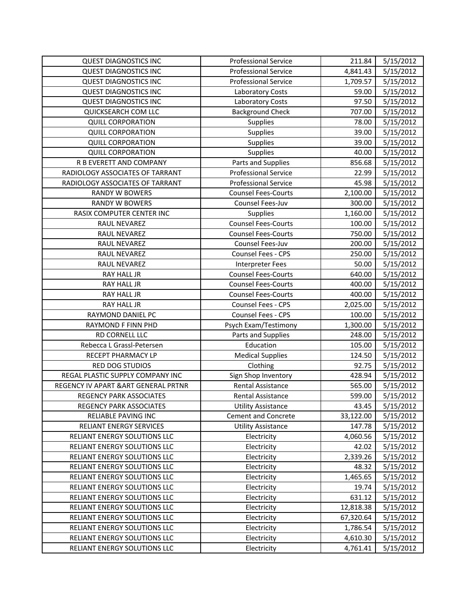| <b>QUEST DIAGNOSTICS INC</b>         | <b>Professional Service</b> | 211.84    | 5/15/2012 |
|--------------------------------------|-----------------------------|-----------|-----------|
| <b>QUEST DIAGNOSTICS INC</b>         | <b>Professional Service</b> | 4,841.43  | 5/15/2012 |
| <b>QUEST DIAGNOSTICS INC</b>         | <b>Professional Service</b> | 1,709.57  | 5/15/2012 |
| <b>QUEST DIAGNOSTICS INC</b>         | Laboratory Costs            | 59.00     | 5/15/2012 |
| <b>QUEST DIAGNOSTICS INC</b>         | Laboratory Costs            | 97.50     | 5/15/2012 |
| QUICKSEARCH COM LLC                  | <b>Background Check</b>     | 707.00    | 5/15/2012 |
| <b>QUILL CORPORATION</b>             | Supplies                    | 78.00     | 5/15/2012 |
| <b>QUILL CORPORATION</b>             | Supplies                    | 39.00     | 5/15/2012 |
| <b>QUILL CORPORATION</b>             | <b>Supplies</b>             | 39.00     | 5/15/2012 |
| <b>QUILL CORPORATION</b>             | Supplies                    | 40.00     | 5/15/2012 |
| R B EVERETT AND COMPANY              | Parts and Supplies          | 856.68    | 5/15/2012 |
| RADIOLOGY ASSOCIATES OF TARRANT      | <b>Professional Service</b> | 22.99     | 5/15/2012 |
| RADIOLOGY ASSOCIATES OF TARRANT      | <b>Professional Service</b> | 45.98     | 5/15/2012 |
| RANDY W BOWERS                       | <b>Counsel Fees-Courts</b>  | 2,100.00  | 5/15/2012 |
| <b>RANDY W BOWERS</b>                | Counsel Fees-Juv            | 300.00    | 5/15/2012 |
| RASIX COMPUTER CENTER INC            | <b>Supplies</b>             | 1,160.00  | 5/15/2012 |
| RAUL NEVAREZ                         | <b>Counsel Fees-Courts</b>  | 100.00    | 5/15/2012 |
| RAUL NEVAREZ                         | Counsel Fees-Courts         | 750.00    | 5/15/2012 |
| RAUL NEVAREZ                         | Counsel Fees-Juv            | 200.00    | 5/15/2012 |
| RAUL NEVAREZ                         | Counsel Fees - CPS          | 250.00    | 5/15/2012 |
| RAUL NEVAREZ                         | <b>Interpreter Fees</b>     | 50.00     | 5/15/2012 |
| RAY HALL JR                          | <b>Counsel Fees-Courts</b>  | 640.00    | 5/15/2012 |
| RAY HALL JR                          | <b>Counsel Fees-Courts</b>  | 400.00    | 5/15/2012 |
| RAY HALL JR                          | <b>Counsel Fees-Courts</b>  | 400.00    | 5/15/2012 |
| RAY HALL JR                          | Counsel Fees - CPS          | 2,025.00  | 5/15/2012 |
| RAYMOND DANIEL PC                    | Counsel Fees - CPS          | 100.00    | 5/15/2012 |
| RAYMOND F FINN PHD                   | Psych Exam/Testimony        | 1,300.00  | 5/15/2012 |
| RD CORNELL LLC                       | Parts and Supplies          | 248.00    | 5/15/2012 |
| Rebecca L Grassl-Petersen            | Education                   | 105.00    | 5/15/2012 |
| RECEPT PHARMACY LP                   | <b>Medical Supplies</b>     | 124.50    | 5/15/2012 |
| RED DOG STUDIOS                      | Clothing                    | 92.75     | 5/15/2012 |
| REGAL PLASTIC SUPPLY COMPANY INC     | Sign Shop Inventory         | 428.94    | 5/15/2012 |
| REGENCY IV APART & ART GENERAL PRTNR | <b>Rental Assistance</b>    | 565.00    | 5/15/2012 |
| <b>REGENCY PARK ASSOCIATES</b>       | Rental Assistance           | 599.00    | 5/15/2012 |
| <b>REGENCY PARK ASSOCIATES</b>       | <b>Utility Assistance</b>   | 43.45     | 5/15/2012 |
| RELIABLE PAVING INC                  | <b>Cement and Concrete</b>  | 33,122.00 | 5/15/2012 |
| RELIANT ENERGY SERVICES              | <b>Utility Assistance</b>   | 147.78    | 5/15/2012 |
| RELIANT ENERGY SOLUTIONS LLC         | Electricity                 | 4,060.56  | 5/15/2012 |
| RELIANT ENERGY SOLUTIONS LLC         | Electricity                 | 42.02     | 5/15/2012 |
| RELIANT ENERGY SOLUTIONS LLC         | Electricity                 | 2,339.26  | 5/15/2012 |
| RELIANT ENERGY SOLUTIONS LLC         | Electricity                 | 48.32     | 5/15/2012 |
| RELIANT ENERGY SOLUTIONS LLC         | Electricity                 | 1,465.65  | 5/15/2012 |
| RELIANT ENERGY SOLUTIONS LLC         | Electricity                 | 19.74     | 5/15/2012 |
| RELIANT ENERGY SOLUTIONS LLC         | Electricity                 | 631.12    | 5/15/2012 |
| RELIANT ENERGY SOLUTIONS LLC         | Electricity                 | 12,818.38 | 5/15/2012 |
| RELIANT ENERGY SOLUTIONS LLC         | Electricity                 | 67,320.64 | 5/15/2012 |
| RELIANT ENERGY SOLUTIONS LLC         | Electricity                 | 1,786.54  | 5/15/2012 |
| RELIANT ENERGY SOLUTIONS LLC         | Electricity                 | 4,610.30  | 5/15/2012 |
| RELIANT ENERGY SOLUTIONS LLC         | Electricity                 | 4,761.41  | 5/15/2012 |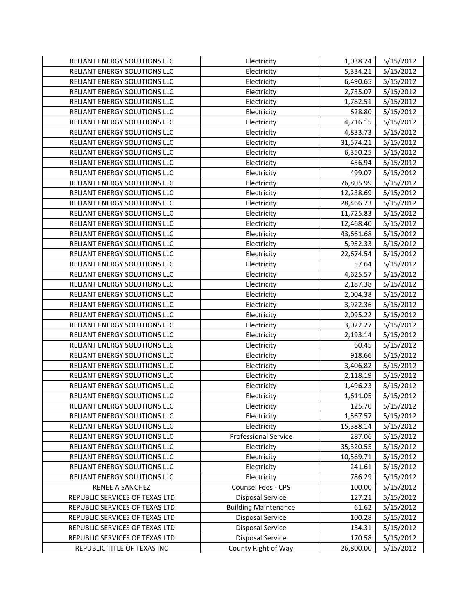| RELIANT ENERGY SOLUTIONS LLC   | Electricity                 | 1,038.74  | 5/15/2012 |
|--------------------------------|-----------------------------|-----------|-----------|
| RELIANT ENERGY SOLUTIONS LLC   | Electricity                 | 5,334.21  | 5/15/2012 |
| RELIANT ENERGY SOLUTIONS LLC   | Electricity                 | 6,490.65  | 5/15/2012 |
| RELIANT ENERGY SOLUTIONS LLC   | Electricity                 | 2,735.07  | 5/15/2012 |
| RELIANT ENERGY SOLUTIONS LLC   | Electricity                 | 1,782.51  | 5/15/2012 |
| RELIANT ENERGY SOLUTIONS LLC   | Electricity                 | 628.80    | 5/15/2012 |
| RELIANT ENERGY SOLUTIONS LLC   | Electricity                 | 4,716.15  | 5/15/2012 |
| RELIANT ENERGY SOLUTIONS LLC   | Electricity                 | 4,833.73  | 5/15/2012 |
| RELIANT ENERGY SOLUTIONS LLC   | Electricity                 | 31,574.21 | 5/15/2012 |
| RELIANT ENERGY SOLUTIONS LLC   | Electricity                 | 6,350.25  | 5/15/2012 |
| RELIANT ENERGY SOLUTIONS LLC   | Electricity                 | 456.94    | 5/15/2012 |
| RELIANT ENERGY SOLUTIONS LLC   | Electricity                 | 499.07    | 5/15/2012 |
| RELIANT ENERGY SOLUTIONS LLC   | Electricity                 | 76,805.99 | 5/15/2012 |
| RELIANT ENERGY SOLUTIONS LLC   | Electricity                 | 12,238.69 | 5/15/2012 |
| RELIANT ENERGY SOLUTIONS LLC   | Electricity                 | 28,466.73 | 5/15/2012 |
| RELIANT ENERGY SOLUTIONS LLC   | Electricity                 | 11,725.83 | 5/15/2012 |
| RELIANT ENERGY SOLUTIONS LLC   | Electricity                 | 12,468.40 | 5/15/2012 |
| RELIANT ENERGY SOLUTIONS LLC   | Electricity                 | 43,661.68 | 5/15/2012 |
| RELIANT ENERGY SOLUTIONS LLC   | Electricity                 | 5,952.33  | 5/15/2012 |
| RELIANT ENERGY SOLUTIONS LLC   | Electricity                 | 22,674.54 | 5/15/2012 |
| RELIANT ENERGY SOLUTIONS LLC   | Electricity                 | 57.64     | 5/15/2012 |
| RELIANT ENERGY SOLUTIONS LLC   | Electricity                 | 4,625.57  | 5/15/2012 |
| RELIANT ENERGY SOLUTIONS LLC   | Electricity                 | 2,187.38  | 5/15/2012 |
| RELIANT ENERGY SOLUTIONS LLC   | Electricity                 | 2,004.38  | 5/15/2012 |
| RELIANT ENERGY SOLUTIONS LLC   | Electricity                 | 3,922.36  | 5/15/2012 |
| RELIANT ENERGY SOLUTIONS LLC   | Electricity                 | 2,095.22  | 5/15/2012 |
| RELIANT ENERGY SOLUTIONS LLC   | Electricity                 | 3,022.27  | 5/15/2012 |
| RELIANT ENERGY SOLUTIONS LLC   | Electricity                 | 2,193.14  | 5/15/2012 |
| RELIANT ENERGY SOLUTIONS LLC   | Electricity                 | 60.45     | 5/15/2012 |
| RELIANT ENERGY SOLUTIONS LLC   | Electricity                 | 918.66    | 5/15/2012 |
| RELIANT ENERGY SOLUTIONS LLC   | Electricity                 | 3,406.82  | 5/15/2012 |
| RELIANT ENERGY SOLUTIONS LLC   | Electricity                 | 2,118.19  | 5/15/2012 |
| RELIANT ENERGY SOLUTIONS LLC   | Electricity                 | 1,496.23  | 5/15/2012 |
| RELIANT ENERGY SOLUTIONS LLC   | Electricity                 | 1,611.05  | 5/15/2012 |
| RELIANT ENERGY SOLUTIONS LLC   | Electricity                 | 125.70    | 5/15/2012 |
| RELIANT ENERGY SOLUTIONS LLC   | Electricity                 | 1,567.57  | 5/15/2012 |
| RELIANT ENERGY SOLUTIONS LLC   | Electricity                 | 15,388.14 | 5/15/2012 |
| RELIANT ENERGY SOLUTIONS LLC   | <b>Professional Service</b> | 287.06    | 5/15/2012 |
| RELIANT ENERGY SOLUTIONS LLC   | Electricity                 | 35,320.55 | 5/15/2012 |
| RELIANT ENERGY SOLUTIONS LLC   | Electricity                 | 10,569.71 | 5/15/2012 |
| RELIANT ENERGY SOLUTIONS LLC   | Electricity                 | 241.61    | 5/15/2012 |
| RELIANT ENERGY SOLUTIONS LLC   | Electricity                 | 786.29    | 5/15/2012 |
| RENEE A SANCHEZ                | Counsel Fees - CPS          | 100.00    | 5/15/2012 |
| REPUBLIC SERVICES OF TEXAS LTD | <b>Disposal Service</b>     | 127.21    | 5/15/2012 |
| REPUBLIC SERVICES OF TEXAS LTD | <b>Building Maintenance</b> | 61.62     | 5/15/2012 |
| REPUBLIC SERVICES OF TEXAS LTD | Disposal Service            | 100.28    | 5/15/2012 |
| REPUBLIC SERVICES OF TEXAS LTD | Disposal Service            | 134.31    | 5/15/2012 |
| REPUBLIC SERVICES OF TEXAS LTD | Disposal Service            | 170.58    | 5/15/2012 |
| REPUBLIC TITLE OF TEXAS INC    | County Right of Way         | 26,800.00 | 5/15/2012 |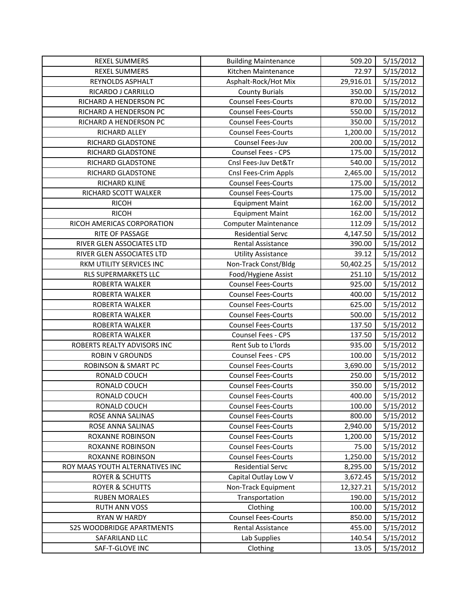| <b>REXEL SUMMERS</b>             | <b>Building Maintenance</b> | 509.20    | 5/15/2012 |
|----------------------------------|-----------------------------|-----------|-----------|
| <b>REXEL SUMMERS</b>             | Kitchen Maintenance         | 72.97     | 5/15/2012 |
| REYNOLDS ASPHALT                 | Asphalt-Rock/Hot Mix        | 29,916.01 | 5/15/2012 |
| RICARDO J CARRILLO               | <b>County Burials</b>       | 350.00    | 5/15/2012 |
| RICHARD A HENDERSON PC           | <b>Counsel Fees-Courts</b>  | 870.00    | 5/15/2012 |
| RICHARD A HENDERSON PC           | <b>Counsel Fees-Courts</b>  | 550.00    | 5/15/2012 |
| RICHARD A HENDERSON PC           | <b>Counsel Fees-Courts</b>  | 350.00    | 5/15/2012 |
| RICHARD ALLEY                    | <b>Counsel Fees-Courts</b>  | 1,200.00  | 5/15/2012 |
| RICHARD GLADSTONE                | Counsel Fees-Juv            | 200.00    | 5/15/2012 |
| RICHARD GLADSTONE                | Counsel Fees - CPS          | 175.00    | 5/15/2012 |
| RICHARD GLADSTONE                | Cnsl Fees-Juv Det&Tr        | 540.00    | 5/15/2012 |
| RICHARD GLADSTONE                | Cnsl Fees-Crim Appls        | 2,465.00  | 5/15/2012 |
| RICHARD KLINE                    | <b>Counsel Fees-Courts</b>  | 175.00    | 5/15/2012 |
| RICHARD SCOTT WALKER             | <b>Counsel Fees-Courts</b>  | 175.00    | 5/15/2012 |
| <b>RICOH</b>                     | <b>Equipment Maint</b>      | 162.00    | 5/15/2012 |
| <b>RICOH</b>                     | <b>Equipment Maint</b>      | 162.00    | 5/15/2012 |
| RICOH AMERICAS CORPORATION       | <b>Computer Maintenance</b> | 112.09    | 5/15/2012 |
| RITE OF PASSAGE                  | <b>Residential Servc</b>    | 4,147.50  | 5/15/2012 |
| RIVER GLEN ASSOCIATES LTD        | Rental Assistance           | 390.00    | 5/15/2012 |
| RIVER GLEN ASSOCIATES LTD        | <b>Utility Assistance</b>   | 39.12     | 5/15/2012 |
| RKM UTILITY SERVICES INC         | Non-Track Const/Bldg        | 50,402.25 | 5/15/2012 |
| RLS SUPERMARKETS LLC             | Food/Hygiene Assist         | 251.10    | 5/15/2012 |
| ROBERTA WALKER                   | <b>Counsel Fees-Courts</b>  | 925.00    | 5/15/2012 |
| ROBERTA WALKER                   | <b>Counsel Fees-Courts</b>  | 400.00    | 5/15/2012 |
| ROBERTA WALKER                   | <b>Counsel Fees-Courts</b>  | 625.00    | 5/15/2012 |
| ROBERTA WALKER                   | <b>Counsel Fees-Courts</b>  | 500.00    | 5/15/2012 |
| ROBERTA WALKER                   | <b>Counsel Fees-Courts</b>  | 137.50    | 5/15/2012 |
| ROBERTA WALKER                   | Counsel Fees - CPS          | 137.50    | 5/15/2012 |
| ROBERTS REALTY ADVISORS INC      | Rent Sub to L'Iords         | 935.00    | 5/15/2012 |
| <b>ROBIN V GROUNDS</b>           | <b>Counsel Fees - CPS</b>   | 100.00    | 5/15/2012 |
| <b>ROBINSON &amp; SMART PC</b>   | <b>Counsel Fees-Courts</b>  | 3,690.00  | 5/15/2012 |
| RONALD COUCH                     | <b>Counsel Fees-Courts</b>  | 250.00    | 5/15/2012 |
| RONALD COUCH                     | <b>Counsel Fees-Courts</b>  | 350.00    | 5/15/2012 |
| RONALD COUCH                     | <b>Counsel Fees-Courts</b>  | 400.00    | 5/15/2012 |
| RONALD COUCH                     | <b>Counsel Fees-Courts</b>  | 100.00    | 5/15/2012 |
| ROSE ANNA SALINAS                | <b>Counsel Fees-Courts</b>  | 800.00    | 5/15/2012 |
| ROSE ANNA SALINAS                | <b>Counsel Fees-Courts</b>  | 2,940.00  | 5/15/2012 |
| ROXANNE ROBINSON                 | <b>Counsel Fees-Courts</b>  | 1,200.00  | 5/15/2012 |
| ROXANNE ROBINSON                 | <b>Counsel Fees-Courts</b>  | 75.00     | 5/15/2012 |
| ROXANNE ROBINSON                 | <b>Counsel Fees-Courts</b>  | 1,250.00  | 5/15/2012 |
| ROY MAAS YOUTH ALTERNATIVES INC  | Residential Servc           | 8,295.00  | 5/15/2012 |
| <b>ROYER &amp; SCHUTTS</b>       | Capital Outlay Low V        | 3,672.45  | 5/15/2012 |
| <b>ROYER &amp; SCHUTTS</b>       | Non-Track Equipment         | 12,327.21 | 5/15/2012 |
| <b>RUBEN MORALES</b>             | Transportation              | 190.00    | 5/15/2012 |
| RUTH ANN VOSS                    | Clothing                    | 100.00    | 5/15/2012 |
| RYAN W HARDY                     | <b>Counsel Fees-Courts</b>  | 850.00    | 5/15/2012 |
| <b>S2S WOODBRIDGE APARTMENTS</b> | Rental Assistance           | 455.00    | 5/15/2012 |
| SAFARILAND LLC                   | Lab Supplies                | 140.54    | 5/15/2012 |
| SAF-T-GLOVE INC                  | Clothing                    | 13.05     | 5/15/2012 |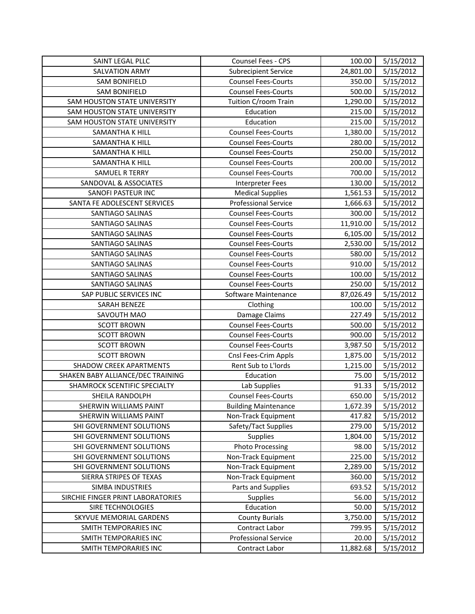| SAINT LEGAL PLLC                  | Counsel Fees - CPS          | 100.00    | 5/15/2012 |
|-----------------------------------|-----------------------------|-----------|-----------|
| <b>SALVATION ARMY</b>             | <b>Subrecipient Service</b> | 24,801.00 | 5/15/2012 |
| <b>SAM BONIFIELD</b>              | <b>Counsel Fees-Courts</b>  | 350.00    | 5/15/2012 |
| <b>SAM BONIFIELD</b>              | <b>Counsel Fees-Courts</b>  | 500.00    | 5/15/2012 |
| SAM HOUSTON STATE UNIVERSITY      | Tuition C/room Train        | 1,290.00  | 5/15/2012 |
| SAM HOUSTON STATE UNIVERSITY      | Education                   | 215.00    | 5/15/2012 |
| SAM HOUSTON STATE UNIVERSITY      | Education                   | 215.00    | 5/15/2012 |
| SAMANTHA K HILL                   | <b>Counsel Fees-Courts</b>  | 1,380.00  | 5/15/2012 |
| SAMANTHA K HILL                   | <b>Counsel Fees-Courts</b>  | 280.00    | 5/15/2012 |
| SAMANTHA K HILL                   | <b>Counsel Fees-Courts</b>  | 250.00    | 5/15/2012 |
| <b>SAMANTHA K HILL</b>            | <b>Counsel Fees-Courts</b>  | 200.00    | 5/15/2012 |
| <b>SAMUEL R TERRY</b>             | <b>Counsel Fees-Courts</b>  | 700.00    | 5/15/2012 |
| SANDOVAL & ASSOCIATES             | <b>Interpreter Fees</b>     | 130.00    | 5/15/2012 |
| <b>SANOFI PASTEUR INC</b>         | <b>Medical Supplies</b>     | 1,561.53  | 5/15/2012 |
| SANTA FE ADOLESCENT SERVICES      | <b>Professional Service</b> | 1,666.63  | 5/15/2012 |
| SANTIAGO SALINAS                  | <b>Counsel Fees-Courts</b>  | 300.00    | 5/15/2012 |
| SANTIAGO SALINAS                  | <b>Counsel Fees-Courts</b>  | 11,910.00 | 5/15/2012 |
| SANTIAGO SALINAS                  | <b>Counsel Fees-Courts</b>  | 6,105.00  | 5/15/2012 |
| SANTIAGO SALINAS                  | <b>Counsel Fees-Courts</b>  | 2,530.00  | 5/15/2012 |
| SANTIAGO SALINAS                  | <b>Counsel Fees-Courts</b>  | 580.00    | 5/15/2012 |
| SANTIAGO SALINAS                  | <b>Counsel Fees-Courts</b>  | 910.00    | 5/15/2012 |
| SANTIAGO SALINAS                  | <b>Counsel Fees-Courts</b>  | 100.00    | 5/15/2012 |
| SANTIAGO SALINAS                  | <b>Counsel Fees-Courts</b>  | 250.00    | 5/15/2012 |
| SAP PUBLIC SERVICES INC           | Software Maintenance        | 87,026.49 | 5/15/2012 |
| SARAH BENEZE                      | Clothing                    | 100.00    | 5/15/2012 |
| SAVOUTH MAO                       | Damage Claims               | 227.49    | 5/15/2012 |
| <b>SCOTT BROWN</b>                | <b>Counsel Fees-Courts</b>  | 500.00    | 5/15/2012 |
| <b>SCOTT BROWN</b>                | <b>Counsel Fees-Courts</b>  | 900.00    | 5/15/2012 |
| <b>SCOTT BROWN</b>                | <b>Counsel Fees-Courts</b>  | 3,987.50  | 5/15/2012 |
| <b>SCOTT BROWN</b>                | Cnsl Fees-Crim Appls        | 1,875.00  | 5/15/2012 |
| <b>SHADOW CREEK APARTMENTS</b>    | Rent Sub to L'Iords         | 1,215.00  | 5/15/2012 |
| SHAKEN BABY ALLIANCE/DEC TRAINING | Education                   | 75.00     | 5/15/2012 |
| SHAMROCK SCENTIFIC SPECIALTY      | Lab Supplies                | 91.33     | 5/15/2012 |
| SHEILA RANDOLPH                   | <b>Counsel Fees-Courts</b>  | 650.00    | 5/15/2012 |
| <b>SHERWIN WILLIAMS PAINT</b>     | <b>Building Maintenance</b> | 1,672.39  | 5/15/2012 |
| SHERWIN WILLIAMS PAINT            | Non-Track Equipment         | 417.82    | 5/15/2012 |
| SHI GOVERNMENT SOLUTIONS          | Safety/Tact Supplies        | 279.00    | 5/15/2012 |
| SHI GOVERNMENT SOLUTIONS          | <b>Supplies</b>             | 1,804.00  | 5/15/2012 |
| SHI GOVERNMENT SOLUTIONS          | <b>Photo Processing</b>     | 98.00     | 5/15/2012 |
| SHI GOVERNMENT SOLUTIONS          | Non-Track Equipment         | 225.00    | 5/15/2012 |
| SHI GOVERNMENT SOLUTIONS          | Non-Track Equipment         | 2,289.00  | 5/15/2012 |
| SIERRA STRIPES OF TEXAS           | Non-Track Equipment         | 360.00    | 5/15/2012 |
| SIMBA INDUSTRIES                  | Parts and Supplies          | 693.52    | 5/15/2012 |
| SIRCHIE FINGER PRINT LABORATORIES | <b>Supplies</b>             | 56.00     | 5/15/2012 |
| SIRE TECHNOLOGIES                 | Education                   | 50.00     | 5/15/2012 |
| SKYVUE MEMORIAL GARDENS           | <b>County Burials</b>       | 3,750.00  | 5/15/2012 |
| SMITH TEMPORARIES INC             | Contract Labor              | 799.95    | 5/15/2012 |
| SMITH TEMPORARIES INC             | <b>Professional Service</b> | 20.00     | 5/15/2012 |
| SMITH TEMPORARIES INC             | Contract Labor              | 11,882.68 | 5/15/2012 |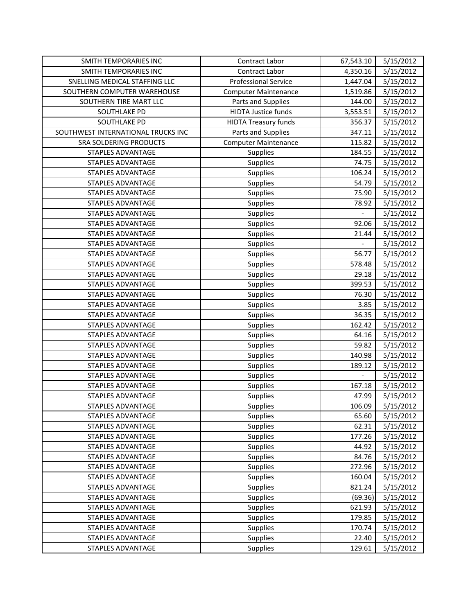| SMITH TEMPORARIES INC              | Contract Labor              | 67,543.10 | 5/15/2012 |
|------------------------------------|-----------------------------|-----------|-----------|
| SMITH TEMPORARIES INC              | <b>Contract Labor</b>       | 4,350.16  | 5/15/2012 |
| SNELLING MEDICAL STAFFING LLC      | <b>Professional Service</b> | 1,447.04  | 5/15/2012 |
| SOUTHERN COMPUTER WAREHOUSE        | <b>Computer Maintenance</b> | 1,519.86  | 5/15/2012 |
| SOUTHERN TIRE MART LLC             | Parts and Supplies          | 144.00    | 5/15/2012 |
| SOUTHLAKE PD                       | <b>HIDTA Justice funds</b>  | 3,553.51  | 5/15/2012 |
| SOUTHLAKE PD                       | <b>HIDTA Treasury funds</b> | 356.37    | 5/15/2012 |
| SOUTHWEST INTERNATIONAL TRUCKS INC | Parts and Supplies          | 347.11    | 5/15/2012 |
| SRA SOLDERING PRODUCTS             | <b>Computer Maintenance</b> | 115.82    | 5/15/2012 |
| <b>STAPLES ADVANTAGE</b>           | Supplies                    | 184.55    | 5/15/2012 |
| <b>STAPLES ADVANTAGE</b>           | Supplies                    | 74.75     | 5/15/2012 |
| STAPLES ADVANTAGE                  | <b>Supplies</b>             | 106.24    | 5/15/2012 |
| STAPLES ADVANTAGE                  | <b>Supplies</b>             | 54.79     | 5/15/2012 |
| STAPLES ADVANTAGE                  | Supplies                    | 75.90     | 5/15/2012 |
| <b>STAPLES ADVANTAGE</b>           | Supplies                    | 78.92     | 5/15/2012 |
| STAPLES ADVANTAGE                  | <b>Supplies</b>             |           | 5/15/2012 |
| <b>STAPLES ADVANTAGE</b>           | Supplies                    | 92.06     | 5/15/2012 |
| <b>STAPLES ADVANTAGE</b>           | Supplies                    | 21.44     | 5/15/2012 |
| <b>STAPLES ADVANTAGE</b>           | <b>Supplies</b>             |           | 5/15/2012 |
| <b>STAPLES ADVANTAGE</b>           | Supplies                    | 56.77     | 5/15/2012 |
| <b>STAPLES ADVANTAGE</b>           | Supplies                    | 578.48    | 5/15/2012 |
| <b>STAPLES ADVANTAGE</b>           | Supplies                    | 29.18     | 5/15/2012 |
| STAPLES ADVANTAGE                  | <b>Supplies</b>             | 399.53    | 5/15/2012 |
| STAPLES ADVANTAGE                  | <b>Supplies</b>             | 76.30     | 5/15/2012 |
| <b>STAPLES ADVANTAGE</b>           | Supplies                    | 3.85      | 5/15/2012 |
| STAPLES ADVANTAGE                  | Supplies                    | 36.35     | 5/15/2012 |
| STAPLES ADVANTAGE                  | Supplies                    | 162.42    | 5/15/2012 |
| STAPLES ADVANTAGE                  | <b>Supplies</b>             | 64.16     | 5/15/2012 |
| STAPLES ADVANTAGE                  | <b>Supplies</b>             | 59.82     | 5/15/2012 |
| STAPLES ADVANTAGE                  | <b>Supplies</b>             | 140.98    | 5/15/2012 |
| <b>STAPLES ADVANTAGE</b>           | <b>Supplies</b>             | 189.12    | 5/15/2012 |
| STAPLES ADVANTAGE                  | <b>Supplies</b>             |           | 5/15/2012 |
| STAPLES ADVANTAGE                  | Supplies                    | 167.18    | 5/15/2012 |
| <b>STAPLES ADVANTAGE</b>           | Supplies                    | 47.99     | 5/15/2012 |
| STAPLES ADVANTAGE                  | <b>Supplies</b>             | 106.09    | 5/15/2012 |
| STAPLES ADVANTAGE                  | <b>Supplies</b>             | 65.60     | 5/15/2012 |
| STAPLES ADVANTAGE                  | <b>Supplies</b>             | 62.31     | 5/15/2012 |
| STAPLES ADVANTAGE                  | Supplies                    | 177.26    | 5/15/2012 |
| <b>STAPLES ADVANTAGE</b>           | Supplies                    | 44.92     | 5/15/2012 |
| STAPLES ADVANTAGE                  | Supplies                    | 84.76     | 5/15/2012 |
| STAPLES ADVANTAGE                  | <b>Supplies</b>             | 272.96    | 5/15/2012 |
| <b>STAPLES ADVANTAGE</b>           | Supplies                    | 160.04    | 5/15/2012 |
| <b>STAPLES ADVANTAGE</b>           | <b>Supplies</b>             | 821.24    | 5/15/2012 |
| STAPLES ADVANTAGE                  | <b>Supplies</b>             | (69.36)   | 5/15/2012 |
| STAPLES ADVANTAGE                  | <b>Supplies</b>             | 621.93    | 5/15/2012 |
| STAPLES ADVANTAGE                  | <b>Supplies</b>             | 179.85    | 5/15/2012 |
| STAPLES ADVANTAGE                  | <b>Supplies</b>             | 170.74    | 5/15/2012 |
| <b>STAPLES ADVANTAGE</b>           | Supplies                    | 22.40     | 5/15/2012 |
| STAPLES ADVANTAGE                  | Supplies                    | 129.61    | 5/15/2012 |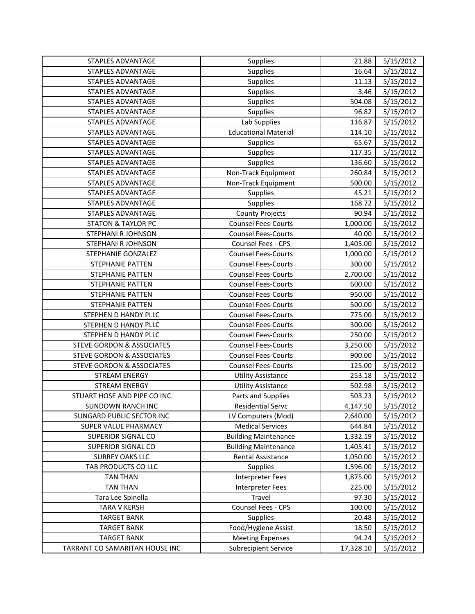| STAPLES ADVANTAGE                    | Supplies                    | 21.88     | 5/15/2012 |
|--------------------------------------|-----------------------------|-----------|-----------|
| <b>STAPLES ADVANTAGE</b>             | Supplies                    | 16.64     | 5/15/2012 |
| <b>STAPLES ADVANTAGE</b>             | Supplies                    | 11.13     | 5/15/2012 |
| <b>STAPLES ADVANTAGE</b>             | <b>Supplies</b>             | 3.46      | 5/15/2012 |
| STAPLES ADVANTAGE                    | Supplies                    | 504.08    | 5/15/2012 |
| STAPLES ADVANTAGE                    | Supplies                    | 96.82     | 5/15/2012 |
| STAPLES ADVANTAGE                    | Lab Supplies                | 116.87    | 5/15/2012 |
| <b>STAPLES ADVANTAGE</b>             | <b>Educational Material</b> | 114.10    | 5/15/2012 |
| <b>STAPLES ADVANTAGE</b>             | <b>Supplies</b>             | 65.67     | 5/15/2012 |
| STAPLES ADVANTAGE                    | Supplies                    | 117.35    | 5/15/2012 |
| STAPLES ADVANTAGE                    | Supplies                    | 136.60    | 5/15/2012 |
| STAPLES ADVANTAGE                    | Non-Track Equipment         | 260.84    | 5/15/2012 |
| STAPLES ADVANTAGE                    | Non-Track Equipment         | 500.00    | 5/15/2012 |
| <b>STAPLES ADVANTAGE</b>             | Supplies                    | 45.21     | 5/15/2012 |
| STAPLES ADVANTAGE                    | Supplies                    | 168.72    | 5/15/2012 |
| <b>STAPLES ADVANTAGE</b>             | <b>County Projects</b>      | 90.94     | 5/15/2012 |
| <b>STATON &amp; TAYLOR PC</b>        | <b>Counsel Fees-Courts</b>  | 1,000.00  | 5/15/2012 |
| STEPHANI R JOHNSON                   | <b>Counsel Fees-Courts</b>  | 40.00     | 5/15/2012 |
| STEPHANI R JOHNSON                   | Counsel Fees - CPS          | 1,405.00  | 5/15/2012 |
| STEPHANIE GONZALEZ                   | <b>Counsel Fees-Courts</b>  | 1,000.00  | 5/15/2012 |
| <b>STEPHANIE PATTEN</b>              | <b>Counsel Fees-Courts</b>  | 300.00    | 5/15/2012 |
| <b>STEPHANIE PATTEN</b>              | <b>Counsel Fees-Courts</b>  | 2,700.00  | 5/15/2012 |
| <b>STEPHANIE PATTEN</b>              | <b>Counsel Fees-Courts</b>  | 600.00    | 5/15/2012 |
| <b>STEPHANIE PATTEN</b>              | <b>Counsel Fees-Courts</b>  | 950.00    | 5/15/2012 |
| <b>STEPHANIE PATTEN</b>              | <b>Counsel Fees-Courts</b>  | 500.00    | 5/15/2012 |
| STEPHEN D HANDY PLLC                 | <b>Counsel Fees-Courts</b>  | 775.00    | 5/15/2012 |
| STEPHEN D HANDY PLLC                 | <b>Counsel Fees-Courts</b>  | 300.00    | 5/15/2012 |
| STEPHEN D HANDY PLLC                 | <b>Counsel Fees-Courts</b>  | 250.00    | 5/15/2012 |
| <b>STEVE GORDON &amp; ASSOCIATES</b> | <b>Counsel Fees-Courts</b>  | 3,250.00  | 5/15/2012 |
| <b>STEVE GORDON &amp; ASSOCIATES</b> | <b>Counsel Fees-Courts</b>  | 900.00    | 5/15/2012 |
| <b>STEVE GORDON &amp; ASSOCIATES</b> | <b>Counsel Fees-Courts</b>  | 125.00    | 5/15/2012 |
| <b>STREAM ENERGY</b>                 | <b>Utility Assistance</b>   | 253.18    | 5/15/2012 |
| <b>STREAM ENERGY</b>                 | <b>Utility Assistance</b>   | 502.98    | 5/15/2012 |
| STUART HOSE AND PIPE CO INC          | Parts and Supplies          | 503.23    | 5/15/2012 |
| SUNDOWN RANCH INC                    | <b>Residential Servc</b>    | 4,147.50  | 5/15/2012 |
| SUNGARD PUBLIC SECTOR INC            | LV Computers (Mod)          | 2,640.00  | 5/15/2012 |
| SUPER VALUE PHARMACY                 | <b>Medical Services</b>     | 644.84    | 5/15/2012 |
| SUPERIOR SIGNAL CO                   | <b>Building Maintenance</b> | 1,332.19  | 5/15/2012 |
| SUPERIOR SIGNAL CO                   | <b>Building Maintenance</b> | 1,405.41  | 5/15/2012 |
| <b>SURREY OAKS LLC</b>               | Rental Assistance           | 1,050.00  | 5/15/2012 |
| TAB PRODUCTS CO LLC                  | <b>Supplies</b>             | 1,596.00  | 5/15/2012 |
| <b>TAN THAN</b>                      | <b>Interpreter Fees</b>     | 1,875.00  | 5/15/2012 |
| <b>TAN THAN</b>                      | <b>Interpreter Fees</b>     | 225.00    | 5/15/2012 |
| Tara Lee Spinella                    | Travel                      | 97.30     | 5/15/2012 |
| <b>TARA V KERSH</b>                  | Counsel Fees - CPS          | 100.00    | 5/15/2012 |
| <b>TARGET BANK</b>                   | <b>Supplies</b>             | 20.48     | 5/15/2012 |
| <b>TARGET BANK</b>                   | Food/Hygiene Assist         | 18.50     | 5/15/2012 |
| <b>TARGET BANK</b>                   | <b>Meeting Expenses</b>     | 94.24     | 5/15/2012 |
| TARRANT CO SAMARITAN HOUSE INC       | <b>Subrecipient Service</b> | 17,328.10 | 5/15/2012 |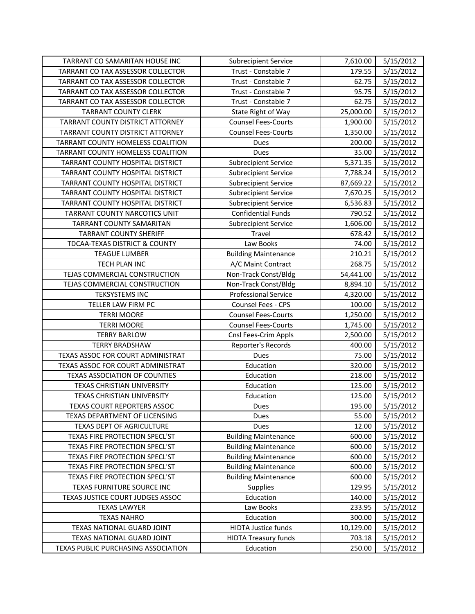| TARRANT CO SAMARITAN HOUSE INC       | <b>Subrecipient Service</b> | 7,610.00  | 5/15/2012 |
|--------------------------------------|-----------------------------|-----------|-----------|
| TARRANT CO TAX ASSESSOR COLLECTOR    | Trust - Constable 7         | 179.55    | 5/15/2012 |
| TARRANT CO TAX ASSESSOR COLLECTOR    | Trust - Constable 7         | 62.75     | 5/15/2012 |
| TARRANT CO TAX ASSESSOR COLLECTOR    | Trust - Constable 7         | 95.75     | 5/15/2012 |
| TARRANT CO TAX ASSESSOR COLLECTOR    | Trust - Constable 7         | 62.75     | 5/15/2012 |
| <b>TARRANT COUNTY CLERK</b>          | State Right of Way          | 25,000.00 | 5/15/2012 |
| TARRANT COUNTY DISTRICT ATTORNEY     | <b>Counsel Fees-Courts</b>  | 1,900.00  | 5/15/2012 |
| TARRANT COUNTY DISTRICT ATTORNEY     | <b>Counsel Fees-Courts</b>  | 1,350.00  | 5/15/2012 |
| TARRANT COUNTY HOMELESS COALITION    | Dues                        | 200.00    | 5/15/2012 |
| TARRANT COUNTY HOMELESS COALITION    | Dues                        | 35.00     | 5/15/2012 |
| TARRANT COUNTY HOSPITAL DISTRICT     | <b>Subrecipient Service</b> | 5,371.35  | 5/15/2012 |
| TARRANT COUNTY HOSPITAL DISTRICT     | <b>Subrecipient Service</b> | 7,788.24  | 5/15/2012 |
| TARRANT COUNTY HOSPITAL DISTRICT     | <b>Subrecipient Service</b> | 87,669.22 | 5/15/2012 |
| TARRANT COUNTY HOSPITAL DISTRICT     | <b>Subrecipient Service</b> | 7,670.25  | 5/15/2012 |
| TARRANT COUNTY HOSPITAL DISTRICT     | <b>Subrecipient Service</b> | 6,536.83  | 5/15/2012 |
| TARRANT COUNTY NARCOTICS UNIT        | <b>Confidential Funds</b>   | 790.52    | 5/15/2012 |
| TARRANT COUNTY SAMARITAN             | <b>Subrecipient Service</b> | 1,606.00  | 5/15/2012 |
| <b>TARRANT COUNTY SHERIFF</b>        | Travel                      | 678.42    | 5/15/2012 |
| TDCAA-TEXAS DISTRICT & COUNTY        | Law Books                   | 74.00     | 5/15/2012 |
| <b>TEAGUE LUMBER</b>                 | <b>Building Maintenance</b> | 210.21    | 5/15/2012 |
| TECH PLAN INC                        | A/C Maint Contract          | 268.75    | 5/15/2012 |
| TEJAS COMMERCIAL CONSTRUCTION        | Non-Track Const/Bldg        | 54,441.00 | 5/15/2012 |
| TEJAS COMMERCIAL CONSTRUCTION        | Non-Track Const/Bldg        | 8,894.10  | 5/15/2012 |
| <b>TEKSYSTEMS INC</b>                | <b>Professional Service</b> | 4,320.00  | 5/15/2012 |
| TELLER LAW FIRM PC                   | Counsel Fees - CPS          | 100.00    | 5/15/2012 |
| <b>TERRI MOORE</b>                   | <b>Counsel Fees-Courts</b>  | 1,250.00  | 5/15/2012 |
| <b>TERRI MOORE</b>                   | <b>Counsel Fees-Courts</b>  | 1,745.00  | 5/15/2012 |
| <b>TERRY BARLOW</b>                  | Cnsl Fees-Crim Appls        | 2,500.00  | 5/15/2012 |
| <b>TERRY BRADSHAW</b>                | Reporter's Records          | 400.00    | 5/15/2012 |
| TEXAS ASSOC FOR COURT ADMINISTRAT    | Dues                        | 75.00     | 5/15/2012 |
| TEXAS ASSOC FOR COURT ADMINISTRAT    | Education                   | 320.00    | 5/15/2012 |
| <b>TEXAS ASSOCIATION OF COUNTIES</b> | Education                   | 218.00    | 5/15/2012 |
| TEXAS CHRISTIAN UNIVERSITY           | Education                   | 125.00    | 5/15/2012 |
| TEXAS CHRISTIAN UNIVERSITY           | Education                   | 125.00    | 5/15/2012 |
| TEXAS COURT REPORTERS ASSOC          | Dues                        | 195.00    | 5/15/2012 |
| TEXAS DEPARTMENT OF LICENSING        | Dues                        | 55.00     | 5/15/2012 |
| TEXAS DEPT OF AGRICULTURE            | Dues                        | 12.00     | 5/15/2012 |
| TEXAS FIRE PROTECTION SPECL'ST       | <b>Building Maintenance</b> | 600.00    | 5/15/2012 |
| TEXAS FIRE PROTECTION SPECL'ST       | <b>Building Maintenance</b> | 600.00    | 5/15/2012 |
| TEXAS FIRE PROTECTION SPECL'ST       | <b>Building Maintenance</b> | 600.00    | 5/15/2012 |
| TEXAS FIRE PROTECTION SPECL'ST       | <b>Building Maintenance</b> | 600.00    | 5/15/2012 |
| TEXAS FIRE PROTECTION SPECL'ST       | <b>Building Maintenance</b> | 600.00    | 5/15/2012 |
| TEXAS FURNITURE SOURCE INC           | Supplies                    | 129.95    | 5/15/2012 |
| TEXAS JUSTICE COURT JUDGES ASSOC     | Education                   | 140.00    | 5/15/2012 |
| <b>TEXAS LAWYER</b>                  | Law Books                   | 233.95    | 5/15/2012 |
| <b>TEXAS NAHRO</b>                   | Education                   | 300.00    | 5/15/2012 |
| TEXAS NATIONAL GUARD JOINT           | <b>HIDTA Justice funds</b>  | 10,129.00 | 5/15/2012 |
| TEXAS NATIONAL GUARD JOINT           | <b>HIDTA Treasury funds</b> | 703.18    | 5/15/2012 |
| TEXAS PUBLIC PURCHASING ASSOCIATION  | Education                   | 250.00    | 5/15/2012 |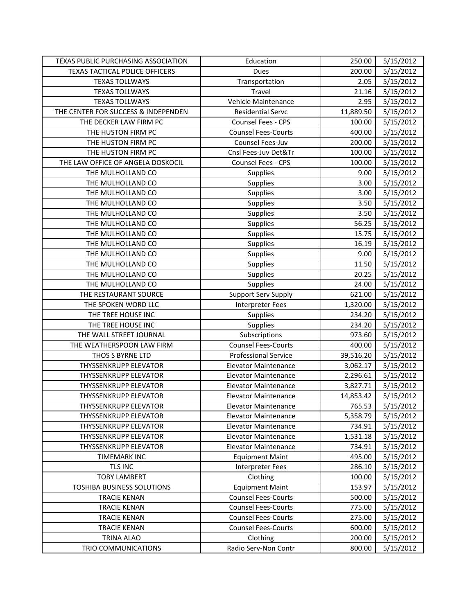| TEXAS PUBLIC PURCHASING ASSOCIATION | Education                   | 250.00    | 5/15/2012 |
|-------------------------------------|-----------------------------|-----------|-----------|
| TEXAS TACTICAL POLICE OFFICERS      | Dues                        | 200.00    | 5/15/2012 |
| <b>TEXAS TOLLWAYS</b>               | Transportation              | 2.05      | 5/15/2012 |
| <b>TEXAS TOLLWAYS</b>               | Travel                      | 21.16     | 5/15/2012 |
| <b>TEXAS TOLLWAYS</b>               | Vehicle Maintenance         | 2.95      | 5/15/2012 |
| THE CENTER FOR SUCCESS & INDEPENDEN | <b>Residential Servc</b>    | 11,889.50 | 5/15/2012 |
| THE DECKER LAW FIRM PC              | Counsel Fees - CPS          | 100.00    | 5/15/2012 |
| THE HUSTON FIRM PC                  | <b>Counsel Fees-Courts</b>  | 400.00    | 5/15/2012 |
| THE HUSTON FIRM PC                  | Counsel Fees-Juv            | 200.00    | 5/15/2012 |
| THE HUSTON FIRM PC                  | Cnsl Fees-Juv Det&Tr        | 100.00    | 5/15/2012 |
| THE LAW OFFICE OF ANGELA DOSKOCIL   | <b>Counsel Fees - CPS</b>   | 100.00    | 5/15/2012 |
| THE MULHOLLAND CO                   | <b>Supplies</b>             | 9.00      | 5/15/2012 |
| THE MULHOLLAND CO                   | <b>Supplies</b>             | 3.00      | 5/15/2012 |
| THE MULHOLLAND CO                   | Supplies                    | 3.00      | 5/15/2012 |
| THE MULHOLLAND CO                   | <b>Supplies</b>             | 3.50      | 5/15/2012 |
| THE MULHOLLAND CO                   | <b>Supplies</b>             | 3.50      | 5/15/2012 |
| THE MULHOLLAND CO                   | <b>Supplies</b>             | 56.25     | 5/15/2012 |
| THE MULHOLLAND CO                   | <b>Supplies</b>             | 15.75     | 5/15/2012 |
| THE MULHOLLAND CO                   | Supplies                    | 16.19     | 5/15/2012 |
| THE MULHOLLAND CO                   | Supplies                    | 9.00      | 5/15/2012 |
| THE MULHOLLAND CO                   | <b>Supplies</b>             | 11.50     | 5/15/2012 |
| THE MULHOLLAND CO                   | Supplies                    | 20.25     | 5/15/2012 |
| THE MULHOLLAND CO                   | Supplies                    | 24.00     | 5/15/2012 |
| THE RESTAURANT SOURCE               | Support Serv Supply         | 621.00    | 5/15/2012 |
| THE SPOKEN WORD LLC                 | <b>Interpreter Fees</b>     | 1,320.00  | 5/15/2012 |
| THE TREE HOUSE INC                  | Supplies                    | 234.20    | 5/15/2012 |
| THE TREE HOUSE INC                  | Supplies                    | 234.20    | 5/15/2012 |
| THE WALL STREET JOURNAL             | Subscriptions               | 973.60    | 5/15/2012 |
| THE WEATHERSPOON LAW FIRM           | <b>Counsel Fees-Courts</b>  | 400.00    | 5/15/2012 |
| THOS S BYRNE LTD                    | <b>Professional Service</b> | 39,516.20 | 5/15/2012 |
| <b>THYSSENKRUPP ELEVATOR</b>        | <b>Elevator Maintenance</b> | 3,062.17  | 5/15/2012 |
| THYSSENKRUPP ELEVATOR               | <b>Elevator Maintenance</b> | 2,296.61  | 5/15/2012 |
| <b>THYSSENKRUPP ELEVATOR</b>        | <b>Elevator Maintenance</b> | 3,827.71  | 5/15/2012 |
| <b>THYSSENKRUPP ELEVATOR</b>        | <b>Elevator Maintenance</b> | 14,853.42 | 5/15/2012 |
| THYSSENKRUPP ELEVATOR               | Elevator Maintenance        | 765.53    | 5/15/2012 |
| THYSSENKRUPP ELEVATOR               | <b>Elevator Maintenance</b> | 5,358.79  | 5/15/2012 |
| THYSSENKRUPP ELEVATOR               | <b>Elevator Maintenance</b> | 734.91    | 5/15/2012 |
| THYSSENKRUPP ELEVATOR               | <b>Elevator Maintenance</b> | 1,531.18  | 5/15/2012 |
| <b>THYSSENKRUPP ELEVATOR</b>        | <b>Elevator Maintenance</b> | 734.91    | 5/15/2012 |
| <b>TIMEMARK INC</b>                 | <b>Equipment Maint</b>      | 495.00    | 5/15/2012 |
| TLS INC                             | Interpreter Fees            | 286.10    | 5/15/2012 |
| <b>TOBY LAMBERT</b>                 | Clothing                    | 100.00    | 5/15/2012 |
| TOSHIBA BUSINESS SOLUTIONS          | <b>Equipment Maint</b>      | 153.97    | 5/15/2012 |
| <b>TRACIE KENAN</b>                 | <b>Counsel Fees-Courts</b>  | 500.00    | 5/15/2012 |
| <b>TRACIE KENAN</b>                 | <b>Counsel Fees-Courts</b>  | 775.00    | 5/15/2012 |
| <b>TRACIE KENAN</b>                 | <b>Counsel Fees-Courts</b>  | 275.00    | 5/15/2012 |
| <b>TRACIE KENAN</b>                 | <b>Counsel Fees-Courts</b>  | 600.00    | 5/15/2012 |
| TRINA ALAO                          | Clothing                    | 200.00    | 5/15/2012 |
| TRIO COMMUNICATIONS                 | Radio Serv-Non Contr        | 800.00    | 5/15/2012 |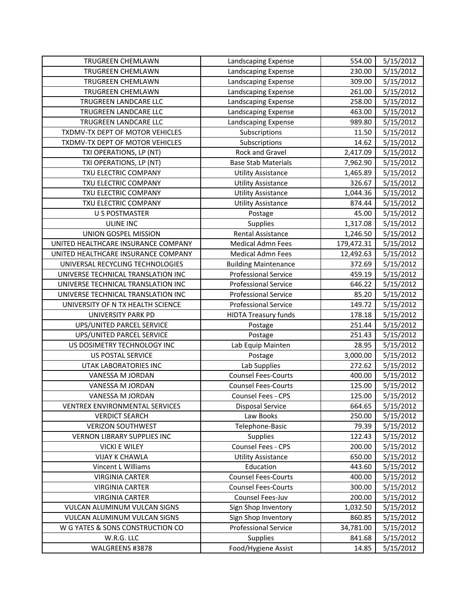| <b>TRUGREEN CHEMLAWN</b>            | Landscaping Expense         | 554.00     | 5/15/2012 |
|-------------------------------------|-----------------------------|------------|-----------|
| <b>TRUGREEN CHEMLAWN</b>            | Landscaping Expense         | 230.00     | 5/15/2012 |
| TRUGREEN CHEMLAWN                   | Landscaping Expense         | 309.00     | 5/15/2012 |
| TRUGREEN CHEMLAWN                   | Landscaping Expense         | 261.00     | 5/15/2012 |
| TRUGREEN LANDCARE LLC               | Landscaping Expense         | 258.00     | 5/15/2012 |
| TRUGREEN LANDCARE LLC               | Landscaping Expense         | 463.00     | 5/15/2012 |
| TRUGREEN LANDCARE LLC               | Landscaping Expense         | 989.80     | 5/15/2012 |
| TXDMV-TX DEPT OF MOTOR VEHICLES     | Subscriptions               | 11.50      | 5/15/2012 |
| TXDMV-TX DEPT OF MOTOR VEHICLES     | Subscriptions               | 14.62      | 5/15/2012 |
| TXI OPERATIONS, LP (NT)             | Rock and Gravel             | 2,417.09   | 5/15/2012 |
| TXI OPERATIONS, LP (NT)             | <b>Base Stab Materials</b>  | 7,962.90   | 5/15/2012 |
| TXU ELECTRIC COMPANY                | <b>Utility Assistance</b>   | 1,465.89   | 5/15/2012 |
| TXU ELECTRIC COMPANY                | <b>Utility Assistance</b>   | 326.67     | 5/15/2012 |
| TXU ELECTRIC COMPANY                | <b>Utility Assistance</b>   | 1,044.36   | 5/15/2012 |
| TXU ELECTRIC COMPANY                | <b>Utility Assistance</b>   | 874.44     | 5/15/2012 |
| <b>U S POSTMASTER</b>               | Postage                     | 45.00      | 5/15/2012 |
| ULINE INC                           | Supplies                    | 1,317.08   | 5/15/2012 |
| UNION GOSPEL MISSION                | Rental Assistance           | 1,246.50   | 5/15/2012 |
| UNITED HEALTHCARE INSURANCE COMPANY | <b>Medical Admn Fees</b>    | 179,472.31 | 5/15/2012 |
| UNITED HEALTHCARE INSURANCE COMPANY | <b>Medical Admn Fees</b>    | 12,492.63  | 5/15/2012 |
| UNIVERSAL RECYCLING TECHNOLOGIES    | <b>Building Maintenance</b> | 372.69     | 5/15/2012 |
| UNIVERSE TECHNICAL TRANSLATION INC  | <b>Professional Service</b> | 459.19     | 5/15/2012 |
| UNIVERSE TECHNICAL TRANSLATION INC  | <b>Professional Service</b> | 646.22     | 5/15/2012 |
| UNIVERSE TECHNICAL TRANSLATION INC  | <b>Professional Service</b> | 85.20      | 5/15/2012 |
| UNIVERSITY OF N TX HEALTH SCIENCE   | <b>Professional Service</b> | 149.72     | 5/15/2012 |
| UNIVERSITY PARK PD                  | <b>HIDTA Treasury funds</b> | 178.18     | 5/15/2012 |
| UPS/UNITED PARCEL SERVICE           | Postage                     | 251.44     | 5/15/2012 |
| UPS/UNITED PARCEL SERVICE           | Postage                     | 251.43     | 5/15/2012 |
| US DOSIMETRY TECHNOLOGY INC         | Lab Equip Mainten           | 28.95      | 5/15/2012 |
| <b>US POSTAL SERVICE</b>            | Postage                     | 3,000.00   | 5/15/2012 |
| <b>UTAK LABORATORIES INC</b>        | Lab Supplies                | 272.62     | 5/15/2012 |
| VANESSA M JORDAN                    | <b>Counsel Fees-Courts</b>  | 400.00     | 5/15/2012 |
| VANESSA M JORDAN                    | <b>Counsel Fees-Courts</b>  | 125.00     | 5/15/2012 |
| VANESSA M JORDAN                    | Counsel Fees - CPS          | 125.00     | 5/15/2012 |
| VENTREX ENVIRONMENTAL SERVICES      | Disposal Service            | 664.65     | 5/15/2012 |
| <b>VERDICT SEARCH</b>               | Law Books                   | 250.00     | 5/15/2012 |
| <b>VERIZON SOUTHWEST</b>            | Telephone-Basic             | 79.39      | 5/15/2012 |
| <b>VERNON LIBRARY SUPPLIES INC</b>  | <b>Supplies</b>             | 122.43     | 5/15/2012 |
| <b>VICKI E WILEY</b>                | Counsel Fees - CPS          | 200.00     | 5/15/2012 |
| <b>VIJAY K CHAWLA</b>               | <b>Utility Assistance</b>   | 650.00     | 5/15/2012 |
| Vincent L Williams                  | Education                   | 443.60     | 5/15/2012 |
| <b>VIRGINIA CARTER</b>              | <b>Counsel Fees-Courts</b>  | 400.00     | 5/15/2012 |
| <b>VIRGINIA CARTER</b>              | <b>Counsel Fees-Courts</b>  | 300.00     | 5/15/2012 |
| <b>VIRGINIA CARTER</b>              | Counsel Fees-Juv            | 200.00     | 5/15/2012 |
| VULCAN ALUMINUM VULCAN SIGNS        | Sign Shop Inventory         | 1,032.50   | 5/15/2012 |
| VULCAN ALUMINUM VULCAN SIGNS        | Sign Shop Inventory         | 860.85     | 5/15/2012 |
| W G YATES & SONS CONSTRUCTION CO    | <b>Professional Service</b> | 34,781.00  | 5/15/2012 |
| W.R.G. LLC                          | <b>Supplies</b>             | 841.68     | 5/15/2012 |
| WALGREENS #3878                     | Food/Hygiene Assist         | 14.85      | 5/15/2012 |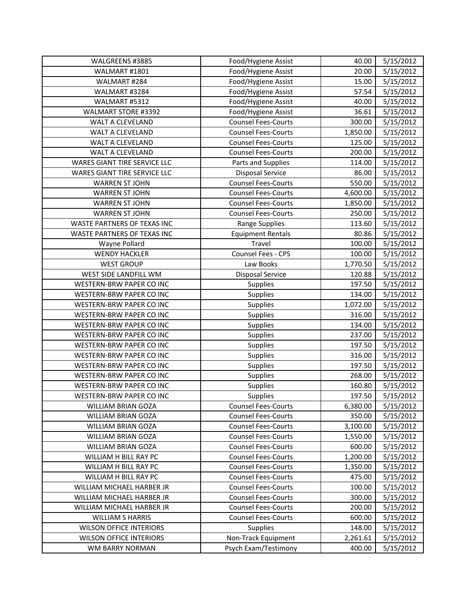| WALGREENS #3885                 | Food/Hygiene Assist        | 40.00    | 5/15/2012 |
|---------------------------------|----------------------------|----------|-----------|
| WALMART #1801                   | Food/Hygiene Assist        | 20.00    | 5/15/2012 |
| WALMART #284                    | Food/Hygiene Assist        | 15.00    | 5/15/2012 |
| WALMART #3284                   | Food/Hygiene Assist        | 57.54    | 5/15/2012 |
| WALMART #5312                   | Food/Hygiene Assist        | 40.00    | 5/15/2012 |
| WALMART STORE #3392             | Food/Hygiene Assist        | 36.61    | 5/15/2012 |
| WALT A CLEVELAND                | <b>Counsel Fees-Courts</b> | 300.00   | 5/15/2012 |
| WALT A CLEVELAND                | <b>Counsel Fees-Courts</b> | 1,850.00 | 5/15/2012 |
| WALT A CLEVELAND                | <b>Counsel Fees-Courts</b> | 125.00   | 5/15/2012 |
| WALT A CLEVELAND                | <b>Counsel Fees-Courts</b> | 200.00   | 5/15/2012 |
| WARES GIANT TIRE SERVICE LLC    | Parts and Supplies         | 114.00   | 5/15/2012 |
| WARES GIANT TIRE SERVICE LLC    | <b>Disposal Service</b>    | 86.00    | 5/15/2012 |
| <b>WARREN ST JOHN</b>           | <b>Counsel Fees-Courts</b> | 550.00   | 5/15/2012 |
| <b>WARREN ST JOHN</b>           | <b>Counsel Fees-Courts</b> | 4,600.00 | 5/15/2012 |
| <b>WARREN ST JOHN</b>           | <b>Counsel Fees-Courts</b> | 1,850.00 | 5/15/2012 |
| <b>WARREN ST JOHN</b>           | <b>Counsel Fees-Courts</b> | 250.00   | 5/15/2012 |
| WASTE PARTNERS OF TEXAS INC     | Range Supplies             | 113.60   | 5/15/2012 |
| WASTE PARTNERS OF TEXAS INC     | <b>Equipment Rentals</b>   | 80.86    | 5/15/2012 |
| Wayne Pollard                   | Travel                     | 100.00   | 5/15/2012 |
| <b>WENDY HACKLER</b>            | Counsel Fees - CPS         | 100.00   | 5/15/2012 |
| <b>WEST GROUP</b>               | Law Books                  | 1,770.50 | 5/15/2012 |
| WEST SIDE LANDFILL WM           | <b>Disposal Service</b>    | 120.88   | 5/15/2012 |
| WESTERN-BRW PAPER CO INC        | <b>Supplies</b>            | 197.50   | 5/15/2012 |
| WESTERN-BRW PAPER CO INC        | <b>Supplies</b>            | 134.00   | 5/15/2012 |
| WESTERN-BRW PAPER CO INC        | Supplies                   | 1,072.00 | 5/15/2012 |
| WESTERN-BRW PAPER CO INC        | Supplies                   | 316.00   | 5/15/2012 |
| WESTERN-BRW PAPER CO INC        | <b>Supplies</b>            | 134.00   | 5/15/2012 |
| WESTERN-BRW PAPER CO INC        | <b>Supplies</b>            | 237.00   | 5/15/2012 |
| WESTERN-BRW PAPER CO INC        | <b>Supplies</b>            | 197.50   | 5/15/2012 |
| WESTERN-BRW PAPER CO INC        | <b>Supplies</b>            | 316.00   | 5/15/2012 |
| WESTERN-BRW PAPER CO INC        | Supplies                   | 197.50   | 5/15/2012 |
| <b>WESTERN-BRW PAPER CO INC</b> | Supplies                   | 268.00   | 5/15/2012 |
| WESTERN-BRW PAPER CO INC        | Supplies                   | 160.80   | 5/15/2012 |
| WESTERN-BRW PAPER CO INC        | Supplies                   | 197.50   | 5/15/2012 |
| WILLIAM BRIAN GOZA              | <b>Counsel Fees-Courts</b> | 6,380.00 | 5/15/2012 |
| WILLIAM BRIAN GOZA              | <b>Counsel Fees-Courts</b> | 350.00   | 5/15/2012 |
| WILLIAM BRIAN GOZA              | <b>Counsel Fees-Courts</b> | 3,100.00 | 5/15/2012 |
| <b>WILLIAM BRIAN GOZA</b>       | <b>Counsel Fees-Courts</b> | 1,550.00 | 5/15/2012 |
| WILLIAM BRIAN GOZA              | <b>Counsel Fees-Courts</b> | 600.00   | 5/15/2012 |
| WILLIAM H BILL RAY PC           | <b>Counsel Fees-Courts</b> | 1,200.00 | 5/15/2012 |
| WILLIAM H BILL RAY PC           | <b>Counsel Fees-Courts</b> | 1,350.00 | 5/15/2012 |
| WILLIAM H BILL RAY PC           | <b>Counsel Fees-Courts</b> | 475.00   | 5/15/2012 |
| WILLIAM MICHAEL HARBER JR       | <b>Counsel Fees-Courts</b> | 100.00   | 5/15/2012 |
| WILLIAM MICHAEL HARBER JR       | <b>Counsel Fees-Courts</b> | 300.00   | 5/15/2012 |
| WILLIAM MICHAEL HARBER JR       | <b>Counsel Fees-Courts</b> | 200.00   | 5/15/2012 |
| <b>WILLIAM S HARRIS</b>         | <b>Counsel Fees-Courts</b> | 600.00   | 5/15/2012 |
| <b>WILSON OFFICE INTERIORS</b>  | <b>Supplies</b>            | 148.00   | 5/15/2012 |
| <b>WILSON OFFICE INTERIORS</b>  | Non-Track Equipment        | 2,261.61 | 5/15/2012 |
| WM BARRY NORMAN                 | Psych Exam/Testimony       | 400.00   | 5/15/2012 |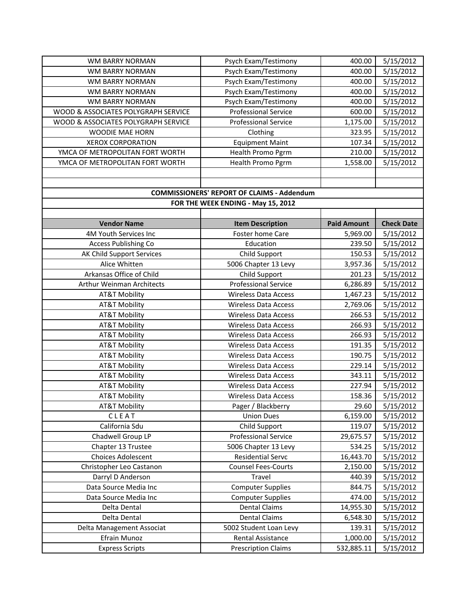| WM BARRY NORMAN                     | Psych Exam/Testimony                              | 400.00             | 5/15/2012         |
|-------------------------------------|---------------------------------------------------|--------------------|-------------------|
| WM BARRY NORMAN                     | Psych Exam/Testimony                              | 400.00             | 5/15/2012         |
| WM BARRY NORMAN                     | Psych Exam/Testimony                              | 400.00             | 5/15/2012         |
| WM BARRY NORMAN                     | Psych Exam/Testimony                              | 400.00             | 5/15/2012         |
| <b>WM BARRY NORMAN</b>              | Psych Exam/Testimony                              | 400.00             | 5/15/2012         |
| WOOD & ASSOCIATES POLYGRAPH SERVICE | <b>Professional Service</b>                       | 600.00             | 5/15/2012         |
| WOOD & ASSOCIATES POLYGRAPH SERVICE | <b>Professional Service</b>                       | 1,175.00           | 5/15/2012         |
| WOODIE MAE HORN                     | Clothing                                          | 323.95             | 5/15/2012         |
| <b>XEROX CORPORATION</b>            | <b>Equipment Maint</b>                            | 107.34             | 5/15/2012         |
| YMCA OF METROPOLITAN FORT WORTH     | Health Promo Pgrm                                 | 210.00             | 5/15/2012         |
| YMCA OF METROPOLITAN FORT WORTH     | Health Promo Pgrm                                 | 1,558.00           | 5/15/2012         |
|                                     |                                                   |                    |                   |
|                                     |                                                   |                    |                   |
|                                     | <b>COMMISSIONERS' REPORT OF CLAIMS - Addendum</b> |                    |                   |
|                                     | FOR THE WEEK ENDING - May 15, 2012                |                    |                   |
|                                     |                                                   |                    |                   |
| <b>Vendor Name</b>                  | <b>Item Description</b>                           | <b>Paid Amount</b> | <b>Check Date</b> |
| 4M Youth Services Inc               | Foster home Care                                  | 5,969.00           | 5/15/2012         |
| Access Publishing Co                | Education                                         | 239.50             | 5/15/2012         |
| AK Child Support Services           | Child Support                                     | 150.53             | 5/15/2012         |
| Alice Whitten                       | 5006 Chapter 13 Levy                              | 3,957.36           | 5/15/2012         |
| Arkansas Office of Child            | Child Support                                     | 201.23             | 5/15/2012         |
| Arthur Weinman Architects           | <b>Professional Service</b>                       | 6,286.89           | 5/15/2012         |
| <b>AT&amp;T Mobility</b>            | <b>Wireless Data Access</b>                       | 1,467.23           | 5/15/2012         |
| AT&T Mobility                       | Wireless Data Access                              | 2,769.06           | 5/15/2012         |
| AT&T Mobility                       | <b>Wireless Data Access</b>                       | 266.53             | 5/15/2012         |
| <b>AT&amp;T Mobility</b>            | <b>Wireless Data Access</b>                       | 266.93             | 5/15/2012         |
| AT&T Mobility                       | <b>Wireless Data Access</b>                       | 266.93             | 5/15/2012         |
| <b>AT&amp;T Mobility</b>            | <b>Wireless Data Access</b>                       | 191.35             | 5/15/2012         |
| <b>AT&amp;T Mobility</b>            | <b>Wireless Data Access</b>                       | 190.75             | 5/15/2012         |
| AT&T Mobility                       | <b>Wireless Data Access</b>                       | 229.14             | 5/15/2012         |
| AT&T Mobility                       | <b>Wireless Data Access</b>                       | 343.11             | 5/15/2012         |
| AT&T Mobility                       | <b>Wireless Data Access</b>                       | 227.94             | 5/15/2012         |
| <b>AT&amp;T Mobility</b>            | <b>Wireless Data Access</b>                       | 158.36             | 5/15/2012         |
| <b>AT&amp;T Mobility</b>            | Pager / Blackberry                                | 29.60              | 5/15/2012         |
| CLEAT                               | <b>Union Dues</b>                                 | 6,159.00           | 5/15/2012         |
| California Sdu                      | Child Support                                     | 119.07             | 5/15/2012         |
| Chadwell Group LP                   | <b>Professional Service</b>                       | 29,675.57          | 5/15/2012         |
| Chapter 13 Trustee                  | 5006 Chapter 13 Levy                              | 534.25             | 5/15/2012         |
| <b>Choices Adolescent</b>           | <b>Residential Servc</b>                          | 16,443.70          | 5/15/2012         |
| Christopher Leo Castanon            | <b>Counsel Fees-Courts</b>                        | 2,150.00           | 5/15/2012         |
| Darryl D Anderson                   | Travel                                            | 440.39             | 5/15/2012         |
| Data Source Media Inc               | <b>Computer Supplies</b>                          | 844.75             | 5/15/2012         |
| Data Source Media Inc               | <b>Computer Supplies</b>                          | 474.00             | 5/15/2012         |
| Delta Dental                        | <b>Dental Claims</b>                              | 14,955.30          | 5/15/2012         |
| Delta Dental                        | <b>Dental Claims</b>                              | 6,548.30           | 5/15/2012         |
| Delta Management Associat           | 5002 Student Loan Levy                            | 139.31             | 5/15/2012         |
| Efrain Munoz                        | Rental Assistance                                 | 1,000.00           | 5/15/2012         |
| <b>Express Scripts</b>              | <b>Prescription Claims</b>                        | 532,885.11         | 5/15/2012         |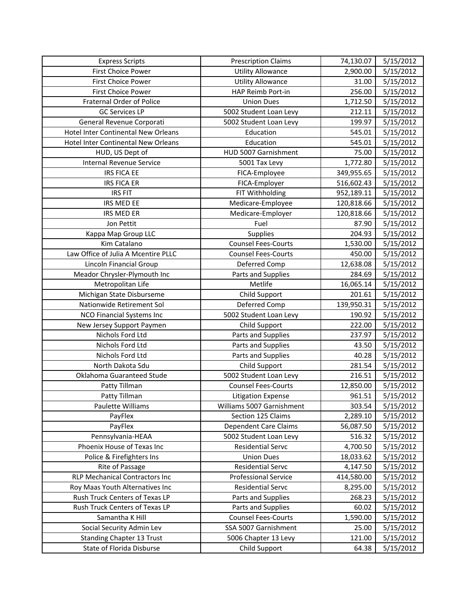| <b>Express Scripts</b>                     | <b>Prescription Claims</b>  | 74,130.07  | 5/15/2012 |
|--------------------------------------------|-----------------------------|------------|-----------|
| <b>First Choice Power</b>                  | <b>Utility Allowance</b>    | 2,900.00   | 5/15/2012 |
| <b>First Choice Power</b>                  | <b>Utility Allowance</b>    | 31.00      | 5/15/2012 |
| <b>First Choice Power</b>                  | HAP Reimb Port-in           | 256.00     | 5/15/2012 |
| Fraternal Order of Police                  | <b>Union Dues</b>           | 1,712.50   | 5/15/2012 |
| <b>GC Services LP</b>                      | 5002 Student Loan Levy      | 212.11     | 5/15/2012 |
| General Revenue Corporati                  | 5002 Student Loan Levy      | 199.97     | 5/15/2012 |
| <b>Hotel Inter Continental New Orleans</b> | Education                   | 545.01     | 5/15/2012 |
| Hotel Inter Continental New Orleans        | Education                   | 545.01     | 5/15/2012 |
| HUD, US Dept of                            | HUD 5007 Garnishment        | 75.00      | 5/15/2012 |
| <b>Internal Revenue Service</b>            | 5001 Tax Levy               | 1,772.80   | 5/15/2012 |
| <b>IRS FICA EE</b>                         | FICA-Employee               | 349,955.65 | 5/15/2012 |
| <b>IRS FICA ER</b>                         | FICA-Employer               | 516,602.43 | 5/15/2012 |
| <b>IRS FIT</b>                             | FIT Withholding             | 952,189.11 | 5/15/2012 |
| IRS MED EE                                 | Medicare-Employee           | 120,818.66 | 5/15/2012 |
| IRS MED ER                                 | Medicare-Employer           | 120,818.66 | 5/15/2012 |
| Jon Pettit                                 | Fuel                        | 87.90      | 5/15/2012 |
| Kappa Map Group LLC                        | <b>Supplies</b>             | 204.93     | 5/15/2012 |
| Kim Catalano                               | <b>Counsel Fees-Courts</b>  | 1,530.00   | 5/15/2012 |
| Law Office of Julia A Mcentire PLLC        | <b>Counsel Fees-Courts</b>  | 450.00     | 5/15/2012 |
| Lincoln Financial Group                    | Deferred Comp               | 12,638.08  | 5/15/2012 |
| Meador Chrysler-Plymouth Inc               | Parts and Supplies          | 284.69     | 5/15/2012 |
| Metropolitan Life                          | Metlife                     | 16,065.14  | 5/15/2012 |
| Michigan State Disburseme                  | Child Support               | 201.61     | 5/15/2012 |
| Nationwide Retirement Sol                  | Deferred Comp               | 139,950.31 | 5/15/2012 |
| NCO Financial Systems Inc                  | 5002 Student Loan Levy      | 190.92     | 5/15/2012 |
| New Jersey Support Paymen                  | Child Support               | 222.00     | 5/15/2012 |
| Nichols Ford Ltd                           | Parts and Supplies          | 237.97     | 5/15/2012 |
| Nichols Ford Ltd                           | Parts and Supplies          | 43.50      | 5/15/2012 |
| Nichols Ford Ltd                           | Parts and Supplies          | 40.28      | 5/15/2012 |
| North Dakota Sdu                           | Child Support               | 281.54     | 5/15/2012 |
| Oklahoma Guaranteed Stude                  | 5002 Student Loan Levy      | 216.51     | 5/15/2012 |
| Patty Tillman                              | <b>Counsel Fees-Courts</b>  | 12,850.00  | 5/15/2012 |
| Patty Tillman                              | <b>Litigation Expense</b>   | 961.51     | 5/15/2012 |
| Paulette Williams                          | Williams 5007 Garnishment   | 303.54     | 5/15/2012 |
| PayFlex                                    | Section 125 Claims          | 2,289.10   | 5/15/2012 |
| PayFlex                                    | Dependent Care Claims       | 56,087.50  | 5/15/2012 |
| Pennsylvania-HEAA                          | 5002 Student Loan Levy      | 516.32     | 5/15/2012 |
| Phoenix House of Texas Inc                 | <b>Residential Servc</b>    | 4,700.50   | 5/15/2012 |
| Police & Firefighters Ins                  | <b>Union Dues</b>           | 18,033.62  | 5/15/2012 |
| Rite of Passage                            | <b>Residential Servc</b>    | 4,147.50   | 5/15/2012 |
| <b>RLP Mechanical Contractors Inc</b>      | <b>Professional Service</b> | 414,580.00 | 5/15/2012 |
| Roy Maas Youth Alternatives Inc            | <b>Residential Servc</b>    | 8,295.00   | 5/15/2012 |
| Rush Truck Centers of Texas LP             | Parts and Supplies          | 268.23     | 5/15/2012 |
| Rush Truck Centers of Texas LP             | Parts and Supplies          | 60.02      | 5/15/2012 |
| Samantha K Hill                            | <b>Counsel Fees-Courts</b>  | 1,590.00   | 5/15/2012 |
| Social Security Admin Lev                  | SSA 5007 Garnishment        | 25.00      | 5/15/2012 |
| <b>Standing Chapter 13 Trust</b>           | 5006 Chapter 13 Levy        | 121.00     | 5/15/2012 |
| State of Florida Disburse                  | Child Support               | 64.38      | 5/15/2012 |